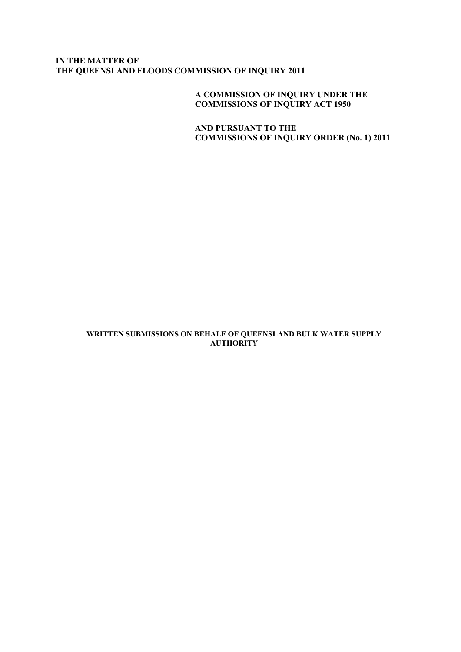# **IN THE MATTER OF THE QUEENSLAND FLOODS COMMISSION OF INQUIRY 2011**

**A COMMISSION OF INQUIRY UNDER THE COMMISSIONS OF INQUIRY ACT 1950**

**AND PURSUANT TO THE COMMISSIONS OF INQUIRY ORDER (No. 1) 2011**

### **WRITTEN SUBMISSIONS ON BEHALF OF QUEENSLAND BULK WATER SUPPLY AUTHORITY**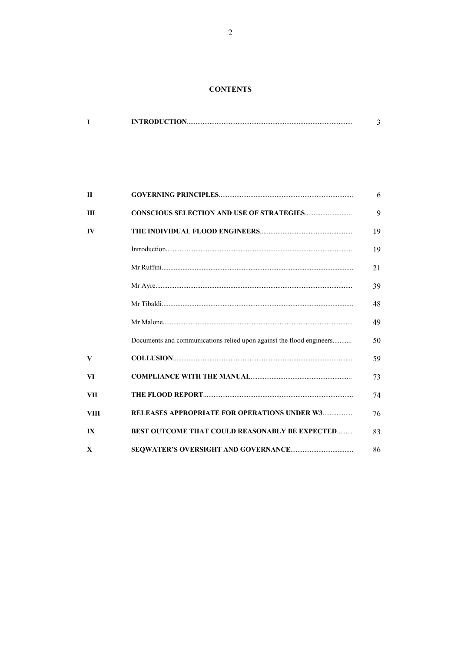### **CONTENTS**

| <b>INTRODUCTION</b> |  |
|---------------------|--|
|                     |  |

| $\mathbf{H}$ |                                                                      | 6  |
|--------------|----------------------------------------------------------------------|----|
| Ш            |                                                                      | 9  |
| IV           |                                                                      | 19 |
|              |                                                                      | 19 |
|              |                                                                      | 21 |
|              |                                                                      | 39 |
|              |                                                                      | 48 |
|              |                                                                      | 49 |
|              | Documents and communications relied upon against the flood engineers | 50 |
| V            |                                                                      | 59 |
| VI           |                                                                      | 73 |
| <b>VII</b>   |                                                                      | 74 |
| <b>VIII</b>  | <b>RELEASES APPROPRIATE FOR OPERATIONS UNDER W3</b>                  | 76 |
| IX           | <b>BEST OUTCOME THAT COULD REASONABLY BE EXPECTED</b>                | 83 |
| $\mathbf{x}$ |                                                                      | 86 |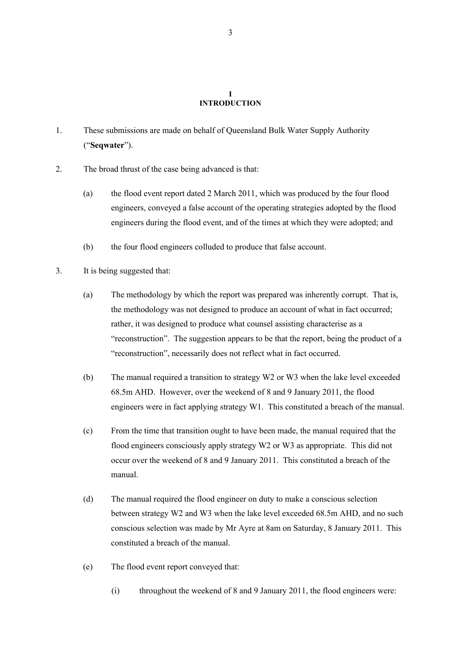#### **I INTRODUCTION**

- 1. These submissions are made on behalf of Queensland Bulk Water Supply Authority ("**Seqwater**").
- 2. The broad thrust of the case being advanced is that:
	- (a) the flood event report dated 2 March 2011, which was produced by the four flood engineers, conveyed a false account of the operating strategies adopted by the flood engineers during the flood event, and of the times at which they were adopted; and
	- (b) the four flood engineers colluded to produce that false account.
- 3. It is being suggested that:
	- (a) The methodology by which the report was prepared was inherently corrupt. That is, the methodology was not designed to produce an account of what in fact occurred; rather, it was designed to produce what counsel assisting characterise as a "reconstruction". The suggestion appears to be that the report, being the product of a "reconstruction", necessarily does not reflect what in fact occurred.
	- (b) The manual required a transition to strategy W2 or W3 when the lake level exceeded 68.5m AHD. However, over the weekend of 8 and 9 January 2011, the flood engineers were in fact applying strategy W1. This constituted a breach of the manual.
	- (c) From the time that transition ought to have been made, the manual required that the flood engineers consciously apply strategy W2 or W3 as appropriate. This did not occur over the weekend of 8 and 9 January 2011. This constituted a breach of the manual.
	- (d) The manual required the flood engineer on duty to make a conscious selection between strategy W2 and W3 when the lake level exceeded 68.5m AHD, and no such conscious selection was made by Mr Ayre at 8am on Saturday, 8 January 2011. This constituted a breach of the manual.
	- (e) The flood event report conveyed that:
		- (i) throughout the weekend of 8 and 9 January 2011, the flood engineers were: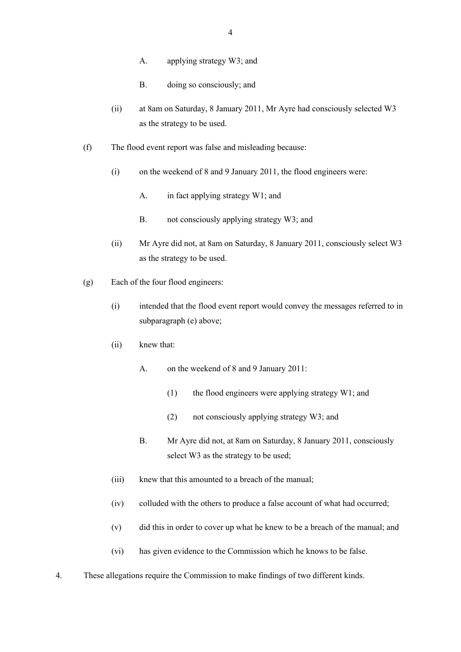- A. applying strategy W3; and
- B. doing so consciously; and
- (ii) at 8am on Saturday, 8 January 2011, Mr Ayre had consciously selected W3 as the strategy to be used.
- (f) The flood event report was false and misleading because:
	- (i) on the weekend of 8 and 9 January 2011, the flood engineers were:
		- A. in fact applying strategy W1; and
		- B. not consciously applying strategy W3; and
	- (ii) Mr Ayre did not, at 8am on Saturday, 8 January 2011, consciously select W3 as the strategy to be used.
- (g) Each of the four flood engineers:
	- (i) intended that the flood event report would convey the messages referred to in subparagraph (e) above;
	- (ii) knew that:
		- A. on the weekend of 8 and 9 January 2011:
			- (1) the flood engineers were applying strategy W1; and
			- (2) not consciously applying strategy W3; and
		- B. Mr Ayre did not, at 8am on Saturday, 8 January 2011, consciously select W3 as the strategy to be used;
	- (iii) knew that this amounted to a breach of the manual;
	- (iv) colluded with the others to produce a false account of what had occurred;
	- (v) did this in order to cover up what he knew to be a breach of the manual; and
	- (vi) has given evidence to the Commission which he knows to be false.
- 4. These allegations require the Commission to make findings of two different kinds.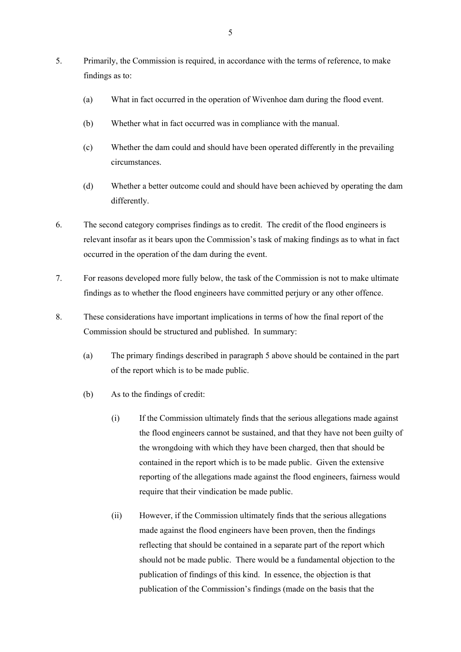- 5. Primarily, the Commission is required, in accordance with the terms of reference, to make findings as to:
	- (a) What in fact occurred in the operation of Wivenhoe dam during the flood event.
	- (b) Whether what in fact occurred was in compliance with the manual.
	- (c) Whether the dam could and should have been operated differently in the prevailing circumstances.
	- (d) Whether a better outcome could and should have been achieved by operating the dam differently.
- 6. The second category comprises findings as to credit. The credit of the flood engineers is relevant insofar as it bears upon the Commission's task of making findings as to what in fact occurred in the operation of the dam during the event.
- 7. For reasons developed more fully below, the task of the Commission is not to make ultimate findings as to whether the flood engineers have committed perjury or any other offence.
- 8. These considerations have important implications in terms of how the final report of the Commission should be structured and published. In summary:
	- (a) The primary findings described in paragraph 5 above should be contained in the part of the report which is to be made public.
	- (b) As to the findings of credit:
		- (i) If the Commission ultimately finds that the serious allegations made against the flood engineers cannot be sustained, and that they have not been guilty of the wrongdoing with which they have been charged, then that should be contained in the report which is to be made public. Given the extensive reporting of the allegations made against the flood engineers, fairness would require that their vindication be made public.
		- (ii) However, if the Commission ultimately finds that the serious allegations made against the flood engineers have been proven, then the findings reflecting that should be contained in a separate part of the report which should not be made public. There would be a fundamental objection to the publication of findings of this kind. In essence, the objection is that publication of the Commission's findings (made on the basis that the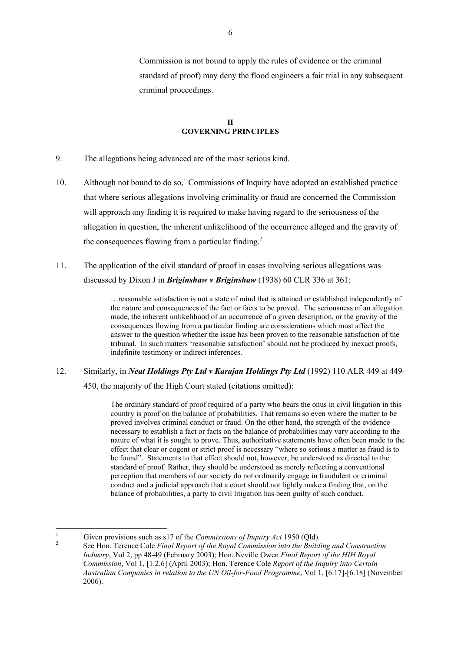Commission is not bound to apply the rules of evidence or the criminal standard of proof) may deny the flood engineers a fair trial in any subsequent criminal proceedings.

### **II GOVERNING PRINCIPLES**

- 9. The allegations being advanced are of the most serious kind.
- 10. Although not bound to do so,<sup>1</sup> Commissions of Inquiry have adopted an established practice that where serious allegations involving criminality or fraud are concerned the Commission will approach any finding it is required to make having regard to the seriousness of the allegation in question, the inherent unlikelihood of the occurrence alleged and the gravity of the consequences flowing from a particular finding.<sup>2</sup>
- 11. The application of the civil standard of proof in cases involving serious allegations was discussed by Dixon J in *Briginshaw v Briginshaw* (1938) 60 CLR 336 at 361:

…reasonable satisfaction is not a state of mind that is attained or established independently of the nature and consequences of the fact or facts to be proved. The seriousness of an allegation made, the inherent unlikelihood of an occurrence of a given description, or the gravity of the consequences flowing from a particular finding are considerations which must affect the answer to the question whether the issue has been proven to the reasonable satisfaction of the tribunal. In such matters 'reasonable satisfaction' should not be produced by inexact proofs, indefinite testimony or indirect inferences.

12. Similarly, in *Neat Holdings Pty Ltd v Karajan Holdings Pty Ltd* (1992) 110 ALR 449 at 449- 450, the majority of the High Court stated (citations omitted):

> The ordinary standard of proof required of a party who bears the onus in civil litigation in this country is proof on the balance of probabilities. That remains so even where the matter to be proved involves criminal conduct or fraud. On the other hand, the strength of the evidence necessary to establish a fact or facts on the balance of probabilities may vary according to the nature of what it is sought to prove. Thus, authoritative statements have often been made to the effect that clear or cogent or strict proof is necessary "where so serious a matter as fraud is to be found". Statements to that effect should not, however, be understood as directed to the standard of proof. Rather, they should be understood as merely reflecting a conventional perception that members of our society do not ordinarily engage in fraudulent or criminal conduct and a judicial approach that a court should not lightly make a finding that, on the balance of probabilities, a party to civil litigation has been guilty of such conduct.

 $\overline{1}$ <sup>1</sup> Given provisions such as s17 of the *Commissions of Inquiry Act* 1950 (Qld).

<sup>2</sup> See Hon. Terence Cole *Final Report of the Royal Commission into the Building and Construction Industry*, Vol 2, pp 48-49 (February 2003); Hon. Neville Owen *Final Report of the HIH Royal Commission*, Vol 1, [1.2.6] (April 2003); Hon. Terence Cole *Report of the Inquiry into Certain Australian Companies in relation to the UN Oil-for-Food Programme*, Vol 1, [6.17]-[6.18] (November 2006).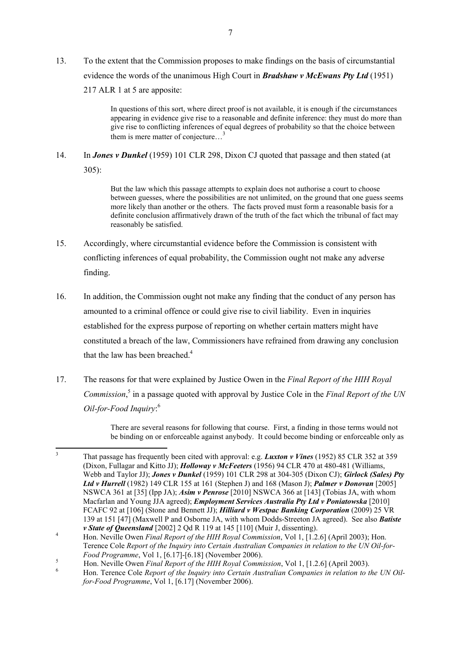13. To the extent that the Commission proposes to make findings on the basis of circumstantial evidence the words of the unanimous High Court in *Bradshaw v McEwans Pty Ltd* (1951) 217 ALR 1 at 5 are apposite:

> In questions of this sort, where direct proof is not available, it is enough if the circumstances appearing in evidence give rise to a reasonable and definite inference: they must do more than give rise to conflicting inferences of equal degrees of probability so that the choice between them is mere matter of conjecture...<sup>3</sup>

14. In *Jones v Dunkel* (1959) 101 CLR 298, Dixon CJ quoted that passage and then stated (at 305):

> But the law which this passage attempts to explain does not authorise a court to choose between guesses, where the possibilities are not unlimited, on the ground that one guess seems more likely than another or the others. The facts proved must form a reasonable basis for a definite conclusion affirmatively drawn of the truth of the fact which the tribunal of fact may reasonably be satisfied.

- 15. Accordingly, where circumstantial evidence before the Commission is consistent with conflicting inferences of equal probability, the Commission ought not make any adverse finding.
- 16. In addition, the Commission ought not make any finding that the conduct of any person has amounted to a criminal offence or could give rise to civil liability. Even in inquiries established for the express purpose of reporting on whether certain matters might have constituted a breach of the law, Commissioners have refrained from drawing any conclusion that the law has been breached.<sup>4</sup>
- 17. The reasons for that were explained by Justice Owen in the *Final Report of the HIH Royal Commission*, 5 in a passage quoted with approval by Justice Cole in the *Final Report of the UN Oil-for-Food Inquiry*: 6

There are several reasons for following that course. First, a finding in those terms would not be binding on or enforceable against anybody. It could become binding or enforceable only as

 $\overline{3}$ <sup>3</sup> That passage has frequently been cited with approval: e.g. *Luxton v Vines* (1952) 85 CLR 352 at 359 (Dixon, Fullagar and Kitto JJ); *Holloway v McFeeters* (1956) 94 CLR 470 at 480-481 (Williams, Webb and Taylor JJ); *Jones v Dunkel* (1959) 101 CLR 298 at 304-305 (Dixon CJ); *Girlock (Sales) Pty Ltd v Hurrell* (1982) 149 CLR 155 at 161 (Stephen J) and 168 (Mason J); *Palmer v Donovan* [2005] NSWCA 361 at [35] (Ipp JA); *Asim v Penrose* [2010] NSWCA 366 at [143] (Tobias JA, with whom Macfarlan and Young JJA agreed); *Employment Services Australia Pty Ltd v Poniatowska* [2010] FCAFC 92 at [106] (Stone and Bennett JJ); *Hilliard v Westpac Banking Corporation* (2009) 25 VR 139 at 151 [47] (Maxwell P and Osborne JA, with whom Dodds-Streeton JA agreed). See also *Batiste v State of Queensland* [2002] 2 Qd R 119 at 145 [110] (Muir J, dissenting).

<sup>4</sup> Hon. Neville Owen *Final Report of the HIH Royal Commission*, Vol 1, [1.2.6] (April 2003); Hon. Terence Cole *Report of the Inquiry into Certain Australian Companies in relation to the UN Oil-for-Food Programme*, Vol 1, [6.17]-[6.18] (November 2006).

<sup>5</sup> Hon. Neville Owen *Final Report of the HIH Royal Commission*, Vol 1, [1.2.6] (April 2003).

<sup>6</sup> Hon. Terence Cole *Report of the Inquiry into Certain Australian Companies in relation to the UN Oilfor-Food Programme*, Vol 1, [6.17] (November 2006).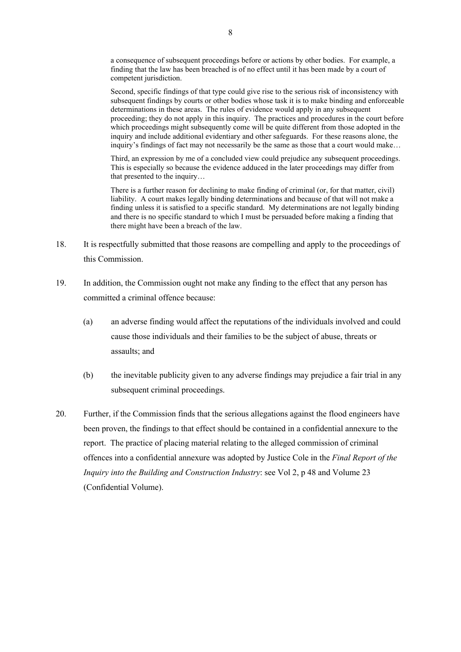a consequence of subsequent proceedings before or actions by other bodies. For example, a finding that the law has been breached is of no effect until it has been made by a court of competent jurisdiction.

Second, specific findings of that type could give rise to the serious risk of inconsistency with subsequent findings by courts or other bodies whose task it is to make binding and enforceable determinations in these areas. The rules of evidence would apply in any subsequent proceeding; they do not apply in this inquiry. The practices and procedures in the court before which proceedings might subsequently come will be quite different from those adopted in the inquiry and include additional evidentiary and other safeguards. For these reasons alone, the inquiry's findings of fact may not necessarily be the same as those that a court would make…

Third, an expression by me of a concluded view could prejudice any subsequent proceedings. This is especially so because the evidence adduced in the later proceedings may differ from that presented to the inquiry…

There is a further reason for declining to make finding of criminal (or, for that matter, civil) liability. A court makes legally binding determinations and because of that will not make a finding unless it is satisfied to a specific standard. My determinations are not legally binding and there is no specific standard to which I must be persuaded before making a finding that there might have been a breach of the law.

- 18. It is respectfully submitted that those reasons are compelling and apply to the proceedings of this Commission.
- 19. In addition, the Commission ought not make any finding to the effect that any person has committed a criminal offence because:
	- (a) an adverse finding would affect the reputations of the individuals involved and could cause those individuals and their families to be the subject of abuse, threats or assaults; and
	- (b) the inevitable publicity given to any adverse findings may prejudice a fair trial in any subsequent criminal proceedings.
- 20. Further, if the Commission finds that the serious allegations against the flood engineers have been proven, the findings to that effect should be contained in a confidential annexure to the report. The practice of placing material relating to the alleged commission of criminal offences into a confidential annexure was adopted by Justice Cole in the *Final Report of the Inquiry into the Building and Construction Industry*: see Vol 2, p 48 and Volume 23 (Confidential Volume).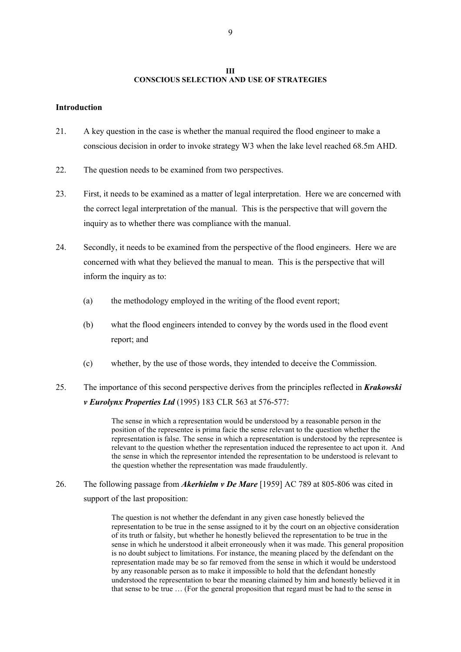### **III CONSCIOUS SELECTION AND USE OF STRATEGIES**

### **Introduction**

- 21. A key question in the case is whether the manual required the flood engineer to make a conscious decision in order to invoke strategy W3 when the lake level reached 68.5m AHD.
- 22. The question needs to be examined from two perspectives.
- 23. First, it needs to be examined as a matter of legal interpretation. Here we are concerned with the correct legal interpretation of the manual. This is the perspective that will govern the inquiry as to whether there was compliance with the manual.
- 24. Secondly, it needs to be examined from the perspective of the flood engineers. Here we are concerned with what they believed the manual to mean. This is the perspective that will inform the inquiry as to:
	- (a) the methodology employed in the writing of the flood event report;
	- (b) what the flood engineers intended to convey by the words used in the flood event report; and
	- (c) whether, by the use of those words, they intended to deceive the Commission.
- 25. The importance of this second perspective derives from the principles reflected in *Krakowski v Eurolynx Properties Ltd* (1995) 183 CLR 563 at 576-577:

The sense in which a representation would be understood by a reasonable person in the position of the representee is prima facie the sense relevant to the question whether the representation is false. The sense in which a representation is understood by the representee is relevant to the question whether the representation induced the representee to act upon it. And the sense in which the representor intended the representation to be understood is relevant to the question whether the representation was made fraudulently.

26. The following passage from *Akerhielm v De Mare* [1959] AC 789 at 805-806 was cited in support of the last proposition:

> The question is not whether the defendant in any given case honestly believed the representation to be true in the sense assigned to it by the court on an objective consideration of its truth or falsity, but whether he honestly believed the representation to be true in the sense in which he understood it albeit erroneously when it was made. This general proposition is no doubt subject to limitations. For instance, the meaning placed by the defendant on the representation made may be so far removed from the sense in which it would be understood by any reasonable person as to make it impossible to hold that the defendant honestly understood the representation to bear the meaning claimed by him and honestly believed it in that sense to be true … (For the general proposition that regard must be had to the sense in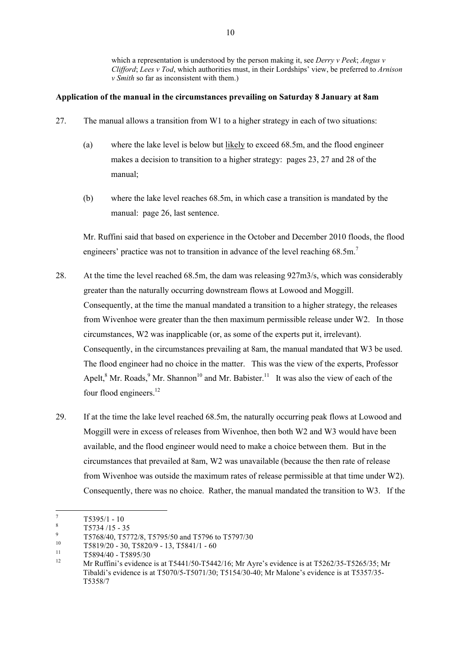which a representation is understood by the person making it, see *Derry v Peek*; *Angus v Clifford*; *Lees v Tod*, which authorities must, in their Lordships' view, be preferred to *Arnison v Smith* so far as inconsistent with them.)

# **Application of the manual in the circumstances prevailing on Saturday 8 January at 8am**

- 27. The manual allows a transition from W1 to a higher strategy in each of two situations:
	- (a) where the lake level is below but likely to exceed 68.5m, and the flood engineer makes a decision to transition to a higher strategy: pages 23, 27 and 28 of the manual;
	- (b) where the lake level reaches 68.5m, in which case a transition is mandated by the manual: page 26, last sentence.

Mr. Ruffini said that based on experience in the October and December 2010 floods, the flood engineers' practice was not to transition in advance of the level reaching 68.5m.<sup>7</sup>

- 28. At the time the level reached 68.5m, the dam was releasing 927m3/s, which was considerably greater than the naturally occurring downstream flows at Lowood and Moggill. Consequently, at the time the manual mandated a transition to a higher strategy, the releases from Wivenhoe were greater than the then maximum permissible release under W2. In those circumstances, W2 was inapplicable (or, as some of the experts put it, irrelevant). Consequently, in the circumstances prevailing at 8am, the manual mandated that W3 be used. The flood engineer had no choice in the matter. This was the view of the experts, Professor Apelt, <sup>8</sup> Mr. Roads, <sup>9</sup> Mr. Shannon<sup>10</sup> and Mr. Babister.<sup>11</sup> It was also the view of each of the four flood engineers.<sup>12</sup>
- 29. If at the time the lake level reached 68.5m, the naturally occurring peak flows at Lowood and Moggill were in excess of releases from Wivenhoe, then both W2 and W3 would have been available, and the flood engineer would need to make a choice between them. But in the circumstances that prevailed at 8am, W2 was unavailable (because the then rate of release from Wivenhoe was outside the maximum rates of release permissible at that time under W2). Consequently, there was no choice. Rather, the manual mandated the transition to W3. If the

 $\boldsymbol{7}$  $\frac{7}{8}$  T5395/1 - 10

 $\frac{8}{9}$  T5734/15 - 35

 $^{9}$  T5768/40, T5772/8, T5795/50 and T5796 to T5797/30

 $^{10}$  T5819/20 - 30, T5820/9 - 13, T5841/1 - 60

 $^{11}$  T5894/40 - T5895/30

<sup>12</sup> Mr Ruffini's evidence is at T5441/50-T5442/16; Mr Ayre's evidence is at T5262/35-T5265/35; Mr Tibaldi's evidence is at T5070/5-T5071/30; T5154/30-40; Mr Malone's evidence is at T5357/35- T5358/7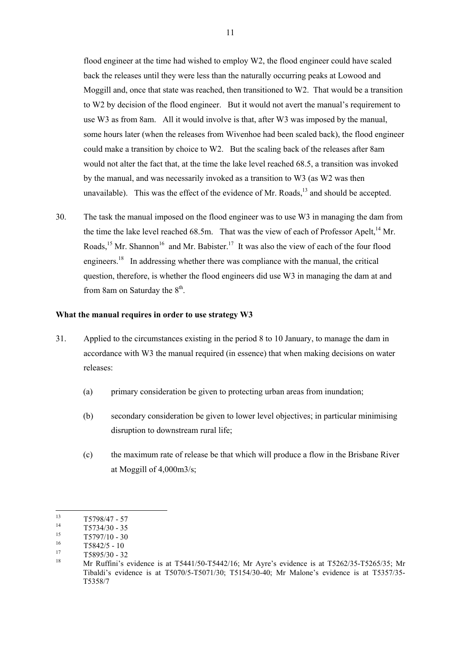flood engineer at the time had wished to employ W2, the flood engineer could have scaled back the releases until they were less than the naturally occurring peaks at Lowood and Moggill and, once that state was reached, then transitioned to W2. That would be a transition to W2 by decision of the flood engineer. But it would not avert the manual's requirement to use W3 as from 8am. All it would involve is that, after W3 was imposed by the manual, some hours later (when the releases from Wivenhoe had been scaled back), the flood engineer could make a transition by choice to W2. But the scaling back of the releases after 8am would not alter the fact that, at the time the lake level reached 68.5, a transition was invoked by the manual, and was necessarily invoked as a transition to W3 (as W2 was then unavailable). This was the effect of the evidence of Mr. Roads.<sup>13</sup> and should be accepted.

30. The task the manual imposed on the flood engineer was to use W3 in managing the dam from the time the lake level reached 68.5m. That was the view of each of Professor Apelt,<sup>14</sup> Mr. Roads,<sup>15</sup> Mr. Shannon<sup>16</sup> and Mr. Babister.<sup>17</sup> It was also the view of each of the four flood engineers.<sup>18</sup> In addressing whether there was compliance with the manual, the critical question, therefore, is whether the flood engineers did use W3 in managing the dam at and from 8am on Saturday the  $8<sup>th</sup>$ .

#### **What the manual requires in order to use strategy W3**

- 31. Applied to the circumstances existing in the period 8 to 10 January, to manage the dam in accordance with W3 the manual required (in essence) that when making decisions on water releases:
	- (a) primary consideration be given to protecting urban areas from inundation;
	- (b) secondary consideration be given to lower level objectives; in particular minimising disruption to downstream rural life;
	- (c) the maximum rate of release be that which will produce a flow in the Brisbane River at Moggill of 4,000m3/s;

 $13\,$  $\frac{13}{14}$  T5798/47 - 57

 $^{14}$  T5734/30 - 35<br> $^{15}$  T5707/10 - 20

 $^{15}$  T5797/10 - 30

 $\frac{16}{17}$  T5842/5 - 10

 $^{17}$  T5895/30 - 32

<sup>18</sup> Mr Ruffini's evidence is at T5441/50-T5442/16; Mr Ayre's evidence is at T5262/35-T5265/35; Mr Tibaldi's evidence is at T5070/5-T5071/30; T5154/30-40; Mr Malone's evidence is at T5357/35- T5358/7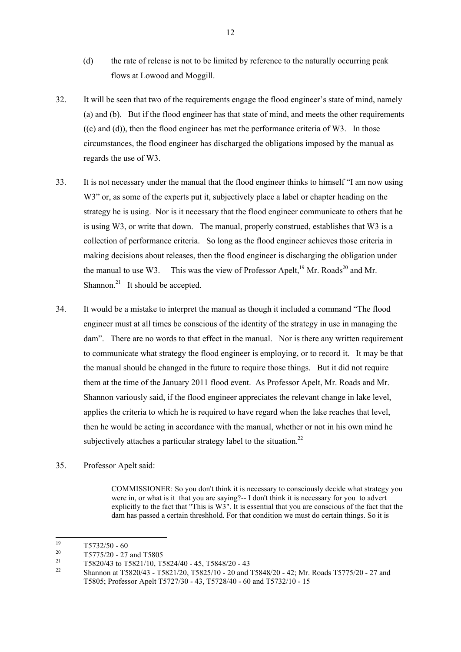- (d) the rate of release is not to be limited by reference to the naturally occurring peak flows at Lowood and Moggill.
- 32. It will be seen that two of the requirements engage the flood engineer's state of mind, namely (a) and (b). But if the flood engineer has that state of mind, and meets the other requirements  $((c)$  and  $((d))$ , then the flood engineer has met the performance criteria of W3. In those circumstances, the flood engineer has discharged the obligations imposed by the manual as regards the use of W3.
- 33. It is not necessary under the manual that the flood engineer thinks to himself "I am now using W3" or, as some of the experts put it, subjectively place a label or chapter heading on the strategy he is using. Nor is it necessary that the flood engineer communicate to others that he is using W3, or write that down. The manual, properly construed, establishes that W3 is a collection of performance criteria. So long as the flood engineer achieves those criteria in making decisions about releases, then the flood engineer is discharging the obligation under the manual to use W3. This was the view of Professor Apelt,<sup>19</sup> Mr. Roads<sup>20</sup> and Mr. Shannon. $^{21}$  It should be accepted.
- 34. It would be a mistake to interpret the manual as though it included a command "The flood engineer must at all times be conscious of the identity of the strategy in use in managing the dam". There are no words to that effect in the manual. Nor is there any written requirement to communicate what strategy the flood engineer is employing, or to record it. It may be that the manual should be changed in the future to require those things. But it did not require them at the time of the January 2011 flood event. As Professor Apelt, Mr. Roads and Mr. Shannon variously said, if the flood engineer appreciates the relevant change in lake level, applies the criteria to which he is required to have regard when the lake reaches that level, then he would be acting in accordance with the manual, whether or not in his own mind he subjectively attaches a particular strategy label to the situation.<sup>22</sup>
- 35. Professor Apelt said:

COMMISSIONER: So you don't think it is necessary to consciously decide what strategy you were in, or what is it that you are saying?-- I don't think it is necessary for you to advert explicitly to the fact that "This is W3". It is essential that you are conscious of the fact that the dam has passed a certain threshhold. For that condition we must do certain things. So it is

<sup>19</sup>  $\frac{19}{20}$  T5732/50 - 60

 $^{20}$  T5775/20 - 27 and T5805

<sup>&</sup>lt;sup>21</sup> T5820/43 to T5821/10, T5824/40 - 45, T5848/20 - 43<br><sup>22</sup> Shannon of T5820/42, T5821/20, T5825/10, 20 and 2

<sup>22</sup> Shannon at T5820/43 - T5821/20, T5825/10 - 20 and T5848/20 - 42; Mr. Roads T5775/20 - 27 and T5805; Professor Apelt T5727/30 - 43, T5728/40 - 60 and T5732/10 - 15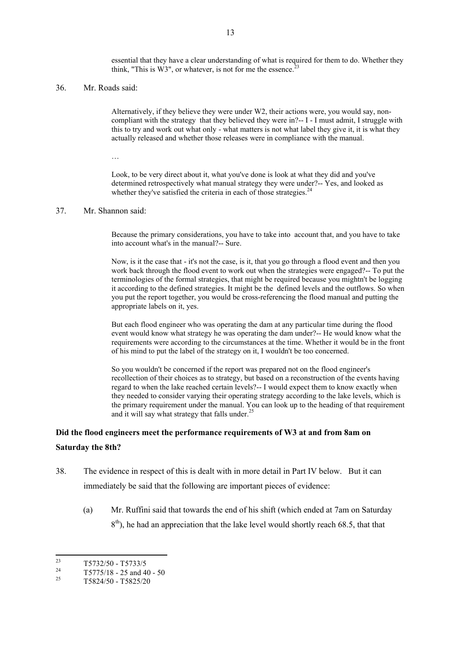essential that they have a clear understanding of what is required for them to do. Whether they think, "This is  $W3$ ", or whatever, is not for me the essence.<sup>2</sup>

#### 36. Mr. Roads said:

Alternatively, if they believe they were under W2, their actions were, you would say, noncompliant with the strategy that they believed they were in?-- I - I must admit, I struggle with this to try and work out what only - what matters is not what label they give it, it is what they actually released and whether those releases were in compliance with the manual.

…

Look, to be very direct about it, what you've done is look at what they did and you've determined retrospectively what manual strategy they were under?-- Yes, and looked as whether they've satisfied the criteria in each of those strategies. $24$ 

#### 37. Mr. Shannon said:

Because the primary considerations, you have to take into account that, and you have to take into account what's in the manual?-- Sure.

Now, is it the case that - it's not the case, is it, that you go through a flood event and then you work back through the flood event to work out when the strategies were engaged?-- To put the terminologies of the formal strategies, that might be required because you mightn't be logging it according to the defined strategies. It might be the defined levels and the outflows. So when you put the report together, you would be cross-referencing the flood manual and putting the appropriate labels on it, yes.

But each flood engineer who was operating the dam at any particular time during the flood event would know what strategy he was operating the dam under?-- He would know what the requirements were according to the circumstances at the time. Whether it would be in the front of his mind to put the label of the strategy on it, I wouldn't be too concerned.

So you wouldn't be concerned if the report was prepared not on the flood engineer's recollection of their choices as to strategy, but based on a reconstruction of the events having regard to when the lake reached certain levels?-- I would expect them to know exactly when they needed to consider varying their operating strategy according to the lake levels, which is the primary requirement under the manual. You can look up to the heading of that requirement and it will say what strategy that falls under.<sup>25</sup>

# **Did the flood engineers meet the performance requirements of W3 at and from 8am on Saturday the 8th?**

- 38. The evidence in respect of this is dealt with in more detail in Part IV below. But it can immediately be said that the following are important pieces of evidence:
	- (a) Mr. Ruffini said that towards the end of his shift (which ended at 7am on Saturday  $8<sup>th</sup>$ ), he had an appreciation that the lake level would shortly reach 68.5, that that

 $23$  $\frac{23}{24}$  T5732/50 - T5733/5

<sup>&</sup>lt;sup>24</sup> T5775/18 - 25 and 40 - 50<br><sup>25</sup> T5804/50 T5805/00

<sup>25</sup> T5824/50 - T5825/20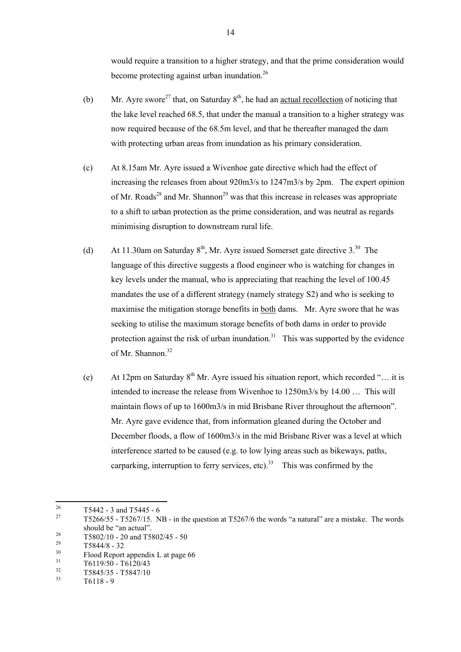would require a transition to a higher strategy, and that the prime consideration would become protecting against urban inundation.<sup>26</sup>

- (b) Mr. Ayre swore<sup>27</sup> that, on Saturday  $8<sup>th</sup>$ , he had an actual recollection of noticing that the lake level reached 68.5, that under the manual a transition to a higher strategy was now required because of the 68.5m level, and that he thereafter managed the dam with protecting urban areas from inundation as his primary consideration.
- (c) At 8.15am Mr. Ayre issued a Wivenhoe gate directive which had the effect of increasing the releases from about 920m3/s to 1247m3/s by 2pm. The expert opinion of Mr. Roads<sup>28</sup> and Mr. Shannon<sup>29</sup> was that this increase in releases was appropriate to a shift to urban protection as the prime consideration, and was neutral as regards minimising disruption to downstream rural life.
- (d) At 11.30am on Saturday  $8<sup>th</sup>$ , Mr. Ayre issued Somerset gate directive 3.<sup>30</sup> The language of this directive suggests a flood engineer who is watching for changes in key levels under the manual, who is appreciating that reaching the level of 100.45 mandates the use of a different strategy (namely strategy S2) and who is seeking to maximise the mitigation storage benefits in both dams. Mr. Ayre swore that he was seeking to utilise the maximum storage benefits of both dams in order to provide protection against the risk of urban inundation.<sup>31</sup> This was supported by the evidence of Mr. Shannon.<sup>32</sup>
- (e) At 12pm on Saturday  $8<sup>th</sup>$  Mr. Ayre issued his situation report, which recorded "... it is intended to increase the release from Wivenhoe to 1250m3/s by 14.00 … This will maintain flows of up to 1600m3/s in mid Brisbane River throughout the afternoon". Mr. Ayre gave evidence that, from information gleaned during the October and December floods, a flow of 1600m3/s in the mid Brisbane River was a level at which interference started to be caused (e.g. to low lying areas such as bikeways, paths, carparking, interruption to ferry services, etc).<sup>33</sup> This was confirmed by the

 $26$  $\frac{26}{27}$  T5442 - 3 and T5445 - 6<br>T5366/55 T5367/15 N

<sup>27</sup> T5266/55 - T5267/15. NB - in the question at T5267/6 the words "a natural" are a mistake. The words should be "an actual".

 $\frac{28}{15802/10}$  - 20 and T5802/45 - 50

 $\frac{29}{30}$  T5844/8 - 32

 $^{30}$  Flood Report appendix L at page 66

 $\frac{31}{32}$  T6119/50 - T6120/43

 $\frac{32}{33}$  T5845/35 - T5847/10

 $T6118 - 9$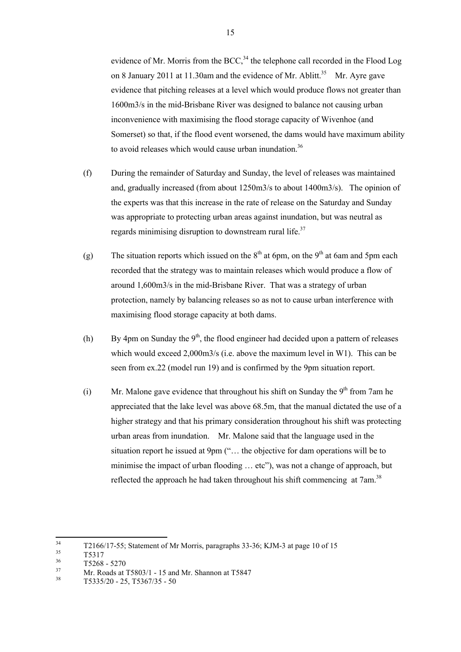evidence of Mr. Morris from the BCC,<sup>34</sup> the telephone call recorded in the Flood Log on 8 January 2011 at 11.30am and the evidence of Mr. Ablitt.<sup>35</sup> Mr. Ayre gave evidence that pitching releases at a level which would produce flows not greater than 1600m3/s in the mid-Brisbane River was designed to balance not causing urban inconvenience with maximising the flood storage capacity of Wivenhoe (and Somerset) so that, if the flood event worsened, the dams would have maximum ability to avoid releases which would cause urban inundation.<sup>36</sup>

- (f) During the remainder of Saturday and Sunday, the level of releases was maintained and, gradually increased (from about 1250m3/s to about 1400m3/s). The opinion of the experts was that this increase in the rate of release on the Saturday and Sunday was appropriate to protecting urban areas against inundation, but was neutral as regards minimising disruption to downstream rural life.<sup>37</sup>
- (g) The situation reports which issued on the  $8<sup>th</sup>$  at 6pm, on the  $9<sup>th</sup>$  at 6am and 5pm each recorded that the strategy was to maintain releases which would produce a flow of around 1,600m3/s in the mid-Brisbane River. That was a strategy of urban protection, namely by balancing releases so as not to cause urban interference with maximising flood storage capacity at both dams.
- (h) By 4pm on Sunday the  $9<sup>th</sup>$ , the flood engineer had decided upon a pattern of releases which would exceed 2,000m3/s (i.e. above the maximum level in W1). This can be seen from ex.22 (model run 19) and is confirmed by the 9pm situation report.
- (i) Mr. Malone gave evidence that throughout his shift on Sunday the  $9<sup>th</sup>$  from 7am he appreciated that the lake level was above 68.5m, that the manual dictated the use of a higher strategy and that his primary consideration throughout his shift was protecting urban areas from inundation. Mr. Malone said that the language used in the situation report he issued at 9pm ("… the objective for dam operations will be to minimise the impact of urban flooding ... etc"), was not a change of approach, but reflected the approach he had taken throughout his shift commencing at 7am.<sup>38</sup>

<sup>34</sup>  $^{34}$  T2166/17-55; Statement of Mr Morris, paragraphs 33-36; KJM-3 at page 10 of 15<br> $^{35}$ 

 $\frac{35}{36}$  T5317

 $\frac{36}{37}$  T5268 - 5270

<sup>&</sup>lt;sup>37</sup> Mr. Roads at T5803/1 - 15 and Mr. Shannon at T5847

<sup>38</sup> T5335/20 - 25, T5367/35 - 50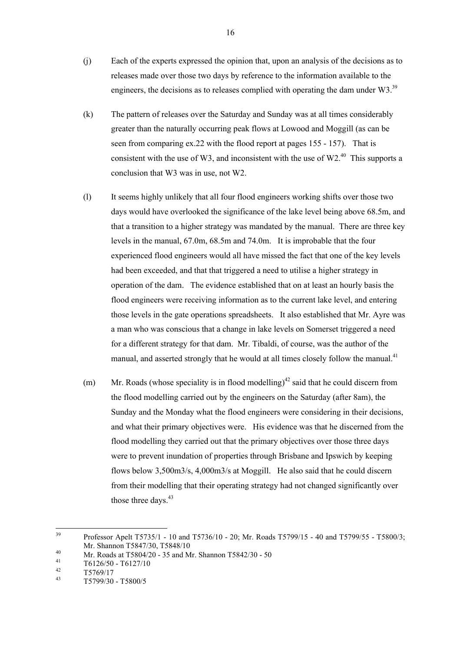- (j) Each of the experts expressed the opinion that, upon an analysis of the decisions as to releases made over those two days by reference to the information available to the engineers, the decisions as to releases complied with operating the dam under  $W3$ <sup>39</sup>
- (k) The pattern of releases over the Saturday and Sunday was at all times considerably greater than the naturally occurring peak flows at Lowood and Moggill (as can be seen from comparing ex.22 with the flood report at pages 155 - 157). That is consistent with the use of W3, and inconsistent with the use of W2. $^{40}$  This supports a conclusion that W3 was in use, not W2.
- (l) It seems highly unlikely that all four flood engineers working shifts over those two days would have overlooked the significance of the lake level being above 68.5m, and that a transition to a higher strategy was mandated by the manual. There are three key levels in the manual, 67.0m, 68.5m and 74.0m. It is improbable that the four experienced flood engineers would all have missed the fact that one of the key levels had been exceeded, and that that triggered a need to utilise a higher strategy in operation of the dam. The evidence established that on at least an hourly basis the flood engineers were receiving information as to the current lake level, and entering those levels in the gate operations spreadsheets. It also established that Mr. Ayre was a man who was conscious that a change in lake levels on Somerset triggered a need for a different strategy for that dam. Mr. Tibaldi, of course, was the author of the manual, and asserted strongly that he would at all times closely follow the manual.<sup>41</sup>
- (m) Mr. Roads (whose speciality is in flood modelling)<sup>42</sup> said that he could discern from the flood modelling carried out by the engineers on the Saturday (after 8am), the Sunday and the Monday what the flood engineers were considering in their decisions, and what their primary objectives were. His evidence was that he discerned from the flood modelling they carried out that the primary objectives over those three days were to prevent inundation of properties through Brisbane and Ipswich by keeping flows below 3,500m3/s, 4,000m3/s at Moggill. He also said that he could discern from their modelling that their operating strategy had not changed significantly over those three days. $43$

16

<sup>39</sup> <sup>39</sup> Professor Apelt T5735/1 - 10 and T5736/10 - 20; Mr. Roads T5799/15 - 40 and T5799/55 - T5800/3; Mr. Shannon T5847/30, T5848/10

<sup>&</sup>lt;sup>40</sup> Mr. Roads at T5804/20 - 35 and Mr. Shannon T5842/30 - 50

 $^{41}_{42}$  T6126/50 - T6127/10

 $\frac{42}{43}$  T5769/17

<sup>43</sup> T5799/30 - T5800/5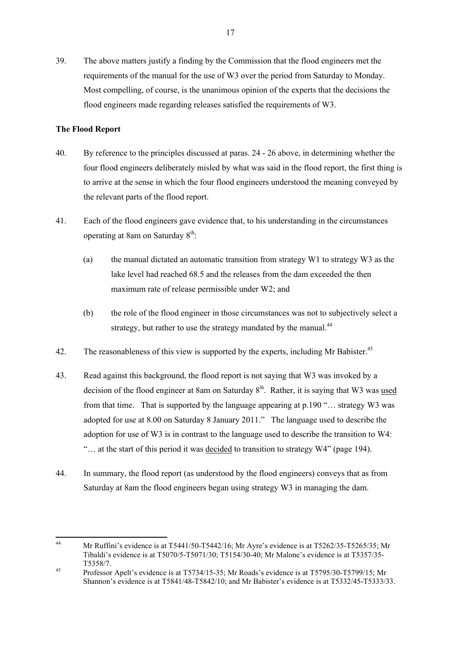39. The above matters justify a finding by the Commission that the flood engineers met the requirements of the manual for the use of W3 over the period from Saturday to Monday. Most compelling, of course, is the unanimous opinion of the experts that the decisions the flood engineers made regarding releases satisfied the requirements of W3.

### **The Flood Report**

- 40. By reference to the principles discussed at paras. 24 26 above, in determining whether the four flood engineers deliberately misled by what was said in the flood report, the first thing is to arrive at the sense in which the four flood engineers understood the meaning conveyed by the relevant parts of the flood report.
- 41. Each of the flood engineers gave evidence that, to his understanding in the circumstances operating at 8am on Saturday 8th:
	- (a) the manual dictated an automatic transition from strategy W1 to strategy W3 as the lake level had reached 68.5 and the releases from the dam exceeded the then maximum rate of release permissible under W2; and
	- (b) the role of the flood engineer in those circumstances was not to subjectively select a strategy, but rather to use the strategy mandated by the manual.<sup>44</sup>
- 42. The reasonableness of this view is supported by the experts, including Mr Babister.<sup>45</sup>
- 43. Read against this background, the flood report is not saying that W3 was invoked by a decision of the flood engineer at 8am on Saturday  $8<sup>th</sup>$ . Rather, it is saying that W3 was used from that time. That is supported by the language appearing at p.190 "… strategy W3 was adopted for use at 8.00 on Saturday 8 January 2011." The language used to describe the adoption for use of W3 is in contrast to the language used to describe the transition to W4: "… at the start of this period it was decided to transition to strategy W4" (page 194).
- 44. In summary, the flood report (as understood by the flood engineers) conveys that as from Saturday at 8am the flood engineers began using strategy W3 in managing the dam.

<sup>44</sup> <sup>44</sup> Mr Ruffini's evidence is at T5441/50-T5442/16; Mr Ayre's evidence is at T5262/35-T5265/35; Mr Tibaldi's evidence is at T5070/5-T5071/30; T5154/30-40; Mr Malone's evidence is at T5357/35- T5358/7.

<sup>45</sup> Professor Apelt's evidence is at T5734/15-35; Mr Roads's evidence is at T5795/30-T5799/15; Mr Shannon's evidence is at T5841/48-T5842/10; and Mr Babister's evidence is at T5332/45-T5333/33.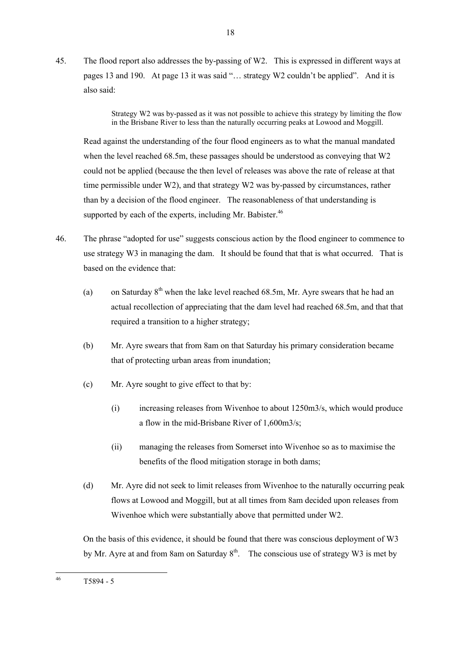45. The flood report also addresses the by-passing of W2. This is expressed in different ways at pages 13 and 190. At page 13 it was said "… strategy W2 couldn't be applied". And it is also said:

18

Strategy W2 was by-passed as it was not possible to achieve this strategy by limiting the flow in the Brisbane River to less than the naturally occurring peaks at Lowood and Moggill.

Read against the understanding of the four flood engineers as to what the manual mandated when the level reached 68.5m, these passages should be understood as conveying that W2 could not be applied (because the then level of releases was above the rate of release at that time permissible under W2), and that strategy W2 was by-passed by circumstances, rather than by a decision of the flood engineer. The reasonableness of that understanding is supported by each of the experts, including Mr. Babister. $46$ 

- 46. The phrase "adopted for use" suggests conscious action by the flood engineer to commence to use strategy W3 in managing the dam. It should be found that that is what occurred. That is based on the evidence that:
	- (a) on Saturday  $8<sup>th</sup>$  when the lake level reached 68.5m, Mr. Ayre swears that he had an actual recollection of appreciating that the dam level had reached 68.5m, and that that required a transition to a higher strategy;
	- (b) Mr. Ayre swears that from 8am on that Saturday his primary consideration became that of protecting urban areas from inundation;
	- (c) Mr. Ayre sought to give effect to that by:
		- (i) increasing releases from Wivenhoe to about 1250m3/s, which would produce a flow in the mid-Brisbane River of 1,600m3/s;
		- (ii) managing the releases from Somerset into Wivenhoe so as to maximise the benefits of the flood mitigation storage in both dams;
	- (d) Mr. Ayre did not seek to limit releases from Wivenhoe to the naturally occurring peak flows at Lowood and Moggill, but at all times from 8am decided upon releases from Wivenhoe which were substantially above that permitted under W2.

On the basis of this evidence, it should be found that there was conscious deployment of W3 by Mr. Ayre at and from 8am on Saturday  $8<sup>th</sup>$ . The conscious use of strategy W3 is met by

 $46$ T5894 - 5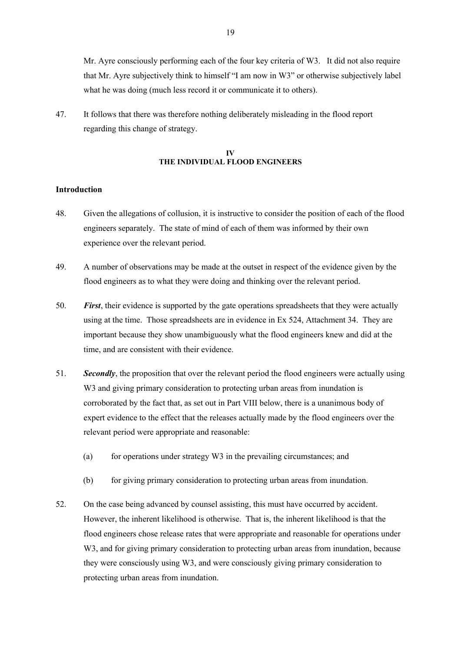Mr. Ayre consciously performing each of the four key criteria of W3. It did not also require that Mr. Ayre subjectively think to himself "I am now in W3" or otherwise subjectively label what he was doing (much less record it or communicate it to others).

47. It follows that there was therefore nothing deliberately misleading in the flood report regarding this change of strategy.

### **IV THE INDIVIDUAL FLOOD ENGINEERS**

#### **Introduction**

- 48. Given the allegations of collusion, it is instructive to consider the position of each of the flood engineers separately. The state of mind of each of them was informed by their own experience over the relevant period.
- 49. A number of observations may be made at the outset in respect of the evidence given by the flood engineers as to what they were doing and thinking over the relevant period.
- 50. *First*, their evidence is supported by the gate operations spreadsheets that they were actually using at the time. Those spreadsheets are in evidence in Ex 524, Attachment 34. They are important because they show unambiguously what the flood engineers knew and did at the time, and are consistent with their evidence.
- 51. *Secondly*, the proposition that over the relevant period the flood engineers were actually using W<sub>3</sub> and giving primary consideration to protecting urban areas from inundation is corroborated by the fact that, as set out in Part VIII below, there is a unanimous body of expert evidence to the effect that the releases actually made by the flood engineers over the relevant period were appropriate and reasonable:
	- (a) for operations under strategy W3 in the prevailing circumstances; and
	- (b) for giving primary consideration to protecting urban areas from inundation.
- 52. On the case being advanced by counsel assisting, this must have occurred by accident. However, the inherent likelihood is otherwise. That is, the inherent likelihood is that the flood engineers chose release rates that were appropriate and reasonable for operations under W<sub>3</sub>, and for giving primary consideration to protecting urban areas from inundation, because they were consciously using W3, and were consciously giving primary consideration to protecting urban areas from inundation.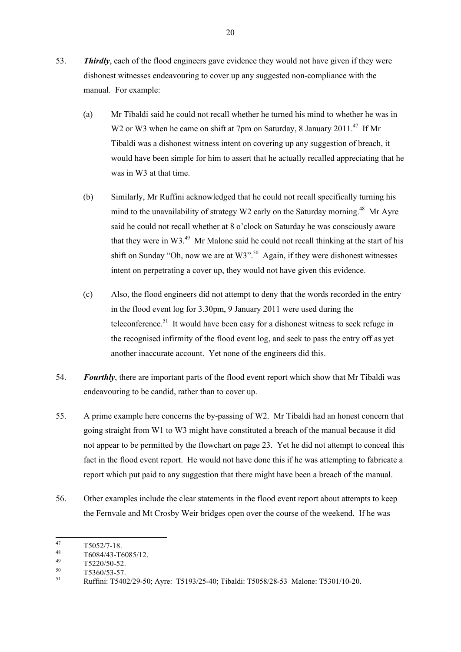- 53. *Thirdly*, each of the flood engineers gave evidence they would not have given if they were dishonest witnesses endeavouring to cover up any suggested non-compliance with the manual. For example:
	- (a) Mr Tibaldi said he could not recall whether he turned his mind to whether he was in W2 or W3 when he came on shift at 7pm on Saturday, 8 January 2011.<sup>47</sup> If Mr Tibaldi was a dishonest witness intent on covering up any suggestion of breach, it would have been simple for him to assert that he actually recalled appreciating that he was in W3 at that time.
	- (b) Similarly, Mr Ruffini acknowledged that he could not recall specifically turning his mind to the unavailability of strategy W2 early on the Saturday morning.<sup>48</sup> Mr Ayre said he could not recall whether at 8 o'clock on Saturday he was consciously aware that they were in W3. $49$  Mr Malone said he could not recall thinking at the start of his shift on Sunday "Oh, now we are at W3".<sup>50</sup> Again, if they were dishonest witnesses intent on perpetrating a cover up, they would not have given this evidence.
	- (c) Also, the flood engineers did not attempt to deny that the words recorded in the entry in the flood event log for 3.30pm, 9 January 2011 were used during the teleconference.<sup>51</sup> It would have been easy for a dishonest witness to seek refuge in the recognised infirmity of the flood event log, and seek to pass the entry off as yet another inaccurate account. Yet none of the engineers did this.
- 54. *Fourthly*, there are important parts of the flood event report which show that Mr Tibaldi was endeavouring to be candid, rather than to cover up.
- 55. A prime example here concerns the by-passing of W2. Mr Tibaldi had an honest concern that going straight from W1 to W3 might have constituted a breach of the manual because it did not appear to be permitted by the flowchart on page 23. Yet he did not attempt to conceal this fact in the flood event report. He would not have done this if he was attempting to fabricate a report which put paid to any suggestion that there might have been a breach of the manual.
- 56. Other examples include the clear statements in the flood event report about attempts to keep the Fernvale and Mt Crosby Weir bridges open over the course of the weekend. If he was

<sup>47</sup>  $^{47}$  T5052/7-18.

 $^{48}$  T6084/43-T6085/12.

 $^{49}$  T5220/50-52.

 $^{50}$  T5360/53-57.

<sup>51</sup> Ruffini: T5402/29-50; Ayre: T5193/25-40; Tibaldi: T5058/28-53 Malone: T5301/10-20.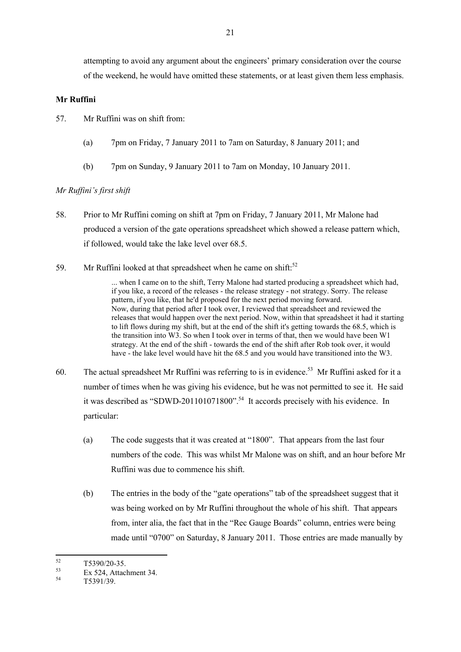attempting to avoid any argument about the engineers' primary consideration over the course of the weekend, he would have omitted these statements, or at least given them less emphasis.

### **Mr Ruffini**

57. Mr Ruffini was on shift from:

- (a) 7pm on Friday, 7 January 2011 to 7am on Saturday, 8 January 2011; and
- (b) 7pm on Sunday, 9 January 2011 to 7am on Monday, 10 January 2011.

# *Mr Ruffini's first shift*

- 58. Prior to Mr Ruffini coming on shift at 7pm on Friday, 7 January 2011, Mr Malone had produced a version of the gate operations spreadsheet which showed a release pattern which, if followed, would take the lake level over 68.5.
- 59. Mr Ruffini looked at that spreadsheet when he came on shift:<sup>52</sup>

... when I came on to the shift, Terry Malone had started producing a spreadsheet which had, if you like, a record of the releases - the release strategy - not strategy. Sorry. The release pattern, if you like, that he'd proposed for the next period moving forward. Now, during that period after I took over, I reviewed that spreadsheet and reviewed the releases that would happen over the next period. Now, within that spreadsheet it had it starting to lift flows during my shift, but at the end of the shift it's getting towards the 68.5, which is the transition into W3. So when I took over in terms of that, then we would have been W1 strategy. At the end of the shift - towards the end of the shift after Rob took over, it would have - the lake level would have hit the 68.5 and you would have transitioned into the W3.

- 60. The actual spreadsheet Mr Ruffini was referring to is in evidence.<sup>53</sup> Mr Ruffini asked for it a number of times when he was giving his evidence, but he was not permitted to see it. He said it was described as "SDWD-201101071800".<sup>54</sup> It accords precisely with his evidence. In particular:
	- (a) The code suggests that it was created at "1800". That appears from the last four numbers of the code. This was whilst Mr Malone was on shift, and an hour before Mr Ruffini was due to commence his shift.
	- (b) The entries in the body of the "gate operations" tab of the spreadsheet suggest that it was being worked on by Mr Ruffini throughout the whole of his shift. That appears from, inter alia, the fact that in the "Rec Gauge Boards" column, entries were being made until "0700" on Saturday, 8 January 2011. Those entries are made manually by

<sup>52</sup>  $^{52}$  T5390/20-35.

 $53$  Ex 524, Attachment 34.

T5391/39.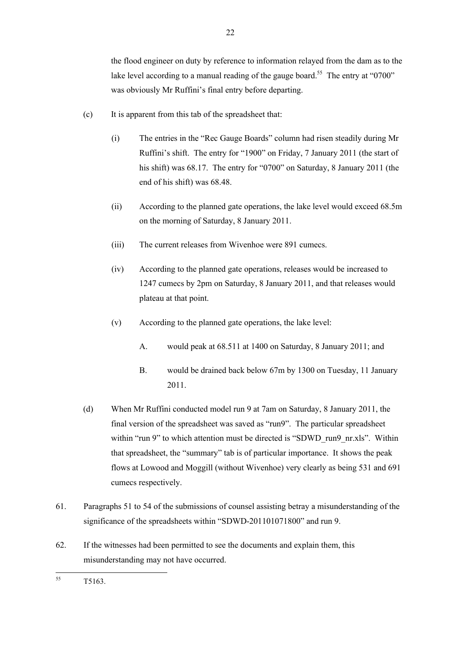the flood engineer on duty by reference to information relayed from the dam as to the lake level according to a manual reading of the gauge board.<sup>55</sup> The entry at "0700" was obviously Mr Ruffini's final entry before departing.

- (c) It is apparent from this tab of the spreadsheet that:
	- (i) The entries in the "Rec Gauge Boards" column had risen steadily during Mr Ruffini's shift. The entry for "1900" on Friday, 7 January 2011 (the start of his shift) was 68.17. The entry for "0700" on Saturday, 8 January 2011 (the end of his shift) was 68.48.
	- (ii) According to the planned gate operations, the lake level would exceed 68.5m on the morning of Saturday, 8 January 2011.
	- (iii) The current releases from Wivenhoe were 891 cumecs.
	- (iv) According to the planned gate operations, releases would be increased to 1247 cumecs by 2pm on Saturday, 8 January 2011, and that releases would plateau at that point.
	- (v) According to the planned gate operations, the lake level:
		- A. would peak at 68.511 at 1400 on Saturday, 8 January 2011; and
		- B. would be drained back below 67m by 1300 on Tuesday, 11 January 2011.
- (d) When Mr Ruffini conducted model run 9 at 7am on Saturday, 8 January 2011, the final version of the spreadsheet was saved as "run9". The particular spreadsheet within "run 9" to which attention must be directed is "SDWD\_run9\_nr.xls". Within that spreadsheet, the "summary" tab is of particular importance. It shows the peak flows at Lowood and Moggill (without Wivenhoe) very clearly as being 531 and 691 cumecs respectively.
- 61. Paragraphs 51 to 54 of the submissions of counsel assisting betray a misunderstanding of the significance of the spreadsheets within "SDWD-201101071800" and run 9.
- 62. If the witnesses had been permitted to see the documents and explain them, this misunderstanding may not have occurred.

<sup>55</sup> T<sub>5163</sub>.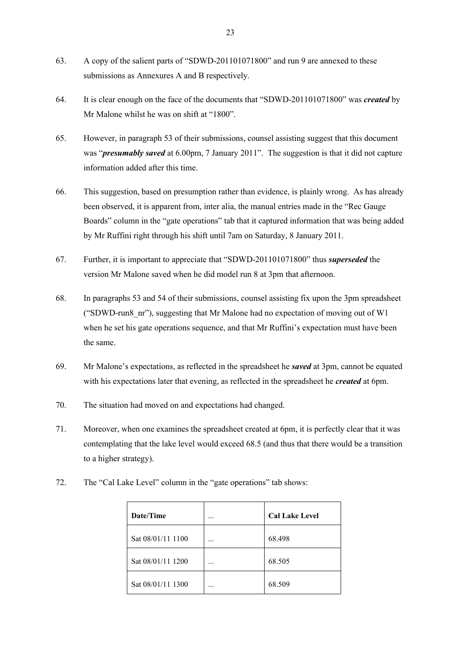- 63. A copy of the salient parts of "SDWD-201101071800" and run 9 are annexed to these submissions as Annexures A and B respectively.
- 64. It is clear enough on the face of the documents that "SDWD-201101071800" was *created* by Mr Malone whilst he was on shift at "1800".
- 65. However, in paragraph 53 of their submissions, counsel assisting suggest that this document was "*presumably saved* at 6.00pm, 7 January 2011". The suggestion is that it did not capture information added after this time.
- 66. This suggestion, based on presumption rather than evidence, is plainly wrong. As has already been observed, it is apparent from, inter alia, the manual entries made in the "Rec Gauge Boards" column in the "gate operations" tab that it captured information that was being added by Mr Ruffini right through his shift until 7am on Saturday, 8 January 2011.
- 67. Further, it is important to appreciate that "SDWD-201101071800" thus *superseded* the version Mr Malone saved when he did model run 8 at 3pm that afternoon.
- 68. In paragraphs 53 and 54 of their submissions, counsel assisting fix upon the 3pm spreadsheet ("SDWD-run8  $\pi$ "), suggesting that Mr Malone had no expectation of moving out of W1 when he set his gate operations sequence, and that Mr Ruffini's expectation must have been the same.
- 69. Mr Malone's expectations, as reflected in the spreadsheet he *saved* at 3pm, cannot be equated with his expectations later that evening, as reflected in the spreadsheet he *created* at 6pm.
- 70. The situation had moved on and expectations had changed.
- 71. Moreover, when one examines the spreadsheet created at 6pm, it is perfectly clear that it was contemplating that the lake level would exceed 68.5 (and thus that there would be a transition to a higher strategy).
- 72. The "Cal Lake Level" column in the "gate operations" tab shows:

| Date/Time         |   | <b>Cal Lake Level</b> |  |
|-------------------|---|-----------------------|--|
| Sat 08/01/11 1100 | . | 68.498                |  |
| Sat 08/01/11 1200 | . | 68.505                |  |
| Sat 08/01/11 1300 | . | 68.509                |  |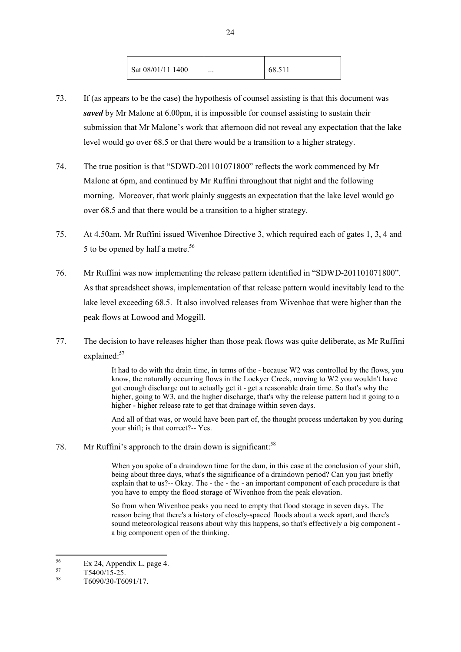| Sat 08/01/11 1400<br>$\cdots$ | 68.511 |
|-------------------------------|--------|
|-------------------------------|--------|

- 73. If (as appears to be the case) the hypothesis of counsel assisting is that this document was *saved* by Mr Malone at 6.00pm, it is impossible for counsel assisting to sustain their submission that Mr Malone's work that afternoon did not reveal any expectation that the lake level would go over 68.5 or that there would be a transition to a higher strategy.
- 74. The true position is that "SDWD-201101071800" reflects the work commenced by Mr Malone at 6pm, and continued by Mr Ruffini throughout that night and the following morning. Moreover, that work plainly suggests an expectation that the lake level would go over 68.5 and that there would be a transition to a higher strategy.
- 75. At 4.50am, Mr Ruffini issued Wivenhoe Directive 3, which required each of gates 1, 3, 4 and 5 to be opened by half a metre.<sup>56</sup>
- 76. Mr Ruffini was now implementing the release pattern identified in "SDWD-201101071800". As that spreadsheet shows, implementation of that release pattern would inevitably lead to the lake level exceeding 68.5. It also involved releases from Wivenhoe that were higher than the peak flows at Lowood and Moggill.
- 77. The decision to have releases higher than those peak flows was quite deliberate, as Mr Ruffini explained:<sup>57</sup>

It had to do with the drain time, in terms of the - because W2 was controlled by the flows, you know, the naturally occurring flows in the Lockyer Creek, moving to W2 you wouldn't have got enough discharge out to actually get it - get a reasonable drain time. So that's why the higher, going to W3, and the higher discharge, that's why the release pattern had it going to a higher - higher release rate to get that drainage within seven days.

And all of that was, or would have been part of, the thought process undertaken by you during your shift; is that correct?-- Yes.

78. Mr Ruffini's approach to the drain down is significant:<sup>58</sup>

When you spoke of a draindown time for the dam, in this case at the conclusion of your shift, being about three days, what's the significance of a draindown period? Can you just briefly explain that to us?-- Okay. The - the - the - an important component of each procedure is that you have to empty the flood storage of Wivenhoe from the peak elevation.

So from when Wivenhoe peaks you need to empty that flood storage in seven days. The reason being that there's a history of closely-spaced floods about a week apart, and there's sound meteorological reasons about why this happens, so that's effectively a big component a big component open of the thinking.

<sup>56</sup>  $56$  Ex 24, Appendix L, page 4.

 $^{57}$  T5400/15-25.

<sup>58</sup> T6090/30-T6091/17.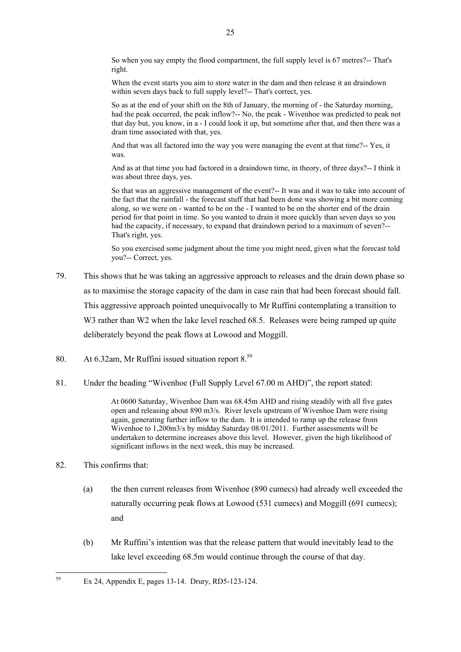So when you say empty the flood compartment, the full supply level is 67 metres?-- That's right.

When the event starts you aim to store water in the dam and then release it an draindown within seven days back to full supply level?-- That's correct, yes.

So as at the end of your shift on the 8th of January, the morning of - the Saturday morning, had the peak occurred, the peak inflow?-- No, the peak - Wivenhoe was predicted to peak not that day but, you know, in a - I could look it up, but sometime after that, and then there was a drain time associated with that, yes.

And that was all factored into the way you were managing the event at that time?-- Yes, it was.

And as at that time you had factored in a draindown time, in theory, of three days?-- I think it was about three days, yes.

So that was an aggressive management of the event?-- It was and it was to take into account of the fact that the rainfall - the forecast stuff that had been done was showing a bit more coming along, so we were on - wanted to be on the - I wanted to be on the shorter end of the drain period for that point in time. So you wanted to drain it more quickly than seven days so you had the capacity, if necessary, to expand that draindown period to a maximum of seven?-- That's right, yes.

So you exercised some judgment about the time you might need, given what the forecast told you?-- Correct, yes.

- 79. This shows that he was taking an aggressive approach to releases and the drain down phase so as to maximise the storage capacity of the dam in case rain that had been forecast should fall. This aggressive approach pointed unequivocally to Mr Ruffini contemplating a transition to W<sub>3</sub> rather than W<sub>2</sub> when the lake level reached 68.5. Releases were being ramped up quite deliberately beyond the peak flows at Lowood and Moggill.
- 80. At 6.32am, Mr Ruffini issued situation report 8.<sup>59</sup>
- 81. Under the heading "Wivenhoe (Full Supply Level 67.00 m AHD)", the report stated:

At 0600 Saturday, Wivenhoe Dam was 68.45m AHD and rising steadily with all five gates open and releasing about 890 m3/s. River levels upstream of Wivenhoe Dam were rising again, generating further inflow to the dam. It is intended to ramp up the release from Wivenhoe to 1,200m3/s by midday Saturday 08/01/2011. Further assessments will be undertaken to determine increases above this level. However, given the high likelihood of significant inflows in the next week, this may be increased.

# 82. This confirms that:

59

- (a) the then current releases from Wivenhoe (890 cumecs) had already well exceeded the naturally occurring peak flows at Lowood (531 cumecs) and Moggill (691 cumecs); and
- (b) Mr Ruffini's intention was that the release pattern that would inevitably lead to the lake level exceeding 68.5m would continue through the course of that day.

Ex 24, Appendix E, pages 13-14. Drury, RD5-123-124.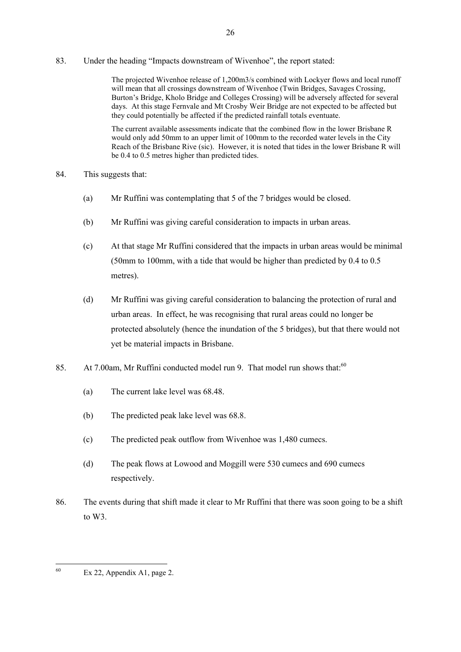83. Under the heading "Impacts downstream of Wivenhoe", the report stated:

The projected Wivenhoe release of 1,200m3/s combined with Lockyer flows and local runoff will mean that all crossings downstream of Wivenhoe (Twin Bridges, Savages Crossing, Burton's Bridge, Kholo Bridge and Colleges Crossing) will be adversely affected for several days. At this stage Fernvale and Mt Crosby Weir Bridge are not expected to be affected but they could potentially be affected if the predicted rainfall totals eventuate.

The current available assessments indicate that the combined flow in the lower Brisbane R would only add 50mm to an upper limit of 100mm to the recorded water levels in the City Reach of the Brisbane Rive (sic). However, it is noted that tides in the lower Brisbane R will be 0.4 to 0.5 metres higher than predicted tides.

- 84. This suggests that:
	- (a) Mr Ruffini was contemplating that 5 of the 7 bridges would be closed.
	- (b) Mr Ruffini was giving careful consideration to impacts in urban areas.
	- (c) At that stage Mr Ruffini considered that the impacts in urban areas would be minimal (50mm to 100mm, with a tide that would be higher than predicted by 0.4 to 0.5 metres).
	- (d) Mr Ruffini was giving careful consideration to balancing the protection of rural and urban areas. In effect, he was recognising that rural areas could no longer be protected absolutely (hence the inundation of the 5 bridges), but that there would not yet be material impacts in Brisbane.
- 85. At 7.00am, Mr Ruffini conducted model run 9. That model run shows that:<sup>60</sup>
	- (a) The current lake level was 68.48.
	- (b) The predicted peak lake level was 68.8.
	- (c) The predicted peak outflow from Wivenhoe was 1,480 cumecs.
	- (d) The peak flows at Lowood and Moggill were 530 cumecs and 690 cumecs respectively.
- 86. The events during that shift made it clear to Mr Ruffini that there was soon going to be a shift to W3.

26

<sup>60</sup> Ex 22, Appendix A1, page 2.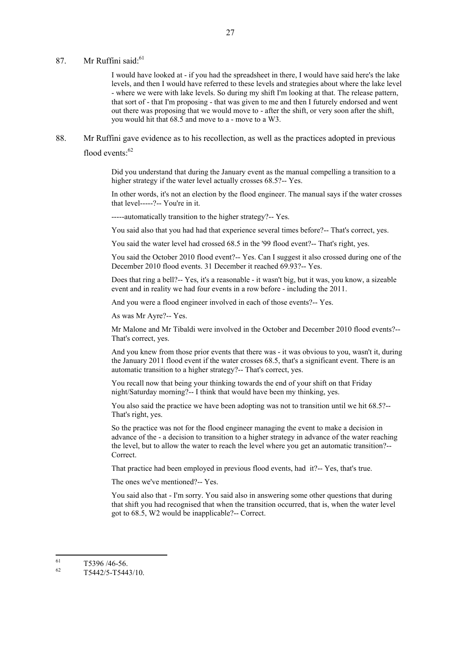### 87. Mr Ruffini said:<sup>61</sup>

I would have looked at - if you had the spreadsheet in there, I would have said here's the lake levels, and then I would have referred to these levels and strategies about where the lake level - where we were with lake levels. So during my shift I'm looking at that. The release pattern, that sort of - that I'm proposing - that was given to me and then I futurely endorsed and went out there was proposing that we would move to - after the shift, or very soon after the shift, you would hit that 68.5 and move to a - move to a W3.

88. Mr Ruffini gave evidence as to his recollection, as well as the practices adopted in previous flood events<sup>.62</sup>

> Did you understand that during the January event as the manual compelling a transition to a higher strategy if the water level actually crosses 68.5?-- Yes.

In other words, it's not an election by the flood engineer. The manual says if the water crosses that level-----?-- You're in it.

-----automatically transition to the higher strategy?-- Yes.

You said also that you had had that experience several times before?-- That's correct, yes.

You said the water level had crossed 68.5 in the '99 flood event?-- That's right, yes.

You said the October 2010 flood event?-- Yes. Can I suggest it also crossed during one of the December 2010 flood events. 31 December it reached 69.93?-- Yes.

Does that ring a bell?-- Yes, it's a reasonable - it wasn't big, but it was, you know, a sizeable event and in reality we had four events in a row before - including the 2011.

And you were a flood engineer involved in each of those events?-- Yes.

As was Mr Ayre?-- Yes.

Mr Malone and Mr Tibaldi were involved in the October and December 2010 flood events?-- That's correct, yes.

And you knew from those prior events that there was - it was obvious to you, wasn't it, during the January 2011 flood event if the water crosses 68.5, that's a significant event. There is an automatic transition to a higher strategy?-- That's correct, yes.

You recall now that being your thinking towards the end of your shift on that Friday night/Saturday morning?-- I think that would have been my thinking, yes.

You also said the practice we have been adopting was not to transition until we hit 68.5?-- That's right, yes.

So the practice was not for the flood engineer managing the event to make a decision in advance of the - a decision to transition to a higher strategy in advance of the water reaching the level, but to allow the water to reach the level where you get an automatic transition?-- Correct.

That practice had been employed in previous flood events, had it?-- Yes, that's true.

The ones we've mentioned?-- Yes.

You said also that - I'm sorry. You said also in answering some other questions that during that shift you had recognised that when the transition occurred, that is, when the water level got to 68.5, W2 would be inapplicable?-- Correct.

<sup>61</sup>  $\frac{61}{62}$  T5396/46-56.

<sup>62</sup> T5442/5-T5443/10.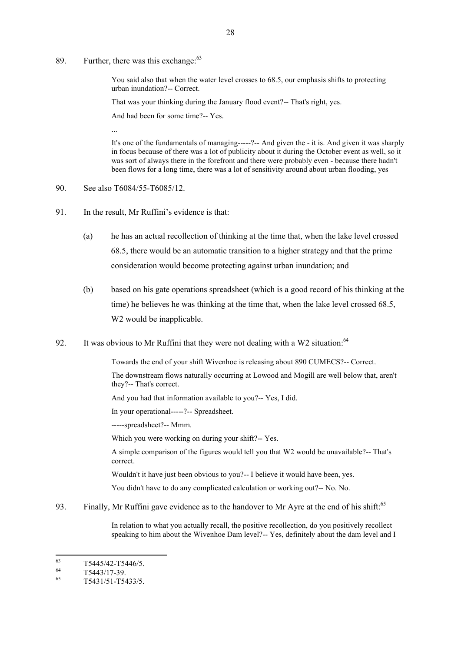89. Further, there was this exchange:  $63$ 

You said also that when the water level crosses to 68.5, our emphasis shifts to protecting urban inundation?-- Correct.

That was your thinking during the January flood event?-- That's right, yes.

And had been for some time?-- Yes.

It's one of the fundamentals of managing-----?-- And given the - it is. And given it was sharply in focus because of there was a lot of publicity about it during the October event as well, so it was sort of always there in the forefront and there were probably even - because there hadn't been flows for a long time, there was a lot of sensitivity around about urban flooding, yes

90. See also T6084/55-T6085/12.

...

- 91. In the result, Mr Ruffini's evidence is that:
	- (a) he has an actual recollection of thinking at the time that, when the lake level crossed 68.5, there would be an automatic transition to a higher strategy and that the prime consideration would become protecting against urban inundation; and
	- (b) based on his gate operations spreadsheet (which is a good record of his thinking at the time) he believes he was thinking at the time that, when the lake level crossed 68.5, W<sub>2</sub> would be inapplicable.
- 92. It was obvious to Mr Ruffini that they were not dealing with a W2 situation: $64$

Towards the end of your shift Wivenhoe is releasing about 890 CUMECS?-- Correct.

The downstream flows naturally occurring at Lowood and Mogill are well below that, aren't they?-- That's correct.

And you had that information available to you?-- Yes, I did.

In your operational-----?-- Spreadsheet.

-----spreadsheet?-- Mmm.

Which you were working on during your shift?-- Yes.

A simple comparison of the figures would tell you that W2 would be unavailable?-- That's correct.

Wouldn't it have just been obvious to you?-- I believe it would have been, yes.

You didn't have to do any complicated calculation or working out?-- No. No.

93. Finally, Mr Ruffini gave evidence as to the handover to Mr Ayre at the end of his shift:<sup>65</sup>

In relation to what you actually recall, the positive recollection, do you positively recollect speaking to him about the Wivenhoe Dam level?-- Yes, definitely about the dam level and I

<sup>63</sup>  $\frac{63}{64}$  T5445/42-T5446/5.

 $\frac{64}{65}$  T5443/17-39.

<sup>65</sup> T5431/51-T5433/5.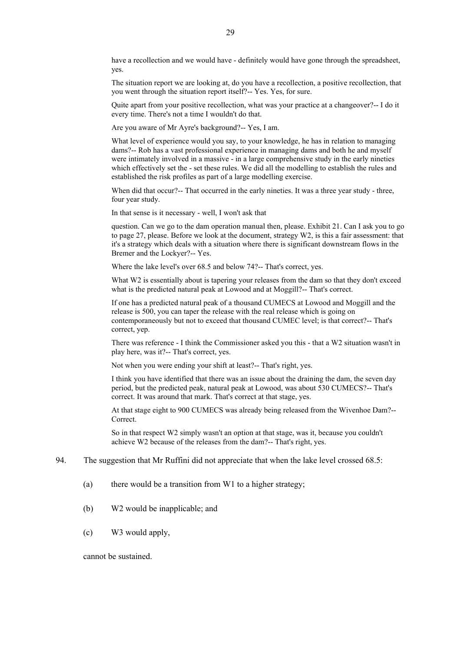have a recollection and we would have - definitely would have gone through the spreadsheet, yes.

The situation report we are looking at, do you have a recollection, a positive recollection, that you went through the situation report itself?-- Yes. Yes, for sure.

Quite apart from your positive recollection, what was your practice at a changeover?-- I do it every time. There's not a time I wouldn't do that.

Are you aware of Mr Ayre's background?-- Yes, I am.

What level of experience would you say, to your knowledge, he has in relation to managing dams?-- Rob has a vast professional experience in managing dams and both he and myself were intimately involved in a massive - in a large comprehensive study in the early nineties which effectively set the - set these rules. We did all the modelling to establish the rules and established the risk profiles as part of a large modelling exercise.

When did that occur?-- That occurred in the early nineties. It was a three year study - three, four year study.

In that sense is it necessary - well, I won't ask that

question. Can we go to the dam operation manual then, please. Exhibit 21. Can I ask you to go to page 27, please. Before we look at the document, strategy W2, is this a fair assessment: that it's a strategy which deals with a situation where there is significant downstream flows in the Bremer and the Lockyer?-- Yes.

Where the lake level's over 68.5 and below 74?-- That's correct, yes.

What W2 is essentially about is tapering your releases from the dam so that they don't exceed what is the predicted natural peak at Lowood and at Moggill?-- That's correct.

If one has a predicted natural peak of a thousand CUMECS at Lowood and Moggill and the release is 500, you can taper the release with the real release which is going on contemporaneously but not to exceed that thousand CUMEC level; is that correct?-- That's correct, yep.

There was reference - I think the Commissioner asked you this - that a W2 situation wasn't in play here, was it?-- That's correct, yes.

Not when you were ending your shift at least?-- That's right, yes.

I think you have identified that there was an issue about the draining the dam, the seven day period, but the predicted peak, natural peak at Lowood, was about 530 CUMECS?-- That's correct. It was around that mark. That's correct at that stage, yes.

At that stage eight to 900 CUMECS was already being released from the Wivenhoe Dam?-- Correct.

So in that respect W2 simply wasn't an option at that stage, was it, because you couldn't achieve W2 because of the releases from the dam?-- That's right, yes.

94. The suggestion that Mr Ruffini did not appreciate that when the lake level crossed 68.5:

- (a) there would be a transition from W1 to a higher strategy;
- (b) W2 would be inapplicable; and
- (c) W3 would apply,

cannot be sustained.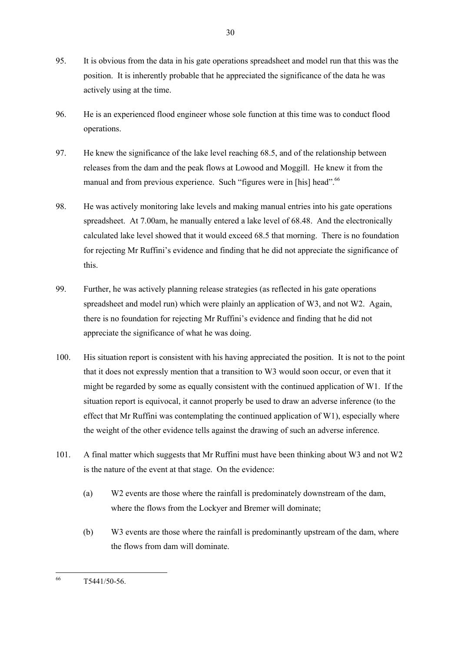- 95. It is obvious from the data in his gate operations spreadsheet and model run that this was the position. It is inherently probable that he appreciated the significance of the data he was actively using at the time.
- 96. He is an experienced flood engineer whose sole function at this time was to conduct flood operations.
- 97. He knew the significance of the lake level reaching 68.5, and of the relationship between releases from the dam and the peak flows at Lowood and Moggill. He knew it from the manual and from previous experience. Such "figures were in [his] head".<sup>66</sup>
- 98. He was actively monitoring lake levels and making manual entries into his gate operations spreadsheet. At 7.00am, he manually entered a lake level of 68.48. And the electronically calculated lake level showed that it would exceed 68.5 that morning. There is no foundation for rejecting Mr Ruffini's evidence and finding that he did not appreciate the significance of this.
- 99. Further, he was actively planning release strategies (as reflected in his gate operations spreadsheet and model run) which were plainly an application of W3, and not W2. Again, there is no foundation for rejecting Mr Ruffini's evidence and finding that he did not appreciate the significance of what he was doing.
- 100. His situation report is consistent with his having appreciated the position. It is not to the point that it does not expressly mention that a transition to W3 would soon occur, or even that it might be regarded by some as equally consistent with the continued application of W1. If the situation report is equivocal, it cannot properly be used to draw an adverse inference (to the effect that Mr Ruffini was contemplating the continued application of W1), especially where the weight of the other evidence tells against the drawing of such an adverse inference.
- 101. A final matter which suggests that Mr Ruffini must have been thinking about W3 and not W2 is the nature of the event at that stage. On the evidence:
	- (a) W2 events are those where the rainfall is predominately downstream of the dam, where the flows from the Lockyer and Bremer will dominate;
	- (b) W3 events are those where the rainfall is predominantly upstream of the dam, where the flows from dam will dominate.

<sup>66</sup> T5441/50-56.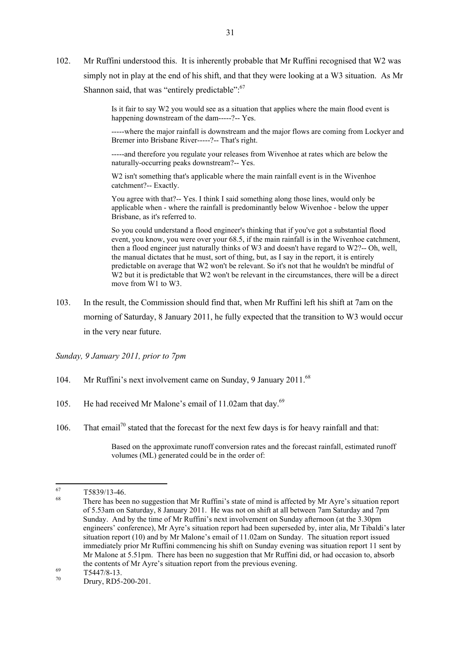102. Mr Ruffini understood this. It is inherently probable that Mr Ruffini recognised that W2 was simply not in play at the end of his shift, and that they were looking at a W3 situation. As Mr Shannon said, that was "entirely predictable": $67$ 

> Is it fair to say W2 you would see as a situation that applies where the main flood event is happening downstream of the dam-----?-- Yes.

-----where the major rainfall is downstream and the major flows are coming from Lockyer and Bremer into Brisbane River-----?-- That's right.

-----and therefore you regulate your releases from Wivenhoe at rates which are below the naturally-occurring peaks downstream?-- Yes.

W<sub>2</sub> isn't something that's applicable where the main rainfall event is in the Wivenhoe catchment?-- Exactly.

You agree with that?-- Yes. I think I said something along those lines, would only be applicable when - where the rainfall is predominantly below Wivenhoe - below the upper Brisbane, as it's referred to.

So you could understand a flood engineer's thinking that if you've got a substantial flood event, you know, you were over your 68.5, if the main rainfall is in the Wivenhoe catchment, then a flood engineer just naturally thinks of W3 and doesn't have regard to W2?-- Oh, well, the manual dictates that he must, sort of thing, but, as I say in the report, it is entirely predictable on average that W2 won't be relevant. So it's not that he wouldn't be mindful of W<sub>2</sub> but it is predictable that W<sub>2</sub> won't be relevant in the circumstances, there will be a direct move from  $\hat{W}$ 1 to W3.

103. In the result, the Commission should find that, when Mr Ruffini left his shift at 7am on the morning of Saturday, 8 January 2011, he fully expected that the transition to W3 would occur in the very near future.

*Sunday, 9 January 2011, prior to 7pm*

- 104. Mr Ruffini's next involvement came on Sunday, 9 January 2011.<sup>68</sup>
- 105. He had received Mr Malone's email of 11.02am that day.<sup>69</sup>
- 106. That email<sup>70</sup> stated that the forecast for the next few days is for heavy rainfall and that:

Based on the approximate runoff conversion rates and the forecast rainfall, estimated runoff volumes (ML) generated could be in the order of:

<sup>67</sup>  $\frac{67}{68}$  T5839/13-46.

There has been no suggestion that Mr Ruffini's state of mind is affected by Mr Ayre's situation report of 5.53am on Saturday, 8 January 2011. He was not on shift at all between 7am Saturday and 7pm Sunday. And by the time of Mr Ruffini's next involvement on Sunday afternoon (at the 3.30pm engineers' conference), Mr Ayre's situation report had been superseded by, inter alia, Mr Tibaldi's later situation report (10) and by Mr Malone's email of 11.02am on Sunday. The situation report issued immediately prior Mr Ruffini commencing his shift on Sunday evening was situation report 11 sent by Mr Malone at 5.51pm. There has been no suggestion that Mr Ruffini did, or had occasion to, absorb the contents of Mr Ayre's situation report from the previous evening.

 $\frac{69}{70}$  T5447/8-13.

Drury, RD5-200-201.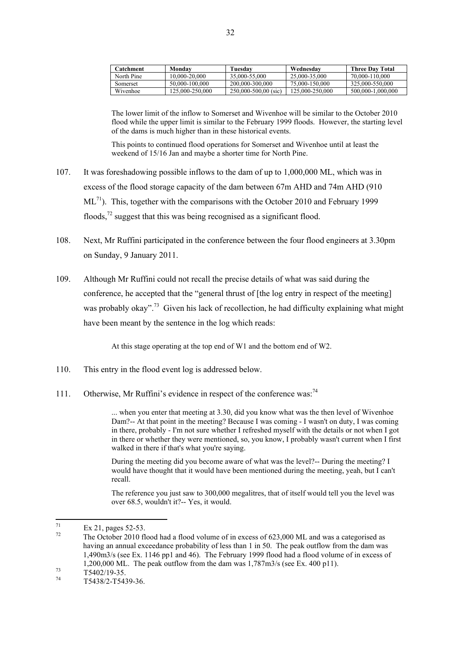| Catchment  | Monday          | Tuesdav                  | Wednesdav       | <b>Three Day Total</b> |
|------------|-----------------|--------------------------|-----------------|------------------------|
| North Pine | 10.000-20.000   | 35.000-55.000            | 25,000-35,000   | 70.000-110.000         |
| Somerset   | 50.000-100.000  | 200,000-300,000          | 75.000-150.000  | 325,000-550,000        |
| Wivenhoe   | 125,000-250,000 | $250,000 - 500,00$ (sic) | 125,000-250,000 | 500.000-1.000.000      |

The lower limit of the inflow to Somerset and Wivenhoe will be similar to the October 2010 flood while the upper limit is similar to the February 1999 floods. However, the starting level of the dams is much higher than in these historical events.

This points to continued flood operations for Somerset and Wivenhoe until at least the weekend of 15/16 Jan and maybe a shorter time for North Pine.

- 107. It was foreshadowing possible inflows to the dam of up to 1,000,000 ML, which was in excess of the flood storage capacity of the dam between 67m AHD and 74m AHD (910  $ML^{71}$ ). This, together with the comparisons with the October 2010 and February 1999 floods, $^{72}$  suggest that this was being recognised as a significant flood.
- 108. Next, Mr Ruffini participated in the conference between the four flood engineers at 3.30pm on Sunday, 9 January 2011.
- 109. Although Mr Ruffini could not recall the precise details of what was said during the conference, he accepted that the "general thrust of [the log entry in respect of the meeting] was probably okay".<sup>73</sup> Given his lack of recollection, he had difficulty explaining what might have been meant by the sentence in the log which reads:

At this stage operating at the top end of W1 and the bottom end of W2.

- 110. This entry in the flood event log is addressed below.
- 111. Otherwise, Mr Ruffini's evidence in respect of the conference was:<sup>74</sup>

... when you enter that meeting at 3.30, did you know what was the then level of Wivenhoe Dam?-- At that point in the meeting? Because I was coming - I wasn't on duty, I was coming in there, probably - I'm not sure whether I refreshed myself with the details or not when I got in there or whether they were mentioned, so, you know, I probably wasn't current when I first walked in there if that's what you're saying.

During the meeting did you become aware of what was the level?-- During the meeting? I would have thought that it would have been mentioned during the meeting, yeah, but I can't recall.

The reference you just saw to 300,000 megalitres, that of itself would tell you the level was over 68.5, wouldn't it?-- Yes, it would.

 $71$  $\frac{71}{72}$  Ex 21, pages 52-53.

The October 2010 flood had a flood volume of in excess of 623,000 ML and was a categorised as having an annual exceedance probability of less than 1 in 50. The peak outflow from the dam was 1,490m3/s (see Ex. 1146 pp1 and 46). The February 1999 flood had a flood volume of in excess of 1,200,000 ML. The peak outflow from the dam was 1,787m3/s (see Ex. 400 p11).

 $\frac{73}{74}$  T5402/19-35.

<sup>74</sup> T5438/2-T5439-36.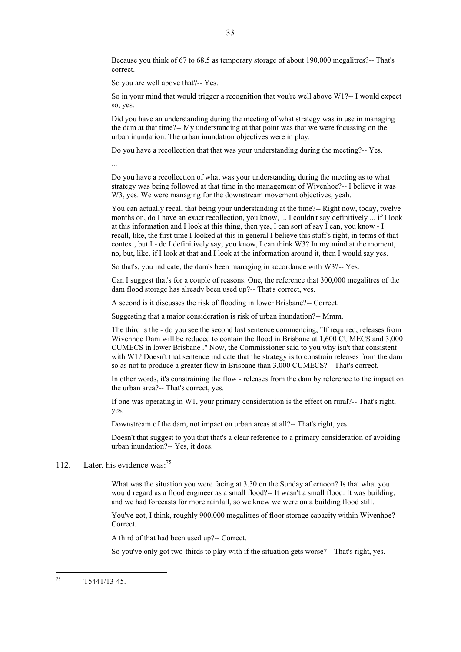Because you think of 67 to 68.5 as temporary storage of about 190,000 megalitres?-- That's correct.

So you are well above that?-- Yes.

So in your mind that would trigger a recognition that you're well above W1?-- I would expect so, yes.

Did you have an understanding during the meeting of what strategy was in use in managing the dam at that time?-- My understanding at that point was that we were focussing on the urban inundation. The urban inundation objectives were in play.

Do you have a recollection that that was your understanding during the meeting?-- Yes.

...

Do you have a recollection of what was your understanding during the meeting as to what strategy was being followed at that time in the management of Wivenhoe?-- I believe it was W3, yes. We were managing for the downstream movement objectives, yeah.

You can actually recall that being your understanding at the time?-- Right now, today, twelve months on, do I have an exact recollection, you know, ... I couldn't say definitively ... if I look at this information and I look at this thing, then yes, I can sort of say I can, you know - I recall, like, the first time I looked at this in general I believe this stuff's right, in terms of that context, but I - do I definitively say, you know, I can think W3? In my mind at the moment, no, but, like, if I look at that and I look at the information around it, then I would say yes.

So that's, you indicate, the dam's been managing in accordance with W3?-- Yes.

Can I suggest that's for a couple of reasons. One, the reference that 300,000 megalitres of the dam flood storage has already been used up?-- That's correct, yes.

A second is it discusses the risk of flooding in lower Brisbane?-- Correct.

Suggesting that a major consideration is risk of urban inundation?-- Mmm.

The third is the - do you see the second last sentence commencing, "If required, releases from Wivenhoe Dam will be reduced to contain the flood in Brisbane at 1,600 CUMECS and 3,000 CUMECS in lower Brisbane ." Now, the Commissioner said to you why isn't that consistent with W1? Doesn't that sentence indicate that the strategy is to constrain releases from the dam so as not to produce a greater flow in Brisbane than 3,000 CUMECS?-- That's correct.

In other words, it's constraining the flow - releases from the dam by reference to the impact on the urban area?-- That's correct, yes.

If one was operating in W1, your primary consideration is the effect on rural?-- That's right, yes.

Downstream of the dam, not impact on urban areas at all?-- That's right, yes.

Doesn't that suggest to you that that's a clear reference to a primary consideration of avoiding urban inundation?-- Yes, it does.

#### 112. Later, his evidence was:<sup>75</sup>

What was the situation you were facing at 3.30 on the Sunday afternoon? Is that what you would regard as a flood engineer as a small flood?-- It wasn't a small flood. It was building, and we had forecasts for more rainfall, so we knew we were on a building flood still.

You've got, I think, roughly 900,000 megalitres of floor storage capacity within Wivenhoe?-- Correct.

A third of that had been used up?-- Correct.

So you've only got two-thirds to play with if the situation gets worse?-- That's right, yes.

75 <sup>75</sup> T5441/13-45.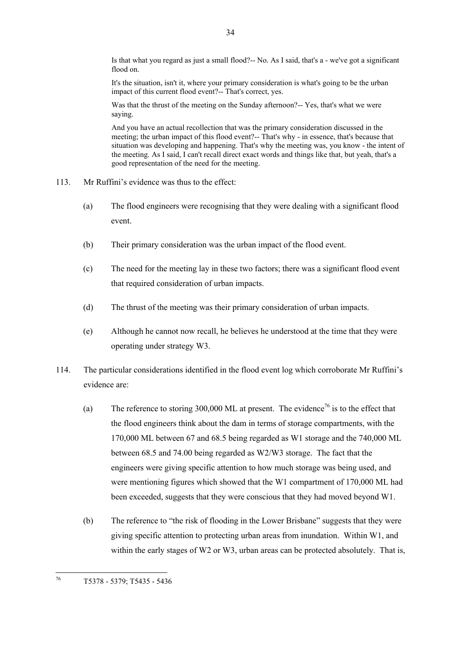Is that what you regard as just a small flood?-- No. As I said, that's a - we've got a significant flood on.

It's the situation, isn't it, where your primary consideration is what's going to be the urban impact of this current flood event?-- That's correct, yes.

Was that the thrust of the meeting on the Sunday afternoon?-- Yes, that's what we were saying.

And you have an actual recollection that was the primary consideration discussed in the meeting; the urban impact of this flood event?-- That's why - in essence, that's because that situation was developing and happening. That's why the meeting was, you know - the intent of the meeting. As I said, I can't recall direct exact words and things like that, but yeah, that's a good representation of the need for the meeting.

- 113. Mr Ruffini's evidence was thus to the effect:
	- (a) The flood engineers were recognising that they were dealing with a significant flood event.
	- (b) Their primary consideration was the urban impact of the flood event.
	- (c) The need for the meeting lay in these two factors; there was a significant flood event that required consideration of urban impacts.
	- (d) The thrust of the meeting was their primary consideration of urban impacts.
	- (e) Although he cannot now recall, he believes he understood at the time that they were operating under strategy W3.
- 114. The particular considerations identified in the flood event log which corroborate Mr Ruffini's evidence are:
	- (a) The reference to storing 300,000 ML at present. The evidence<sup>76</sup> is to the effect that the flood engineers think about the dam in terms of storage compartments, with the 170,000 ML between 67 and 68.5 being regarded as W1 storage and the 740,000 ML between 68.5 and 74.00 being regarded as W2/W3 storage. The fact that the engineers were giving specific attention to how much storage was being used, and were mentioning figures which showed that the W1 compartment of 170,000 ML had been exceeded, suggests that they were conscious that they had moved beyond W1.
	- (b) The reference to "the risk of flooding in the Lower Brisbane" suggests that they were giving specific attention to protecting urban areas from inundation. Within W1, and within the early stages of W2 or W3, urban areas can be protected absolutely. That is,

34

<sup>76</sup> <sup>76</sup> T5378 - 5379; T5435 - 5436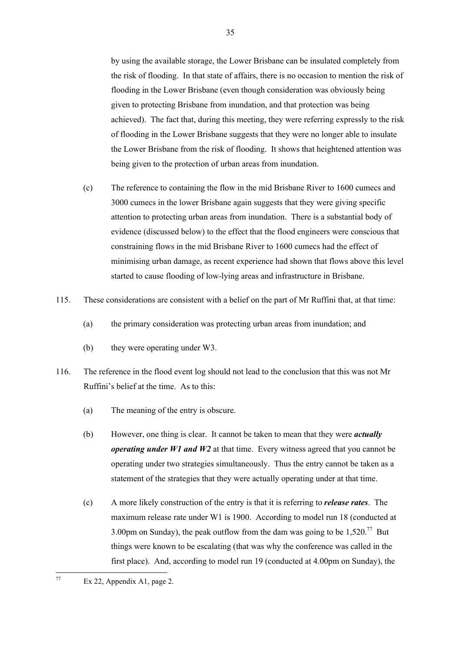by using the available storage, the Lower Brisbane can be insulated completely from the risk of flooding. In that state of affairs, there is no occasion to mention the risk of flooding in the Lower Brisbane (even though consideration was obviously being given to protecting Brisbane from inundation, and that protection was being achieved). The fact that, during this meeting, they were referring expressly to the risk of flooding in the Lower Brisbane suggests that they were no longer able to insulate the Lower Brisbane from the risk of flooding. It shows that heightened attention was being given to the protection of urban areas from inundation.

- (c) The reference to containing the flow in the mid Brisbane River to 1600 cumecs and 3000 cumecs in the lower Brisbane again suggests that they were giving specific attention to protecting urban areas from inundation. There is a substantial body of evidence (discussed below) to the effect that the flood engineers were conscious that constraining flows in the mid Brisbane River to 1600 cumecs had the effect of minimising urban damage, as recent experience had shown that flows above this level started to cause flooding of low-lying areas and infrastructure in Brisbane.
- 115. These considerations are consistent with a belief on the part of Mr Ruffini that, at that time:
	- (a) the primary consideration was protecting urban areas from inundation; and
	- (b) they were operating under W3.
- 116. The reference in the flood event log should not lead to the conclusion that this was not Mr Ruffini's belief at the time. As to this:
	- (a) The meaning of the entry is obscure.
	- (b) However, one thing is clear. It cannot be taken to mean that they were *actually operating under W1 and W2* at that time. Every witness agreed that you cannot be operating under two strategies simultaneously. Thus the entry cannot be taken as a statement of the strategies that they were actually operating under at that time.
	- (c) A more likely construction of the entry is that it is referring to *release rates*. The maximum release rate under W1 is 1900. According to model run 18 (conducted at 3.00pm on Sunday), the peak outflow from the dam was going to be  $1.520$ .<sup>77</sup> But things were known to be escalating (that was why the conference was called in the first place). And, according to model run 19 (conducted at 4.00pm on Sunday), the

 $77$ Ex 22, Appendix A1, page 2.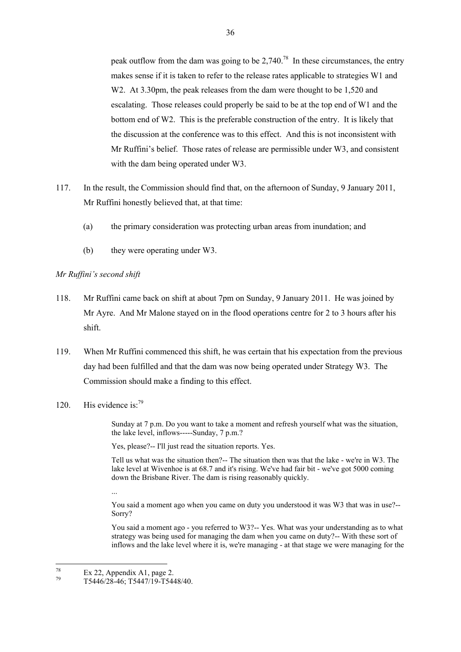peak outflow from the dam was going to be  $2,740.^{78}$  In these circumstances, the entry makes sense if it is taken to refer to the release rates applicable to strategies W1 and W<sub>2</sub>. At 3.30pm, the peak releases from the dam were thought to be 1,520 and escalating. Those releases could properly be said to be at the top end of W1 and the bottom end of W2. This is the preferable construction of the entry. It is likely that the discussion at the conference was to this effect. And this is not inconsistent with Mr Ruffini's belief. Those rates of release are permissible under W3, and consistent with the dam being operated under W3.

- 117. In the result, the Commission should find that, on the afternoon of Sunday, 9 January 2011, Mr Ruffini honestly believed that, at that time:
	- (a) the primary consideration was protecting urban areas from inundation; and
	- (b) they were operating under W3.

*Mr Ruffini's second shift*

- 118. Mr Ruffini came back on shift at about 7pm on Sunday, 9 January 2011. He was joined by Mr Ayre. And Mr Malone stayed on in the flood operations centre for 2 to 3 hours after his shift.
- 119. When Mr Ruffini commenced this shift, he was certain that his expectation from the previous day had been fulfilled and that the dam was now being operated under Strategy W3. The Commission should make a finding to this effect.
- 120 His evidence is: $^{79}$

Sunday at 7 p.m. Do you want to take a moment and refresh yourself what was the situation, the lake level, inflows-----Sunday, 7 p.m.?

Yes, please?-- I'll just read the situation reports. Yes.

Tell us what was the situation then?-- The situation then was that the lake - we're in W3. The lake level at Wivenhoe is at 68.7 and it's rising. We've had fair bit - we've got 5000 coming down the Brisbane River. The dam is rising reasonably quickly.

...

You said a moment ago when you came on duty you understood it was W3 that was in use?-- Sorry?

You said a moment ago - you referred to W3?-- Yes. What was your understanding as to what strategy was being used for managing the dam when you came on duty?-- With these sort of inflows and the lake level where it is, we're managing - at that stage we were managing for the

<sup>78</sup>  $\frac{78}{79}$  Ex 22, Appendix A1, page 2.

<sup>79</sup> T5446/28-46; T5447/19-T5448/40.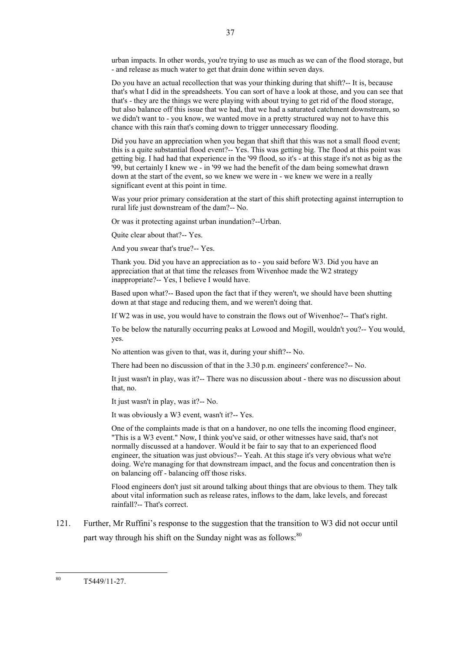urban impacts. In other words, you're trying to use as much as we can of the flood storage, but - and release as much water to get that drain done within seven days.

Do you have an actual recollection that was your thinking during that shift?-- It is, because that's what I did in the spreadsheets. You can sort of have a look at those, and you can see that that's - they are the things we were playing with about trying to get rid of the flood storage, but also balance off this issue that we had, that we had a saturated catchment downstream, so we didn't want to - you know, we wanted move in a pretty structured way not to have this chance with this rain that's coming down to trigger unnecessary flooding.

Did you have an appreciation when you began that shift that this was not a small flood event; this is a quite substantial flood event?-- Yes. This was getting big. The flood at this point was getting big. I had had that experience in the '99 flood, so it's - at this stage it's not as big as the '99, but certainly I knew we - in '99 we had the benefit of the dam being somewhat drawn down at the start of the event, so we knew we were in - we knew we were in a really significant event at this point in time.

Was your prior primary consideration at the start of this shift protecting against interruption to rural life just downstream of the dam?-- No.

Or was it protecting against urban inundation?--Urban.

Quite clear about that?-- Yes.

And you swear that's true?-- Yes.

Thank you. Did you have an appreciation as to - you said before W3. Did you have an appreciation that at that time the releases from Wivenhoe made the W2 strategy inappropriate?-- Yes, I believe I would have.

Based upon what?-- Based upon the fact that if they weren't, we should have been shutting down at that stage and reducing them, and we weren't doing that.

If W2 was in use, you would have to constrain the flows out of Wivenhoe?-- That's right.

To be below the naturally occurring peaks at Lowood and Mogill, wouldn't you?-- You would, yes.

No attention was given to that, was it, during your shift?-- No.

There had been no discussion of that in the 3.30 p.m. engineers' conference?-- No.

It just wasn't in play, was it?-- There was no discussion about - there was no discussion about that, no.

It just wasn't in play, was it?-- No.

It was obviously a W3 event, wasn't it?-- Yes.

One of the complaints made is that on a handover, no one tells the incoming flood engineer, "This is a W3 event." Now, I think you've said, or other witnesses have said, that's not normally discussed at a handover. Would it be fair to say that to an experienced flood engineer, the situation was just obvious?-- Yeah. At this stage it's very obvious what we're doing. We're managing for that downstream impact, and the focus and concentration then is on balancing off - balancing off those risks.

Flood engineers don't just sit around talking about things that are obvious to them. They talk about vital information such as release rates, inflows to the dam, lake levels, and forecast rainfall?-- That's correct.

121. Further, Mr Ruffini's response to the suggestion that the transition to W3 did not occur until part way through his shift on the Sunday night was as follows:<sup>80</sup>

<sup>80</sup> <sup>80</sup> T5449/11-27.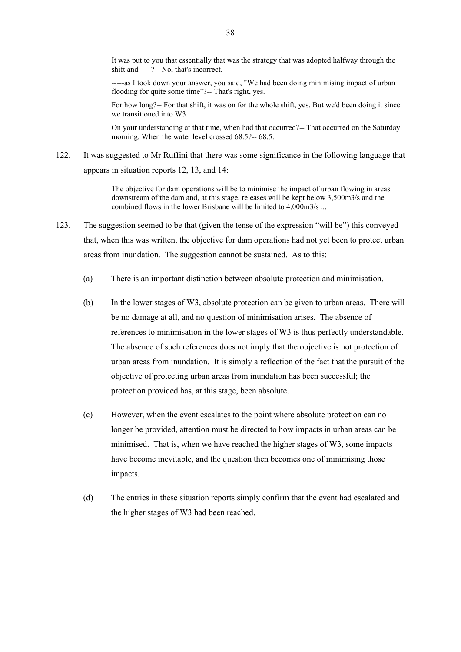It was put to you that essentially that was the strategy that was adopted halfway through the shift and-----?-- No, that's incorrect.

-----as I took down your answer, you said, "We had been doing minimising impact of urban flooding for quite some time"?-- That's right, yes.

For how long?-- For that shift, it was on for the whole shift, yes. But we'd been doing it since we transitioned into W3.

On your understanding at that time, when had that occurred?-- That occurred on the Saturday morning. When the water level crossed 68.5?-- 68.5.

122. It was suggested to Mr Ruffini that there was some significance in the following language that appears in situation reports 12, 13, and 14:

> The objective for dam operations will be to minimise the impact of urban flowing in areas downstream of the dam and, at this stage, releases will be kept below 3,500m3/s and the combined flows in the lower Brisbane will be limited to 4,000m3/s ...

- 123. The suggestion seemed to be that (given the tense of the expression "will be") this conveyed that, when this was written, the objective for dam operations had not yet been to protect urban areas from inundation. The suggestion cannot be sustained. As to this:
	- (a) There is an important distinction between absolute protection and minimisation.
	- (b) In the lower stages of W3, absolute protection can be given to urban areas. There will be no damage at all, and no question of minimisation arises. The absence of references to minimisation in the lower stages of W3 is thus perfectly understandable. The absence of such references does not imply that the objective is not protection of urban areas from inundation. It is simply a reflection of the fact that the pursuit of the objective of protecting urban areas from inundation has been successful; the protection provided has, at this stage, been absolute.
	- (c) However, when the event escalates to the point where absolute protection can no longer be provided, attention must be directed to how impacts in urban areas can be minimised. That is, when we have reached the higher stages of W3, some impacts have become inevitable, and the question then becomes one of minimising those impacts.
	- (d) The entries in these situation reports simply confirm that the event had escalated and the higher stages of W3 had been reached.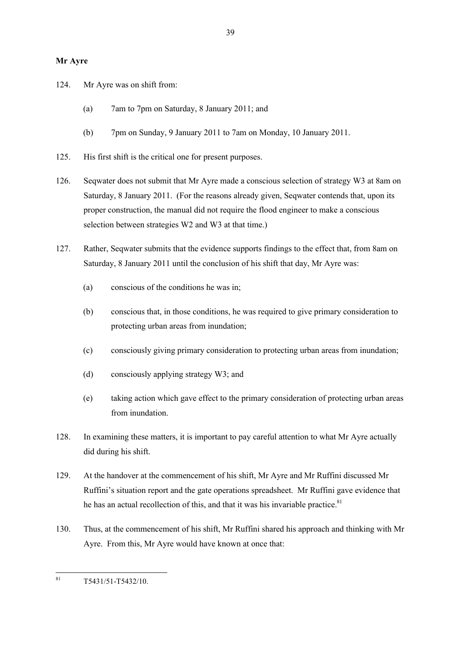# **Mr Ayre**

- 124. Mr Ayre was on shift from:
	- (a) 7am to 7pm on Saturday, 8 January 2011; and
	- (b) 7pm on Sunday, 9 January 2011 to 7am on Monday, 10 January 2011.
- 125. His first shift is the critical one for present purposes.
- 126. Seqwater does not submit that Mr Ayre made a conscious selection of strategy W3 at 8am on Saturday, 8 January 2011. (For the reasons already given, Seqwater contends that, upon its proper construction, the manual did not require the flood engineer to make a conscious selection between strategies W2 and W3 at that time.)
- 127. Rather, Seqwater submits that the evidence supports findings to the effect that, from 8am on Saturday, 8 January 2011 until the conclusion of his shift that day, Mr Ayre was:
	- (a) conscious of the conditions he was in;
	- (b) conscious that, in those conditions, he was required to give primary consideration to protecting urban areas from inundation;
	- (c) consciously giving primary consideration to protecting urban areas from inundation;
	- (d) consciously applying strategy W3; and
	- (e) taking action which gave effect to the primary consideration of protecting urban areas from inundation.
- 128. In examining these matters, it is important to pay careful attention to what Mr Ayre actually did during his shift.
- 129. At the handover at the commencement of his shift, Mr Ayre and Mr Ruffini discussed Mr Ruffini's situation report and the gate operations spreadsheet. Mr Ruffini gave evidence that he has an actual recollection of this, and that it was his invariable practice.<sup>81</sup>
- 130. Thus, at the commencement of his shift, Mr Ruffini shared his approach and thinking with Mr Ayre. From this, Mr Ayre would have known at once that:

<sup>81</sup> <sup>81</sup> T5431/51-T5432/10.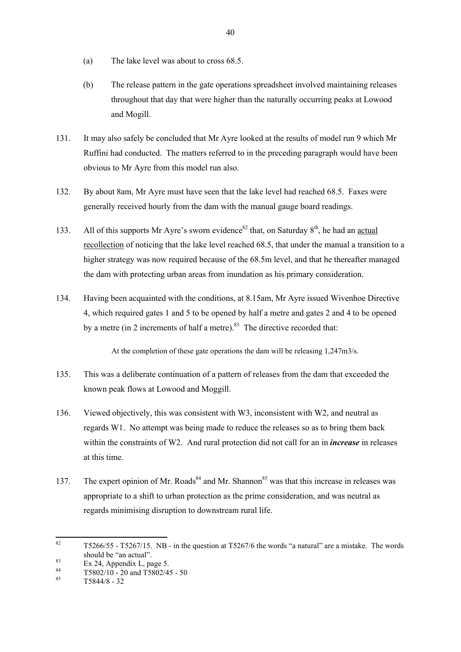- (a) The lake level was about to cross 68.5.
- (b) The release pattern in the gate operations spreadsheet involved maintaining releases throughout that day that were higher than the naturally occurring peaks at Lowood and Mogill.
- 131. It may also safely be concluded that Mr Ayre looked at the results of model run 9 which Mr Ruffini had conducted. The matters referred to in the preceding paragraph would have been obvious to Mr Ayre from this model run also.
- 132. By about 8am, Mr Ayre must have seen that the lake level had reached 68.5. Faxes were generally received hourly from the dam with the manual gauge board readings.
- 133. All of this supports Mr Ayre's sworn evidence<sup>82</sup> that, on Saturday  $8<sup>th</sup>$ , he had an <u>actual</u> recollection of noticing that the lake level reached 68.5, that under the manual a transition to a higher strategy was now required because of the 68.5m level, and that he thereafter managed the dam with protecting urban areas from inundation as his primary consideration.
- 134. Having been acquainted with the conditions, at 8.15am, Mr Ayre issued Wivenhoe Directive 4, which required gates 1 and 5 to be opened by half a metre and gates 2 and 4 to be opened by a metre (in 2 increments of half a metre).<sup>83</sup> The directive recorded that:

At the completion of these gate operations the dam will be releasing 1,247m3/s.

- 135. This was a deliberate continuation of a pattern of releases from the dam that exceeded the known peak flows at Lowood and Moggill.
- 136. Viewed objectively, this was consistent with W3, inconsistent with W2, and neutral as regards W1. No attempt was being made to reduce the releases so as to bring them back within the constraints of W2. And rural protection did not call for an in *increase* in releases at this time.
- 137. The expert opinion of Mr. Roads<sup>84</sup> and Mr. Shannon<sup>85</sup> was that this increase in releases was appropriate to a shift to urban protection as the prime consideration, and was neutral as regards minimising disruption to downstream rural life.

<sup>82</sup> <sup>82</sup> T5266/55 - T5267/15. NB - in the question at T5267/6 the words "a natural" are a mistake. The words should be "an actual".

 $Ex 24$ , Appendix L, page 5.<br>  $84 \qquad \qquad 75992/10 \qquad 20 \qquad x \qquad 175992/4.$ 

 $^{84}$  T5802/10 - 20 and T5802/45 - 50<br> $^{85}$  T5044/0 - 22

<sup>85</sup> T5844/8 - 32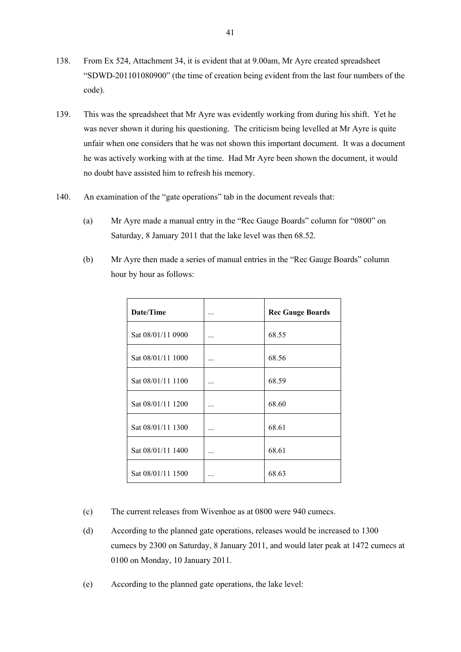- 138. From Ex 524, Attachment 34, it is evident that at 9.00am, Mr Ayre created spreadsheet "SDWD-201101080900" (the time of creation being evident from the last four numbers of the code).
- 139. This was the spreadsheet that Mr Ayre was evidently working from during his shift. Yet he was never shown it during his questioning. The criticism being levelled at Mr Ayre is quite unfair when one considers that he was not shown this important document. It was a document he was actively working with at the time. Had Mr Ayre been shown the document, it would no doubt have assisted him to refresh his memory.
- 140. An examination of the "gate operations" tab in the document reveals that:
	- (a) Mr Ayre made a manual entry in the "Rec Gauge Boards" column for "0800" on Saturday, 8 January 2011 that the lake level was then 68.52.

| Date/Time         |   | <b>Rec Gauge Boards</b> |
|-------------------|---|-------------------------|
| Sat 08/01/11 0900 |   | 68.55                   |
| Sat 08/01/11 1000 |   | 68.56                   |
| Sat 08/01/11 1100 |   | 68.59                   |
| Sat 08/01/11 1200 | . | 68.60                   |
| Sat 08/01/11 1300 |   | 68.61                   |
| Sat 08/01/11 1400 |   | 68.61                   |
| Sat 08/01/11 1500 |   | 68.63                   |

(b) Mr Ayre then made a series of manual entries in the "Rec Gauge Boards" column hour by hour as follows:

- (c) The current releases from Wivenhoe as at 0800 were 940 cumecs.
- (d) According to the planned gate operations, releases would be increased to 1300 cumecs by 2300 on Saturday, 8 January 2011, and would later peak at 1472 cumecs at 0100 on Monday, 10 January 2011.
- (e) According to the planned gate operations, the lake level: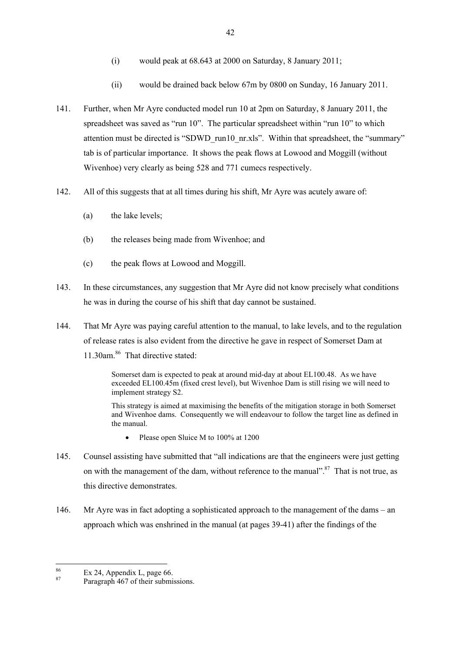- (i) would peak at 68.643 at 2000 on Saturday, 8 January 2011;
- (ii) would be drained back below 67m by 0800 on Sunday, 16 January 2011.
- 141. Further, when Mr Ayre conducted model run 10 at 2pm on Saturday, 8 January 2011, the spreadsheet was saved as "run 10". The particular spreadsheet within "run 10" to which attention must be directed is "SDWD\_run10\_nr.xls". Within that spreadsheet, the "summary" tab is of particular importance. It shows the peak flows at Lowood and Moggill (without Wivenhoe) very clearly as being 528 and 771 cumecs respectively.
- 142. All of this suggests that at all times during his shift, Mr Ayre was acutely aware of:
	- (a) the lake levels;
	- (b) the releases being made from Wivenhoe; and
	- (c) the peak flows at Lowood and Moggill.
- 143. In these circumstances, any suggestion that Mr Ayre did not know precisely what conditions he was in during the course of his shift that day cannot be sustained.
- 144. That Mr Ayre was paying careful attention to the manual, to lake levels, and to the regulation of release rates is also evident from the directive he gave in respect of Somerset Dam at 11.30am.<sup>86</sup> That directive stated:

Somerset dam is expected to peak at around mid-day at about EL100.48. As we have exceeded EL100.45m (fixed crest level), but Wivenhoe Dam is still rising we will need to implement strategy S2.

This strategy is aimed at maximising the benefits of the mitigation storage in both Somerset and Wivenhoe dams. Consequently we will endeavour to follow the target line as defined in the manual.

- Please open Sluice M to 100% at 1200
- 145. Counsel assisting have submitted that "all indications are that the engineers were just getting on with the management of the dam, without reference to the manual".<sup>87</sup> That is not true, as this directive demonstrates.
- 146. Mr Ayre was in fact adopting a sophisticated approach to the management of the dams an approach which was enshrined in the manual (at pages 39-41) after the findings of the

<sup>86</sup>  $\frac{86}{87}$  Ex 24, Appendix L, page 66.

Paragraph 467 of their submissions.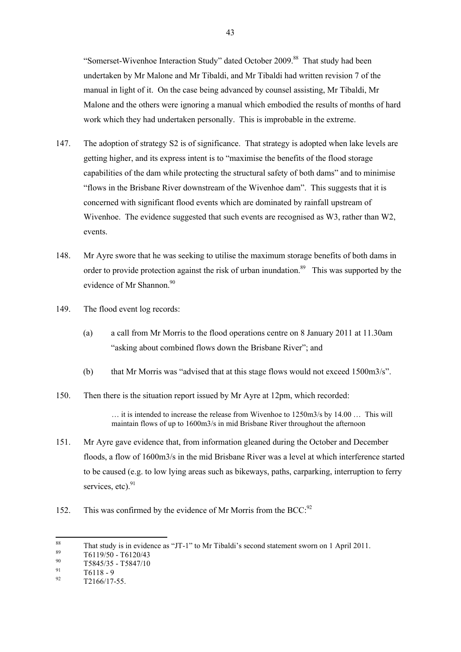"Somerset-Wivenhoe Interaction Study" dated October 2009.<sup>88</sup> That study had been undertaken by Mr Malone and Mr Tibaldi, and Mr Tibaldi had written revision 7 of the manual in light of it. On the case being advanced by counsel assisting, Mr Tibaldi, Mr Malone and the others were ignoring a manual which embodied the results of months of hard work which they had undertaken personally. This is improbable in the extreme.

- 147. The adoption of strategy S2 is of significance. That strategy is adopted when lake levels are getting higher, and its express intent is to "maximise the benefits of the flood storage capabilities of the dam while protecting the structural safety of both dams" and to minimise "flows in the Brisbane River downstream of the Wivenhoe dam". This suggests that it is concerned with significant flood events which are dominated by rainfall upstream of Wivenhoe. The evidence suggested that such events are recognised as W3, rather than W2, events.
- 148. Mr Ayre swore that he was seeking to utilise the maximum storage benefits of both dams in order to provide protection against the risk of urban inundation.<sup>89</sup> This was supported by the evidence of Mr Shannon.<sup>90</sup>
- 149. The flood event log records:
	- (a) a call from Mr Morris to the flood operations centre on 8 January 2011 at 11.30am "asking about combined flows down the Brisbane River"; and
	- (b) that Mr Morris was "advised that at this stage flows would not exceed 1500m3/s".
- 150. Then there is the situation report issued by Mr Ayre at 12pm, which recorded:

… it is intended to increase the release from Wivenhoe to 1250m3/s by 14.00 … This will maintain flows of up to 1600m3/s in mid Brisbane River throughout the afternoon

- 151. Mr Ayre gave evidence that, from information gleaned during the October and December floods, a flow of 1600m3/s in the mid Brisbane River was a level at which interference started to be caused (e.g. to low lying areas such as bikeways, paths, carparking, interruption to ferry services, etc). $91$
- 152. This was confirmed by the evidence of Mr Morris from the BCC:<sup>92</sup>

<sup>88</sup> <sup>88</sup> That study is in evidence as "JT-1" to Mr Tibaldi's second statement sworn on 1 April 2011.

 $^{89}$  T6119/50 - T6120/43

 $^{90}_{91}$  T5845/35 - T5847/10

 $\frac{91}{92}$  T6118 - 9

<sup>92</sup> T2166/17-55.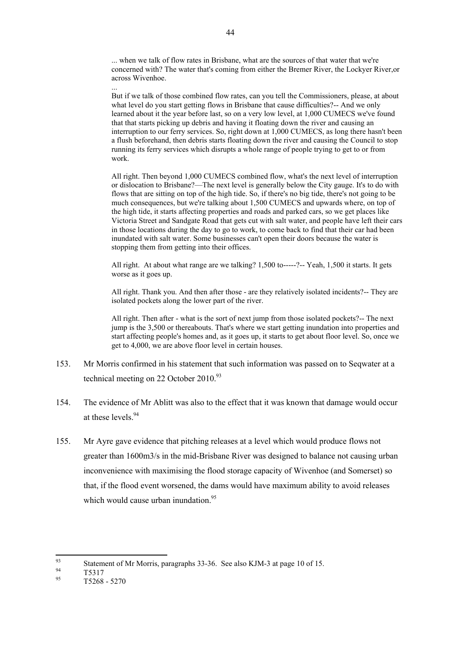... when we talk of flow rates in Brisbane, what are the sources of that water that we're concerned with? The water that's coming from either the Bremer River, the Lockyer River,or across Wivenhoe. ...

But if we talk of those combined flow rates, can you tell the Commissioners, please, at about what level do you start getting flows in Brisbane that cause difficulties?-- And we only learned about it the year before last, so on a very low level, at 1,000 CUMECS we've found that that starts picking up debris and having it floating down the river and causing an interruption to our ferry services. So, right down at 1,000 CUMECS, as long there hasn't been a flush beforehand, then debris starts floating down the river and causing the Council to stop running its ferry services which disrupts a whole range of people trying to get to or from work.

All right. Then beyond 1,000 CUMECS combined flow, what's the next level of interruption or dislocation to Brisbane?—The next level is generally below the City gauge. It's to do with flows that are sitting on top of the high tide. So, if there's no big tide, there's not going to be much consequences, but we're talking about 1,500 CUMECS and upwards where, on top of the high tide, it starts affecting properties and roads and parked cars, so we get places like Victoria Street and Sandgate Road that gets cut with salt water, and people have left their cars in those locations during the day to go to work, to come back to find that their car had been inundated with salt water. Some businesses can't open their doors because the water is stopping them from getting into their offices.

All right. At about what range are we talking? 1,500 to-----?-- Yeah, 1,500 it starts. It gets worse as it goes up.

All right. Thank you. And then after those - are they relatively isolated incidents?-- They are isolated pockets along the lower part of the river.

All right. Then after - what is the sort of next jump from those isolated pockets?-- The next jump is the 3,500 or thereabouts. That's where we start getting inundation into properties and start affecting people's homes and, as it goes up, it starts to get about floor level. So, once we get to 4,000, we are above floor level in certain houses.

- 153. Mr Morris confirmed in his statement that such information was passed on to Seqwater at a technical meeting on 22 October 2010.<sup>93</sup>
- 154. The evidence of Mr Ablitt was also to the effect that it was known that damage would occur at these levels. 94
- 155. Mr Ayre gave evidence that pitching releases at a level which would produce flows not greater than 1600m3/s in the mid-Brisbane River was designed to balance not causing urban inconvenience with maximising the flood storage capacity of Wivenhoe (and Somerset) so that, if the flood event worsened, the dams would have maximum ability to avoid releases which would cause urban inundation  $95$

<sup>93</sup> <sup>93</sup><br>Statement of Mr Morris, paragraphs 33-36. See also KJM-3 at page 10 of 15.

 $^{94}$  T5317

<sup>95</sup> T5268 - 5270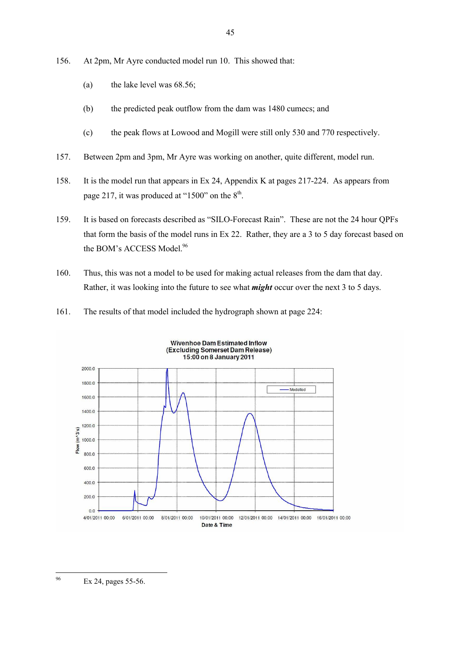- 156. At 2pm, Mr Ayre conducted model run 10. This showed that:
	- (a) the lake level was 68.56;
	- (b) the predicted peak outflow from the dam was 1480 cumecs; and
	- (c) the peak flows at Lowood and Mogill were still only 530 and 770 respectively.
- 157. Between 2pm and 3pm, Mr Ayre was working on another, quite different, model run.
- 158. It is the model run that appears in Ex 24, Appendix K at pages 217-224. As appears from page 217, it was produced at "1500" on the  $8<sup>th</sup>$ .
- 159. It is based on forecasts described as "SILO-Forecast Rain". These are not the 24 hour QPFs that form the basis of the model runs in Ex 22. Rather, they are a 3 to 5 day forecast based on the BOM's ACCESS Model.<sup>96</sup>
- 160. Thus, this was not a model to be used for making actual releases from the dam that day. Rather, it was looking into the future to see what *might* occur over the next 3 to 5 days.
- 161. The results of that model included the hydrograph shown at page 224:



<sup>96</sup> Ex 24, pages 55-56.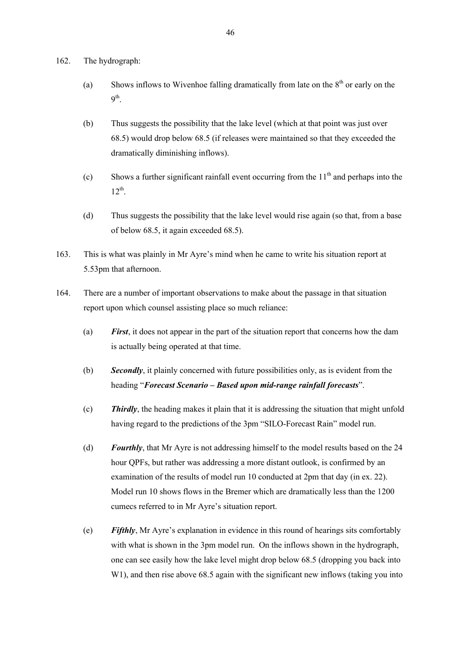- 162. The hydrograph:
	- (a) Shows inflows to Wivenhoe falling dramatically from late on the  $8<sup>th</sup>$  or early on the  $9^{\text{th}}$ .
	- (b) Thus suggests the possibility that the lake level (which at that point was just over 68.5) would drop below 68.5 (if releases were maintained so that they exceeded the dramatically diminishing inflows).
	- (c) Shows a further significant rainfall event occurring from the  $11<sup>th</sup>$  and perhaps into the  $12^{th}$ .
	- (d) Thus suggests the possibility that the lake level would rise again (so that, from a base of below 68.5, it again exceeded 68.5).
- 163. This is what was plainly in Mr Ayre's mind when he came to write his situation report at 5.53pm that afternoon.
- 164. There are a number of important observations to make about the passage in that situation report upon which counsel assisting place so much reliance:
	- (a) *First*, it does not appear in the part of the situation report that concerns how the dam is actually being operated at that time.
	- (b) *Secondly*, it plainly concerned with future possibilities only, as is evident from the heading "*Forecast Scenario – Based upon mid-range rainfall forecasts*".
	- (c) *Thirdly*, the heading makes it plain that it is addressing the situation that might unfold having regard to the predictions of the 3pm "SILO-Forecast Rain" model run.
	- (d) *Fourthly*, that Mr Ayre is not addressing himself to the model results based on the 24 hour QPFs, but rather was addressing a more distant outlook, is confirmed by an examination of the results of model run 10 conducted at 2pm that day (in ex. 22). Model run 10 shows flows in the Bremer which are dramatically less than the 1200 cumecs referred to in Mr Ayre's situation report.
	- (e) *Fifthly*, Mr Ayre's explanation in evidence in this round of hearings sits comfortably with what is shown in the 3pm model run. On the inflows shown in the hydrograph, one can see easily how the lake level might drop below 68.5 (dropping you back into W<sub>1</sub>), and then rise above 68.5 again with the significant new inflows (taking you into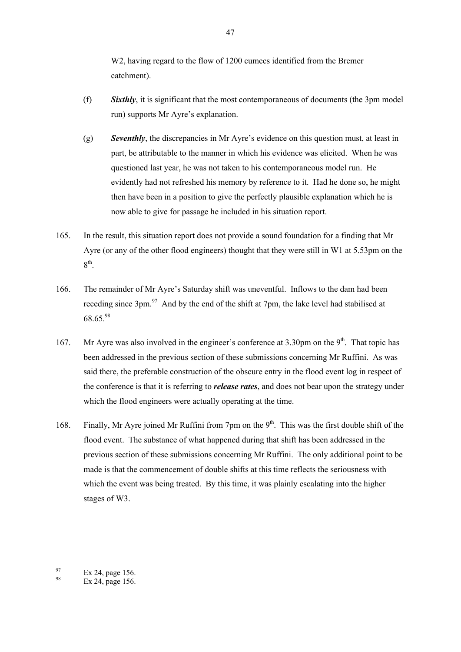W2, having regard to the flow of 1200 cumecs identified from the Bremer catchment).

- (f) *Sixthly*, it is significant that the most contemporaneous of documents (the 3pm model run) supports Mr Ayre's explanation.
- (g) *Seventhly*, the discrepancies in Mr Ayre's evidence on this question must, at least in part, be attributable to the manner in which his evidence was elicited. When he was questioned last year, he was not taken to his contemporaneous model run. He evidently had not refreshed his memory by reference to it. Had he done so, he might then have been in a position to give the perfectly plausible explanation which he is now able to give for passage he included in his situation report.
- 165. In the result, this situation report does not provide a sound foundation for a finding that Mr Ayre (or any of the other flood engineers) thought that they were still in W1 at 5.53pm on the  $8^{\text{th}}$ .
- 166. The remainder of Mr Ayre's Saturday shift was uneventful. Inflows to the dam had been receding since 3pm.<sup>97</sup> And by the end of the shift at 7pm, the lake level had stabilised at 68.65.<sup>98</sup>
- 167. Mr Ayre was also involved in the engineer's conference at  $3.30 \text{pm}$  on the 9<sup>th</sup>. That topic has been addressed in the previous section of these submissions concerning Mr Ruffini. As was said there, the preferable construction of the obscure entry in the flood event log in respect of the conference is that it is referring to *release rates*, and does not bear upon the strategy under which the flood engineers were actually operating at the time.
- 168. Finally, Mr Ayre joined Mr Ruffini from 7pm on the 9<sup>th</sup>. This was the first double shift of the flood event. The substance of what happened during that shift has been addressed in the previous section of these submissions concerning Mr Ruffini. The only additional point to be made is that the commencement of double shifts at this time reflects the seriousness with which the event was being treated. By this time, it was plainly escalating into the higher stages of W3.

<sup>97</sup>  $\frac{97}{98}$  Ex 24, page 156.

Ex 24, page 156.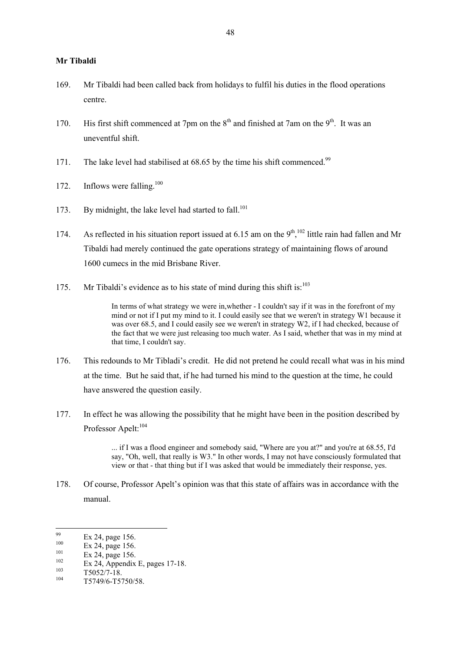## **Mr Tibaldi**

- 169. Mr Tibaldi had been called back from holidays to fulfil his duties in the flood operations centre.
- 170. His first shift commenced at 7pm on the  $8<sup>th</sup>$  and finished at 7am on the  $9<sup>th</sup>$ . It was an uneventful shift.
- 171. The lake level had stabilised at 68.65 by the time his shift commenced.<sup>99</sup>
- 172. Inflows were falling.<sup>100</sup>
- 173. By midnight, the lake level had started to fall.<sup>101</sup>
- 174. As reflected in his situation report issued at 6.15 am on the  $9<sup>th</sup>$ ,  $^{102}$  little rain had fallen and Mr Tibaldi had merely continued the gate operations strategy of maintaining flows of around 1600 cumecs in the mid Brisbane River.
- 175. Mr Tibaldi's evidence as to his state of mind during this shift is:<sup>103</sup>

In terms of what strategy we were in,whether - I couldn't say if it was in the forefront of my mind or not if I put my mind to it. I could easily see that we weren't in strategy W1 because it was over 68.5, and I could easily see we weren't in strategy W2, if I had checked, because of the fact that we were just releasing too much water. As I said, whether that was in my mind at that time, I couldn't say.

- 176. This redounds to Mr Tibladi's credit. He did not pretend he could recall what was in his mind at the time. But he said that, if he had turned his mind to the question at the time, he could have answered the question easily.
- 177. In effect he was allowing the possibility that he might have been in the position described by Professor Apelt:<sup>104</sup>

... if I was a flood engineer and somebody said, "Where are you at?" and you're at 68.55, I'd say, "Oh, well, that really is W3." In other words, I may not have consciously formulated that view or that - that thing but if I was asked that would be immediately their response, yes.

178. Of course, Professor Apelt's opinion was that this state of affairs was in accordance with the manual.

 $\frac{101}{102}$  Ex 24, page 156.

 $\frac{103}{104}$  T5052/7-18.

<sup>99</sup>  $\frac{99}{100}$  Ex 24, page 156.

 $\frac{100}{101}$  Ex 24, page 156.

 $102$  Ex 24, Appendix E, pages 17-18.

T5749/6-T5750/58.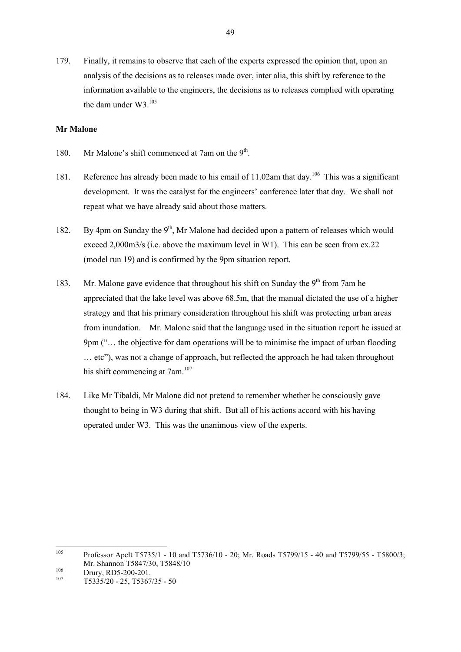179. Finally, it remains to observe that each of the experts expressed the opinion that, upon an analysis of the decisions as to releases made over, inter alia, this shift by reference to the information available to the engineers, the decisions as to releases complied with operating the dam under W3.<sup>105</sup>

## **Mr Malone**

- 180. Mr Malone's shift commenced at 7am on the 9<sup>th</sup>.
- 181. Reference has already been made to his email of 11.02am that day.<sup>106</sup> This was a significant development. It was the catalyst for the engineers' conference later that day. We shall not repeat what we have already said about those matters.
- 182. By 4pm on Sunday the  $9<sup>th</sup>$ . Mr Malone had decided upon a pattern of releases which would exceed 2,000m3/s (i.e. above the maximum level in W1). This can be seen from ex.22 (model run 19) and is confirmed by the 9pm situation report.
- 183. Mr. Malone gave evidence that throughout his shift on Sunday the  $9<sup>th</sup>$  from 7am he appreciated that the lake level was above 68.5m, that the manual dictated the use of a higher strategy and that his primary consideration throughout his shift was protecting urban areas from inundation. Mr. Malone said that the language used in the situation report he issued at 9pm ("… the objective for dam operations will be to minimise the impact of urban flooding … etc"), was not a change of approach, but reflected the approach he had taken throughout his shift commencing at 7am.<sup>107</sup>
- 184. Like Mr Tibaldi, Mr Malone did not pretend to remember whether he consciously gave thought to being in W3 during that shift. But all of his actions accord with his having operated under W3. This was the unanimous view of the experts.

<sup>105</sup> <sup>105</sup> Professor Apelt T5735/1 - 10 and T5736/10 - 20; Mr. Roads T5799/15 - 40 and T5799/55 - T5800/3; Mr. Shannon T5847/30, T5848/10

 $106$  Drury, RD5-200-201.

<sup>107</sup> T5335/20 - 25, T5367/35 - 50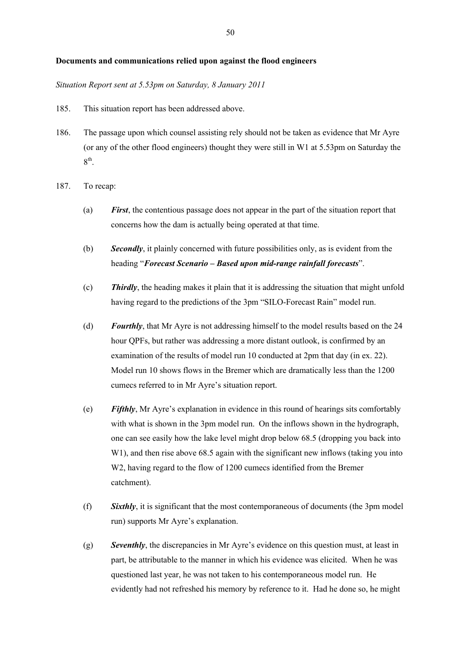#### **Documents and communications relied upon against the flood engineers**

#### *Situation Report sent at 5.53pm on Saturday, 8 January 2011*

- 185. This situation report has been addressed above.
- 186. The passage upon which counsel assisting rely should not be taken as evidence that Mr Ayre (or any of the other flood engineers) thought they were still in W1 at 5.53pm on Saturday the  $8<sup>th</sup>$ .
- 187. To recap:
	- (a) *First*, the contentious passage does not appear in the part of the situation report that concerns how the dam is actually being operated at that time.
	- (b) *Secondly*, it plainly concerned with future possibilities only, as is evident from the heading "*Forecast Scenario – Based upon mid-range rainfall forecasts*".
	- (c) *Thirdly*, the heading makes it plain that it is addressing the situation that might unfold having regard to the predictions of the 3pm "SILO-Forecast Rain" model run.
	- (d) *Fourthly*, that Mr Ayre is not addressing himself to the model results based on the 24 hour QPFs, but rather was addressing a more distant outlook, is confirmed by an examination of the results of model run 10 conducted at 2pm that day (in ex. 22). Model run 10 shows flows in the Bremer which are dramatically less than the 1200 cumecs referred to in Mr Ayre's situation report.
	- (e) *Fifthly*, Mr Ayre's explanation in evidence in this round of hearings sits comfortably with what is shown in the 3pm model run. On the inflows shown in the hydrograph, one can see easily how the lake level might drop below 68.5 (dropping you back into W<sub>1</sub>), and then rise above 68.5 again with the significant new inflows (taking you into W2, having regard to the flow of 1200 cumecs identified from the Bremer catchment).
	- (f) *Sixthly*, it is significant that the most contemporaneous of documents (the 3pm model run) supports Mr Ayre's explanation.
	- (g) *Seventhly*, the discrepancies in Mr Ayre's evidence on this question must, at least in part, be attributable to the manner in which his evidence was elicited. When he was questioned last year, he was not taken to his contemporaneous model run. He evidently had not refreshed his memory by reference to it. Had he done so, he might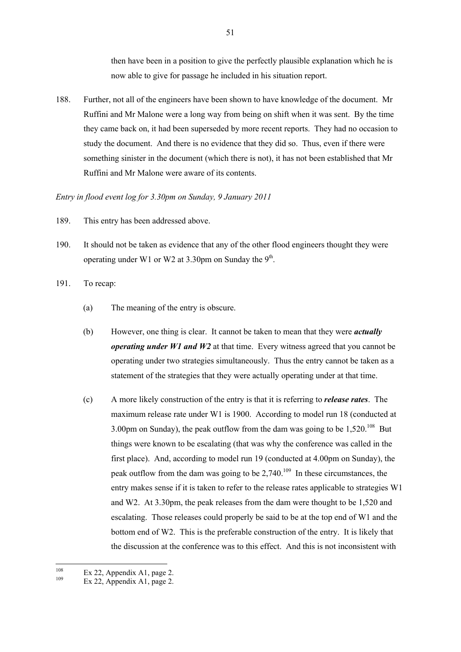then have been in a position to give the perfectly plausible explanation which he is now able to give for passage he included in his situation report.

188. Further, not all of the engineers have been shown to have knowledge of the document. Mr Ruffini and Mr Malone were a long way from being on shift when it was sent. By the time they came back on, it had been superseded by more recent reports. They had no occasion to study the document. And there is no evidence that they did so. Thus, even if there were something sinister in the document (which there is not), it has not been established that Mr Ruffini and Mr Malone were aware of its contents.

### *Entry in flood event log for 3.30pm on Sunday, 9 January 2011*

- 189. This entry has been addressed above.
- 190. It should not be taken as evidence that any of the other flood engineers thought they were operating under W1 or W2 at 3.30pm on Sunday the  $9<sup>th</sup>$ .
- 191. To recap:
	- (a) The meaning of the entry is obscure.
	- (b) However, one thing is clear. It cannot be taken to mean that they were *actually operating under W1 and W2* at that time. Every witness agreed that you cannot be operating under two strategies simultaneously. Thus the entry cannot be taken as a statement of the strategies that they were actually operating under at that time.
	- (c) A more likely construction of the entry is that it is referring to *release rates*. The maximum release rate under W1 is 1900. According to model run 18 (conducted at 3.00pm on Sunday), the peak outflow from the dam was going to be  $1,520$ <sup>108</sup> But things were known to be escalating (that was why the conference was called in the first place). And, according to model run 19 (conducted at 4.00pm on Sunday), the peak outflow from the dam was going to be  $2,740$ .<sup>109</sup> In these circumstances, the entry makes sense if it is taken to refer to the release rates applicable to strategies W1 and W2. At 3.30pm, the peak releases from the dam were thought to be 1,520 and escalating. Those releases could properly be said to be at the top end of W1 and the bottom end of W2. This is the preferable construction of the entry. It is likely that the discussion at the conference was to this effect. And this is not inconsistent with

<sup>108</sup>  $108$  Ex 22, Appendix A1, page 2.

Ex 22, Appendix A1, page 2.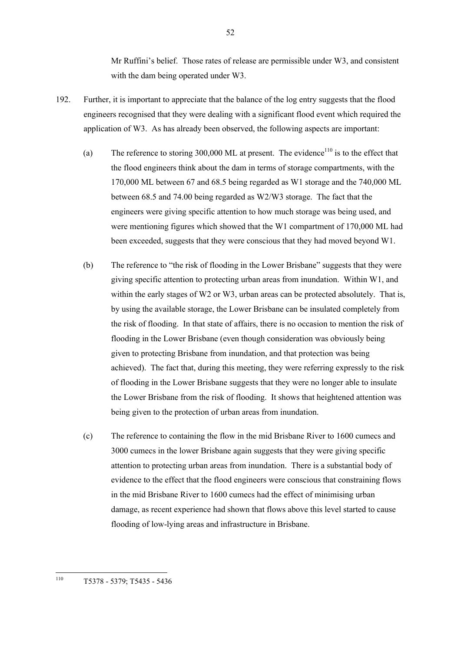Mr Ruffini's belief. Those rates of release are permissible under W3, and consistent with the dam being operated under W3.

- 192. Further, it is important to appreciate that the balance of the log entry suggests that the flood engineers recognised that they were dealing with a significant flood event which required the application of W3. As has already been observed, the following aspects are important:
	- (a) The reference to storing 300,000 ML at present. The evidence<sup>110</sup> is to the effect that the flood engineers think about the dam in terms of storage compartments, with the 170,000 ML between 67 and 68.5 being regarded as W1 storage and the 740,000 ML between 68.5 and 74.00 being regarded as W2/W3 storage. The fact that the engineers were giving specific attention to how much storage was being used, and were mentioning figures which showed that the W1 compartment of 170,000 ML had been exceeded, suggests that they were conscious that they had moved beyond W1.
	- (b) The reference to "the risk of flooding in the Lower Brisbane" suggests that they were giving specific attention to protecting urban areas from inundation. Within W1, and within the early stages of W2 or W3, urban areas can be protected absolutely. That is, by using the available storage, the Lower Brisbane can be insulated completely from the risk of flooding. In that state of affairs, there is no occasion to mention the risk of flooding in the Lower Brisbane (even though consideration was obviously being given to protecting Brisbane from inundation, and that protection was being achieved). The fact that, during this meeting, they were referring expressly to the risk of flooding in the Lower Brisbane suggests that they were no longer able to insulate the Lower Brisbane from the risk of flooding. It shows that heightened attention was being given to the protection of urban areas from inundation.
	- (c) The reference to containing the flow in the mid Brisbane River to 1600 cumecs and 3000 cumecs in the lower Brisbane again suggests that they were giving specific attention to protecting urban areas from inundation. There is a substantial body of evidence to the effect that the flood engineers were conscious that constraining flows in the mid Brisbane River to 1600 cumecs had the effect of minimising urban damage, as recent experience had shown that flows above this level started to cause flooding of low-lying areas and infrastructure in Brisbane.

<sup>110</sup> <sup>110</sup> T5378 - 5379; T5435 - 5436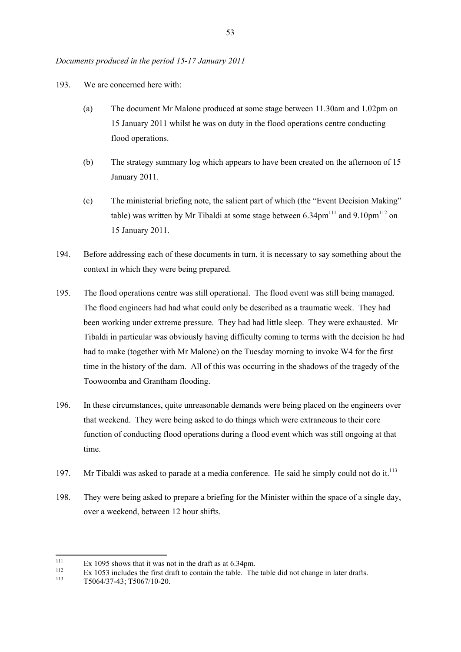## *Documents produced in the period 15-17 January 2011*

- 193. We are concerned here with:
	- (a) The document Mr Malone produced at some stage between 11.30am and 1.02pm on 15 January 2011 whilst he was on duty in the flood operations centre conducting flood operations.
	- (b) The strategy summary log which appears to have been created on the afternoon of 15 January 2011.
	- (c) The ministerial briefing note, the salient part of which (the "Event Decision Making" table) was written by Mr Tibaldi at some stage between  $6.34 \text{pm}^{111}$  and  $9.10 \text{pm}^{112}$  on 15 January 2011.
- 194. Before addressing each of these documents in turn, it is necessary to say something about the context in which they were being prepared.
- 195. The flood operations centre was still operational. The flood event was still being managed. The flood engineers had had what could only be described as a traumatic week. They had been working under extreme pressure. They had had little sleep. They were exhausted. Mr Tibaldi in particular was obviously having difficulty coming to terms with the decision he had had to make (together with Mr Malone) on the Tuesday morning to invoke W4 for the first time in the history of the dam. All of this was occurring in the shadows of the tragedy of the Toowoomba and Grantham flooding.
- 196. In these circumstances, quite unreasonable demands were being placed on the engineers over that weekend. They were being asked to do things which were extraneous to their core function of conducting flood operations during a flood event which was still ongoing at that time.
- 197. Mr Tibaldi was asked to parade at a media conference. He said he simply could not do it.<sup>113</sup>
- 198. They were being asked to prepare a briefing for the Minister within the space of a single day, over a weekend, between 12 hour shifts.

<sup>111</sup>  $111$  Ex 1095 shows that it was not in the draft as at 6.34pm.

 $\frac{112}{113}$  Ex 1053 includes the first draft to contain the table. The table did not change in later drafts.

<sup>113</sup> T5064/37-43; T5067/10-20.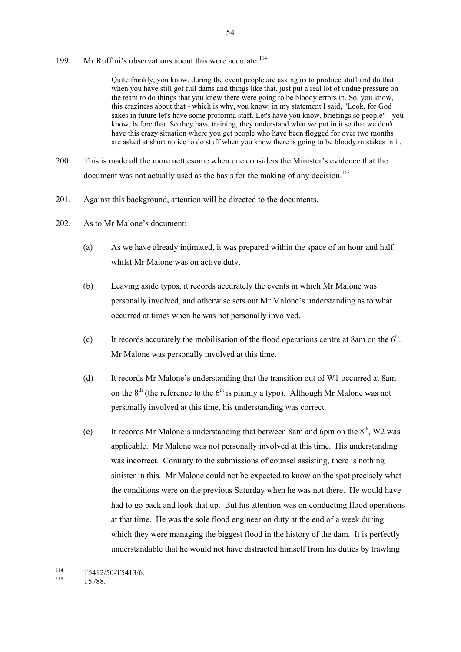199. Mr Ruffini's observations about this were accurate:<sup>114</sup>

Quite frankly, you know, during the event people are asking us to produce stuff and do that when you have still got full dams and things like that, just put a real lot of undue pressure on the team to do things that you knew there were going to be bloody errors in. So, you know, this craziness about that - which is why, you know, in my statement I said, "Look, for God sakes in future let's have some proforma staff. Let's have you know, briefings so people" - you know, before that. So they have training, they understand what we put in it so that we don't have this crazy situation where you get people who have been flogged for over two months are asked at short notice to do stuff when you know there is going to be bloody mistakes in it.

- 200. This is made all the more nettlesome when one considers the Minister's evidence that the document was not actually used as the basis for the making of any decision.<sup>115</sup>
- 201. Against this background, attention will be directed to the documents.
- 202. As to Mr Malone's document:
	- (a) As we have already intimated, it was prepared within the space of an hour and half whilst Mr Malone was on active duty.
	- (b) Leaving aside typos, it records accurately the events in which Mr Malone was personally involved, and otherwise sets out Mr Malone's understanding as to what occurred at times when he was not personally involved.
	- (c) It records accurately the mobilisation of the flood operations centre at 8am on the  $6<sup>th</sup>$ . Mr Malone was personally involved at this time.
	- (d) It records Mr Malone's understanding that the transition out of W1 occurred at 8am on the  $8<sup>th</sup>$  (the reference to the  $6<sup>th</sup>$  is plainly a typo). Although Mr Malone was not personally involved at this time, his understanding was correct.
	- (e) It records Mr Malone's understanding that between 8am and 6pm on the  $8<sup>th</sup>$ , W2 was applicable. Mr Malone was not personally involved at this time. His understanding was incorrect. Contrary to the submissions of counsel assisting, there is nothing sinister in this. Mr Malone could not be expected to know on the spot precisely what the conditions were on the previous Saturday when he was not there. He would have had to go back and look that up. But his attention was on conducting flood operations at that time. He was the sole flood engineer on duty at the end of a week during which they were managing the biggest flood in the history of the dam. It is perfectly understandable that he would not have distracted himself from his duties by trawling

T5788.

<sup>114</sup>  $\frac{114}{115}$  T5412/50-T5413/6.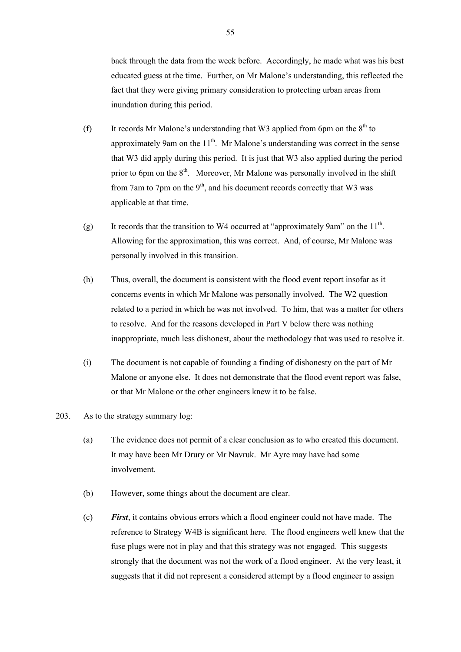back through the data from the week before. Accordingly, he made what was his best educated guess at the time. Further, on Mr Malone's understanding, this reflected the fact that they were giving primary consideration to protecting urban areas from inundation during this period.

- (f) It records Mr Malone's understanding that W3 applied from 6pm on the  $8<sup>th</sup>$  to approximately 9am on the  $11<sup>th</sup>$ . Mr Malone's understanding was correct in the sense that W3 did apply during this period. It is just that W3 also applied during the period prior to 6pm on the  $8<sup>th</sup>$ . Moreover, Mr Malone was personally involved in the shift from 7am to 7pm on the  $9<sup>th</sup>$ , and his document records correctly that W3 was applicable at that time.
- (g) It records that the transition to W4 occurred at "approximately 9am" on the  $11<sup>th</sup>$ . Allowing for the approximation, this was correct. And, of course, Mr Malone was personally involved in this transition.
- (h) Thus, overall, the document is consistent with the flood event report insofar as it concerns events in which Mr Malone was personally involved. The W2 question related to a period in which he was not involved. To him, that was a matter for others to resolve. And for the reasons developed in Part V below there was nothing inappropriate, much less dishonest, about the methodology that was used to resolve it.
- (i) The document is not capable of founding a finding of dishonesty on the part of Mr Malone or anyone else. It does not demonstrate that the flood event report was false, or that Mr Malone or the other engineers knew it to be false.

# 203. As to the strategy summary log:

- (a) The evidence does not permit of a clear conclusion as to who created this document. It may have been Mr Drury or Mr Navruk. Mr Ayre may have had some involvement.
- (b) However, some things about the document are clear.
- (c) *First*, it contains obvious errors which a flood engineer could not have made. The reference to Strategy W4B is significant here. The flood engineers well knew that the fuse plugs were not in play and that this strategy was not engaged. This suggests strongly that the document was not the work of a flood engineer. At the very least, it suggests that it did not represent a considered attempt by a flood engineer to assign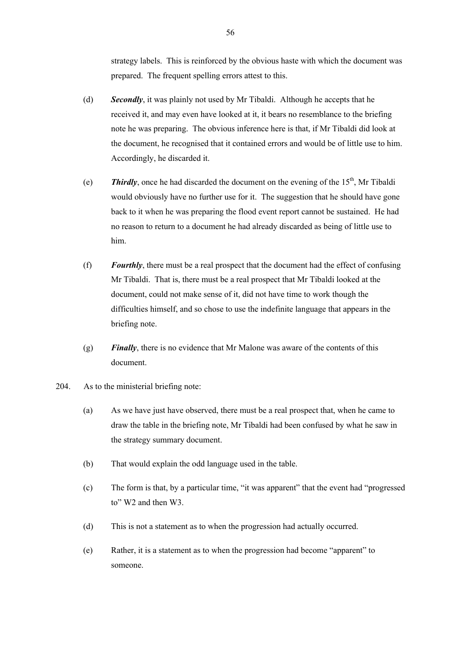strategy labels. This is reinforced by the obvious haste with which the document was prepared. The frequent spelling errors attest to this.

- (d) *Secondly*, it was plainly not used by Mr Tibaldi. Although he accepts that he received it, and may even have looked at it, it bears no resemblance to the briefing note he was preparing. The obvious inference here is that, if Mr Tibaldi did look at the document, he recognised that it contained errors and would be of little use to him. Accordingly, he discarded it.
- (e) **Thirdly**, once he had discarded the document on the evening of the  $15<sup>th</sup>$ , Mr Tibaldi would obviously have no further use for it. The suggestion that he should have gone back to it when he was preparing the flood event report cannot be sustained. He had no reason to return to a document he had already discarded as being of little use to him.
- (f) *Fourthly*, there must be a real prospect that the document had the effect of confusing Mr Tibaldi. That is, there must be a real prospect that Mr Tibaldi looked at the document, could not make sense of it, did not have time to work though the difficulties himself, and so chose to use the indefinite language that appears in the briefing note.
- (g) *Finally*, there is no evidence that Mr Malone was aware of the contents of this document.
- 204. As to the ministerial briefing note:
	- (a) As we have just have observed, there must be a real prospect that, when he came to draw the table in the briefing note, Mr Tibaldi had been confused by what he saw in the strategy summary document.
	- (b) That would explain the odd language used in the table.
	- (c) The form is that, by a particular time, "it was apparent" that the event had "progressed to" W2 and then W3.
	- (d) This is not a statement as to when the progression had actually occurred.
	- (e) Rather, it is a statement as to when the progression had become "apparent" to someone.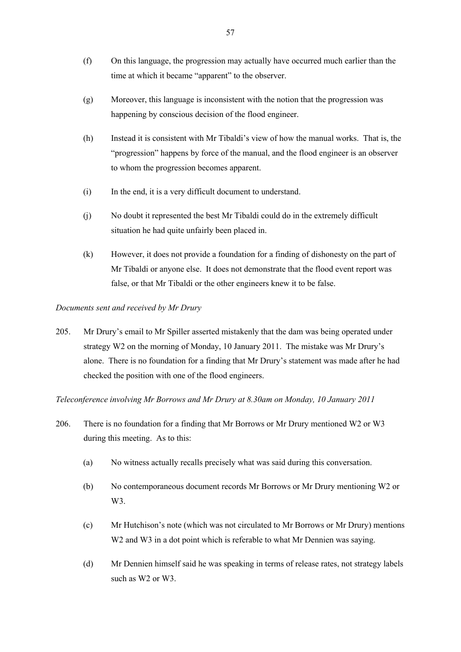- (f) On this language, the progression may actually have occurred much earlier than the time at which it became "apparent" to the observer.
- (g) Moreover, this language is inconsistent with the notion that the progression was happening by conscious decision of the flood engineer.
- (h) Instead it is consistent with Mr Tibaldi's view of how the manual works. That is, the "progression" happens by force of the manual, and the flood engineer is an observer to whom the progression becomes apparent.
- (i) In the end, it is a very difficult document to understand.
- (j) No doubt it represented the best Mr Tibaldi could do in the extremely difficult situation he had quite unfairly been placed in.
- (k) However, it does not provide a foundation for a finding of dishonesty on the part of Mr Tibaldi or anyone else. It does not demonstrate that the flood event report was false, or that Mr Tibaldi or the other engineers knew it to be false.

# *Documents sent and received by Mr Drury*

205. Mr Drury's email to Mr Spiller asserted mistakenly that the dam was being operated under strategy W2 on the morning of Monday, 10 January 2011. The mistake was Mr Drury's alone. There is no foundation for a finding that Mr Drury's statement was made after he had checked the position with one of the flood engineers.

*Teleconference involving Mr Borrows and Mr Drury at 8.30am on Monday, 10 January 2011*

- 206. There is no foundation for a finding that Mr Borrows or Mr Drury mentioned W2 or W3 during this meeting. As to this:
	- (a) No witness actually recalls precisely what was said during this conversation.
	- (b) No contemporaneous document records Mr Borrows or Mr Drury mentioning W2 or W<sub>3</sub>.
	- (c) Mr Hutchison's note (which was not circulated to Mr Borrows or Mr Drury) mentions W<sub>2</sub> and W<sub>3</sub> in a dot point which is referable to what Mr Dennien was saying.
	- (d) Mr Dennien himself said he was speaking in terms of release rates, not strategy labels such as W2 or W3.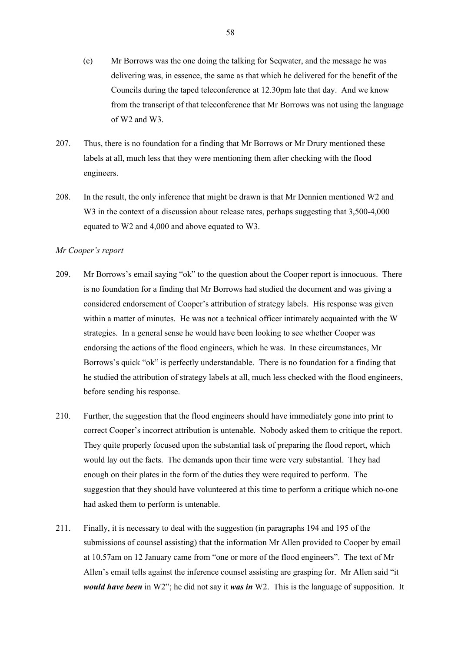- (e) Mr Borrows was the one doing the talking for Seqwater, and the message he was delivering was, in essence, the same as that which he delivered for the benefit of the Councils during the taped teleconference at 12.30pm late that day. And we know from the transcript of that teleconference that Mr Borrows was not using the language of W2 and W3.
- 207. Thus, there is no foundation for a finding that Mr Borrows or Mr Drury mentioned these labels at all, much less that they were mentioning them after checking with the flood engineers.
- 208. In the result, the only inference that might be drawn is that Mr Dennien mentioned W2 and W<sub>3</sub> in the context of a discussion about release rates, perhaps suggesting that 3,500-4,000 equated to W2 and 4,000 and above equated to W3.

## *Mr Cooper's report*

- 209. Mr Borrows's email saying "ok" to the question about the Cooper report is innocuous. There is no foundation for a finding that Mr Borrows had studied the document and was giving a considered endorsement of Cooper's attribution of strategy labels. His response was given within a matter of minutes. He was not a technical officer intimately acquainted with the W strategies. In a general sense he would have been looking to see whether Cooper was endorsing the actions of the flood engineers, which he was. In these circumstances, Mr Borrows's quick "ok" is perfectly understandable. There is no foundation for a finding that he studied the attribution of strategy labels at all, much less checked with the flood engineers, before sending his response.
- 210. Further, the suggestion that the flood engineers should have immediately gone into print to correct Cooper's incorrect attribution is untenable. Nobody asked them to critique the report. They quite properly focused upon the substantial task of preparing the flood report, which would lay out the facts. The demands upon their time were very substantial. They had enough on their plates in the form of the duties they were required to perform. The suggestion that they should have volunteered at this time to perform a critique which no-one had asked them to perform is untenable.
- 211. Finally, it is necessary to deal with the suggestion (in paragraphs 194 and 195 of the submissions of counsel assisting) that the information Mr Allen provided to Cooper by email at 10.57am on 12 January came from "one or more of the flood engineers". The text of Mr Allen's email tells against the inference counsel assisting are grasping for. Mr Allen said "it *would have been* in W2"; he did not say it *was in* W2. This is the language of supposition. It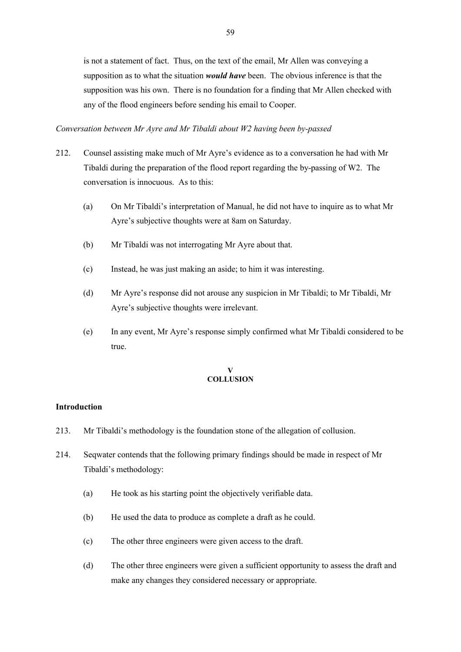is not a statement of fact. Thus, on the text of the email, Mr Allen was conveying a supposition as to what the situation *would have* been. The obvious inference is that the supposition was his own. There is no foundation for a finding that Mr Allen checked with any of the flood engineers before sending his email to Cooper.

## *Conversation between Mr Ayre and Mr Tibaldi about W2 having been by-passed*

- 212. Counsel assisting make much of Mr Ayre's evidence as to a conversation he had with Mr Tibaldi during the preparation of the flood report regarding the by-passing of W2. The conversation is innocuous. As to this:
	- (a) On Mr Tibaldi's interpretation of Manual, he did not have to inquire as to what Mr Ayre's subjective thoughts were at 8am on Saturday.
	- (b) Mr Tibaldi was not interrogating Mr Ayre about that.
	- (c) Instead, he was just making an aside; to him it was interesting.
	- (d) Mr Ayre's response did not arouse any suspicion in Mr Tibaldi; to Mr Tibaldi, Mr Ayre's subjective thoughts were irrelevant.
	- (e) In any event, Mr Ayre's response simply confirmed what Mr Tibaldi considered to be true.

#### **V COLLUSION**

# **Introduction**

- 213. Mr Tibaldi's methodology is the foundation stone of the allegation of collusion.
- 214. Seqwater contends that the following primary findings should be made in respect of Mr Tibaldi's methodology:
	- (a) He took as his starting point the objectively verifiable data.
	- (b) He used the data to produce as complete a draft as he could.
	- (c) The other three engineers were given access to the draft.
	- (d) The other three engineers were given a sufficient opportunity to assess the draft and make any changes they considered necessary or appropriate.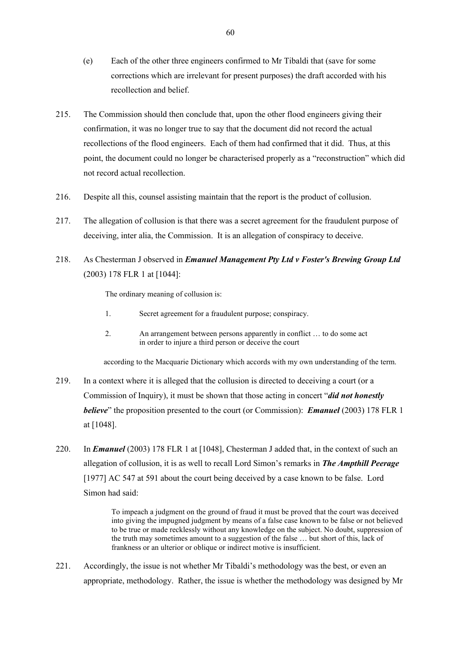- (e) Each of the other three engineers confirmed to Mr Tibaldi that (save for some corrections which are irrelevant for present purposes) the draft accorded with his recollection and belief.
- 215. The Commission should then conclude that, upon the other flood engineers giving their confirmation, it was no longer true to say that the document did not record the actual recollections of the flood engineers. Each of them had confirmed that it did. Thus, at this point, the document could no longer be characterised properly as a "reconstruction" which did not record actual recollection.
- 216. Despite all this, counsel assisting maintain that the report is the product of collusion.
- 217. The allegation of collusion is that there was a secret agreement for the fraudulent purpose of deceiving, inter alia, the Commission. It is an allegation of conspiracy to deceive.

# 218. As Chesterman J observed in *Emanuel Management Pty Ltd v Foster's Brewing Group Ltd* (2003) 178 FLR 1 at [1044]:

The ordinary meaning of collusion is:

- 1. Secret agreement for a fraudulent purpose; conspiracy.
- 2. An arrangement between persons apparently in conflict … to do some act in order to injure a third person or deceive the court

according to the Macquarie Dictionary which accords with my own understanding of the term.

- 219. In a context where it is alleged that the collusion is directed to deceiving a court (or a Commission of Inquiry), it must be shown that those acting in concert "*did not honestly believe*" the proposition presented to the court (or Commission): *Emanuel* (2003) 178 FLR 1 at [1048].
- 220. In *Emanuel* (2003) 178 FLR 1 at [1048], Chesterman J added that, in the context of such an allegation of collusion, it is as well to recall Lord Simon's remarks in *The Ampthill Peerage* [1977] AC 547 at 591 about the court being deceived by a case known to be false. Lord Simon had said:

To impeach a judgment on the ground of fraud it must be proved that the court was deceived into giving the impugned judgment by means of a false case known to be false or not believed to be true or made recklessly without any knowledge on the subject. No doubt, suppression of the truth may sometimes amount to a suggestion of the false … but short of this, lack of frankness or an ulterior or oblique or indirect motive is insufficient.

221. Accordingly, the issue is not whether Mr Tibaldi's methodology was the best, or even an appropriate, methodology. Rather, the issue is whether the methodology was designed by Mr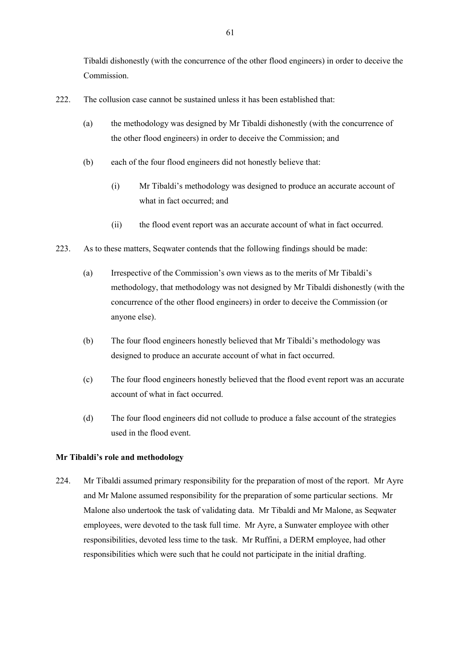Tibaldi dishonestly (with the concurrence of the other flood engineers) in order to deceive the Commission.

- 222. The collusion case cannot be sustained unless it has been established that:
	- (a) the methodology was designed by Mr Tibaldi dishonestly (with the concurrence of the other flood engineers) in order to deceive the Commission; and
	- (b) each of the four flood engineers did not honestly believe that:
		- (i) Mr Tibaldi's methodology was designed to produce an accurate account of what in fact occurred; and
		- (ii) the flood event report was an accurate account of what in fact occurred.
- 223. As to these matters, Seqwater contends that the following findings should be made:
	- (a) Irrespective of the Commission's own views as to the merits of Mr Tibaldi's methodology, that methodology was not designed by Mr Tibaldi dishonestly (with the concurrence of the other flood engineers) in order to deceive the Commission (or anyone else).
	- (b) The four flood engineers honestly believed that Mr Tibaldi's methodology was designed to produce an accurate account of what in fact occurred.
	- (c) The four flood engineers honestly believed that the flood event report was an accurate account of what in fact occurred.
	- (d) The four flood engineers did not collude to produce a false account of the strategies used in the flood event.

# **Mr Tibaldi's role and methodology**

224. Mr Tibaldi assumed primary responsibility for the preparation of most of the report. Mr Ayre and Mr Malone assumed responsibility for the preparation of some particular sections. Mr Malone also undertook the task of validating data. Mr Tibaldi and Mr Malone, as Seqwater employees, were devoted to the task full time. Mr Ayre, a Sunwater employee with other responsibilities, devoted less time to the task. Mr Ruffini, a DERM employee, had other responsibilities which were such that he could not participate in the initial drafting.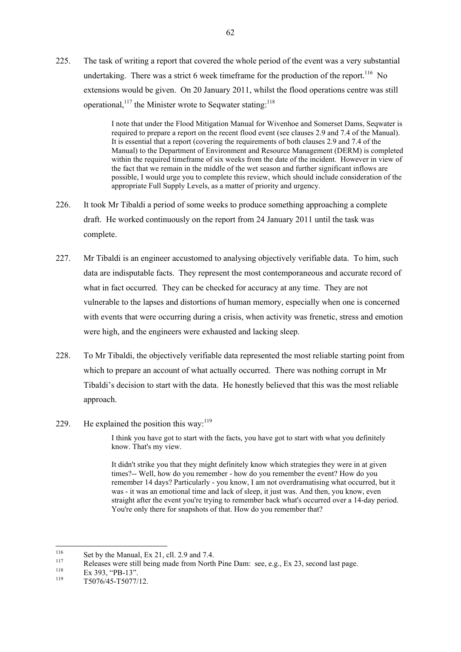225. The task of writing a report that covered the whole period of the event was a very substantial undertaking. There was a strict 6 week timeframe for the production of the report.<sup>116</sup> No extensions would be given. On 20 January 2011, whilst the flood operations centre was still operational,<sup>117</sup> the Minister wrote to Sequater stating:<sup>118</sup>

> I note that under the Flood Mitigation Manual for Wivenhoe and Somerset Dams, Seqwater is required to prepare a report on the recent flood event (see clauses 2.9 and 7.4 of the Manual). It is essential that a report (covering the requirements of both clauses 2.9 and 7.4 of the Manual) to the Department of Environment and Resource Management (DERM) is completed within the required timeframe of six weeks from the date of the incident. However in view of the fact that we remain in the middle of the wet season and further significant inflows are possible, I would urge you to complete this review, which should include consideration of the appropriate Full Supply Levels, as a matter of priority and urgency.

- 226. It took Mr Tibaldi a period of some weeks to produce something approaching a complete draft. He worked continuously on the report from 24 January 2011 until the task was complete.
- 227. Mr Tibaldi is an engineer accustomed to analysing objectively verifiable data. To him, such data are indisputable facts. They represent the most contemporaneous and accurate record of what in fact occurred. They can be checked for accuracy at any time. They are not vulnerable to the lapses and distortions of human memory, especially when one is concerned with events that were occurring during a crisis, when activity was frenetic, stress and emotion were high, and the engineers were exhausted and lacking sleep.
- 228. To Mr Tibaldi, the objectively verifiable data represented the most reliable starting point from which to prepare an account of what actually occurred. There was nothing corrupt in Mr Tibaldi's decision to start with the data. He honestly believed that this was the most reliable approach.
- 229. He explained the position this way: $119$

I think you have got to start with the facts, you have got to start with what you definitely know. That's my view.

It didn't strike you that they might definitely know which strategies they were in at given times?-- Well, how do you remember - how do you remember the event? How do you remember 14 days? Particularly - you know, I am not overdramatising what occurred, but it was - it was an emotional time and lack of sleep, it just was. And then, you know, even straight after the event you're trying to remember back what's occurred over a 14-day period. You're only there for snapshots of that. How do you remember that?

<sup>116</sup> <sup>116</sup> Set by the Manual, Ex 21, cll. 2.9 and 7.4.

<sup>117</sup> Releases were still being made from North Pine Dam: see, e.g., Ex 23, second last page.

 $\frac{118}{119}$  Ex 393, "PB-13".

<sup>119</sup> T5076/45-T5077/12.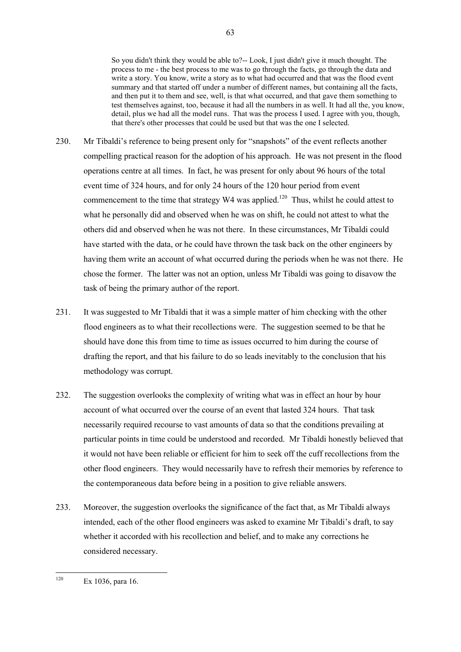So you didn't think they would be able to?-- Look, I just didn't give it much thought. The process to me - the best process to me was to go through the facts, go through the data and write a story. You know, write a story as to what had occurred and that was the flood event summary and that started off under a number of different names, but containing all the facts, and then put it to them and see, well, is that what occurred, and that gave them something to test themselves against, too, because it had all the numbers in as well. It had all the, you know, detail, plus we had all the model runs. That was the process I used. I agree with you, though, that there's other processes that could be used but that was the one I selected.

- 230. Mr Tibaldi's reference to being present only for "snapshots" of the event reflects another compelling practical reason for the adoption of his approach. He was not present in the flood operations centre at all times. In fact, he was present for only about 96 hours of the total event time of 324 hours, and for only 24 hours of the 120 hour period from event commencement to the time that strategy  $W4$  was applied.<sup>120</sup> Thus, whilst he could attest to what he personally did and observed when he was on shift, he could not attest to what the others did and observed when he was not there. In these circumstances, Mr Tibaldi could have started with the data, or he could have thrown the task back on the other engineers by having them write an account of what occurred during the periods when he was not there. He chose the former. The latter was not an option, unless Mr Tibaldi was going to disavow the task of being the primary author of the report.
- 231. It was suggested to Mr Tibaldi that it was a simple matter of him checking with the other flood engineers as to what their recollections were. The suggestion seemed to be that he should have done this from time to time as issues occurred to him during the course of drafting the report, and that his failure to do so leads inevitably to the conclusion that his methodology was corrupt.
- 232. The suggestion overlooks the complexity of writing what was in effect an hour by hour account of what occurred over the course of an event that lasted 324 hours. That task necessarily required recourse to vast amounts of data so that the conditions prevailing at particular points in time could be understood and recorded. Mr Tibaldi honestly believed that it would not have been reliable or efficient for him to seek off the cuff recollections from the other flood engineers. They would necessarily have to refresh their memories by reference to the contemporaneous data before being in a position to give reliable answers.
- 233. Moreover, the suggestion overlooks the significance of the fact that, as Mr Tibaldi always intended, each of the other flood engineers was asked to examine Mr Tibaldi's draft, to say whether it accorded with his recollection and belief, and to make any corrections he considered necessary.

<sup>120</sup> Ex 1036, para 16.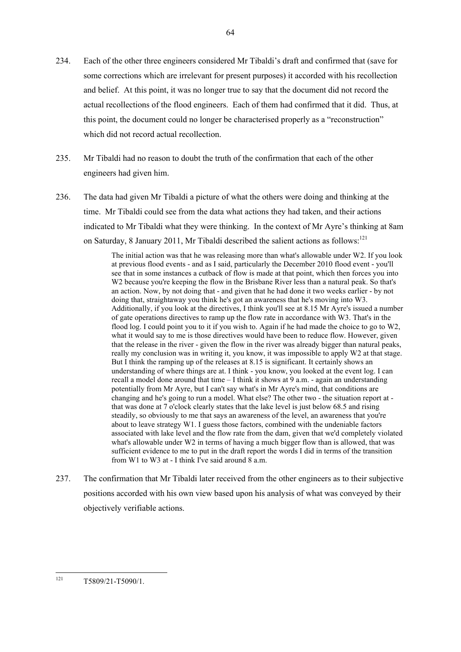- 234. Each of the other three engineers considered Mr Tibaldi's draft and confirmed that (save for some corrections which are irrelevant for present purposes) it accorded with his recollection and belief. At this point, it was no longer true to say that the document did not record the actual recollections of the flood engineers. Each of them had confirmed that it did. Thus, at this point, the document could no longer be characterised properly as a "reconstruction" which did not record actual recollection.
- 235. Mr Tibaldi had no reason to doubt the truth of the confirmation that each of the other engineers had given him.
- 236. The data had given Mr Tibaldi a picture of what the others were doing and thinking at the time. Mr Tibaldi could see from the data what actions they had taken, and their actions indicated to Mr Tibaldi what they were thinking. In the context of Mr Ayre's thinking at 8am on Saturday, 8 January 2011, Mr Tibaldi described the salient actions as follows:<sup>121</sup>

The initial action was that he was releasing more than what's allowable under W2. If you look at previous flood events - and as I said, particularly the December 2010 flood event - you'll see that in some instances a cutback of flow is made at that point, which then forces you into W2 because you're keeping the flow in the Brisbane River less than a natural peak. So that's an action. Now, by not doing that - and given that he had done it two weeks earlier - by not doing that, straightaway you think he's got an awareness that he's moving into W3. Additionally, if you look at the directives, I think you'll see at 8.15 Mr Ayre's issued a number of gate operations directives to ramp up the flow rate in accordance with W3. That's in the flood log. I could point you to it if you wish to. Again if he had made the choice to go to W2, what it would say to me is those directives would have been to reduce flow. However, given that the release in the river - given the flow in the river was already bigger than natural peaks, really my conclusion was in writing it, you know, it was impossible to apply W2 at that stage. But I think the ramping up of the releases at 8.15 is significant. It certainly shows an understanding of where things are at. I think - you know, you looked at the event log. I can recall a model done around that time – I think it shows at 9 a.m. - again an understanding potentially from Mr Ayre, but I can't say what's in Mr Ayre's mind, that conditions are changing and he's going to run a model. What else? The other two - the situation report at that was done at 7 o'clock clearly states that the lake level is just below 68.5 and rising steadily, so obviously to me that says an awareness of the level, an awareness that you're about to leave strategy W1. I guess those factors, combined with the undeniable factors associated with lake level and the flow rate from the dam, given that we'd completely violated what's allowable under W2 in terms of having a much bigger flow than is allowed, that was sufficient evidence to me to put in the draft report the words I did in terms of the transition from W1 to W3 at - I think I've said around 8 a.m.

237. The confirmation that Mr Tibaldi later received from the other engineers as to their subjective positions accorded with his own view based upon his analysis of what was conveyed by their objectively verifiable actions.

<sup>121</sup> <sup>121</sup> T5809/21-T5090/1.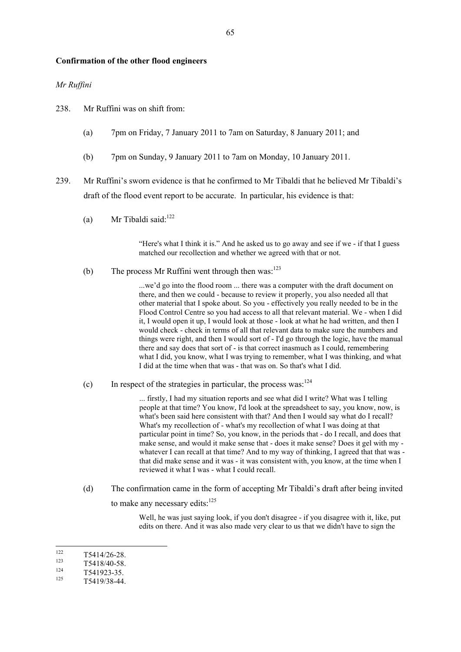### **Confirmation of the other flood engineers**

## *Mr Ruffini*

238. Mr Ruffini was on shift from:

- (a) 7pm on Friday, 7 January 2011 to 7am on Saturday, 8 January 2011; and
- (b) 7pm on Sunday, 9 January 2011 to 7am on Monday, 10 January 2011.
- 239. Mr Ruffini's sworn evidence is that he confirmed to Mr Tibaldi that he believed Mr Tibaldi's draft of the flood event report to be accurate. In particular, his evidence is that:
	- (a) Mr Tibaldi said: $122$

"Here's what I think it is." And he asked us to go away and see if we - if that I guess matched our recollection and whether we agreed with that or not.

(b) The process Mr Ruffini went through then was: $123$ 

...we'd go into the flood room ... there was a computer with the draft document on there, and then we could - because to review it properly, you also needed all that other material that I spoke about. So you - effectively you really needed to be in the Flood Control Centre so you had access to all that relevant material. We - when I did it, I would open it up, I would look at those - look at what he had written, and then I would check - check in terms of all that relevant data to make sure the numbers and things were right, and then I would sort of - I'd go through the logic, have the manual there and say does that sort of - is that correct inasmuch as I could, remembering what I did, you know, what I was trying to remember, what I was thinking, and what I did at the time when that was - that was on. So that's what I did.

(c) In respect of the strategies in particular, the process was: $124$ 

... firstly, I had my situation reports and see what did I write? What was I telling people at that time? You know, I'd look at the spreadsheet to say, you know, now, is what's been said here consistent with that? And then I would say what do I recall? What's my recollection of - what's my recollection of what I was doing at that particular point in time? So, you know, in the periods that - do I recall, and does that make sense, and would it make sense that - does it make sense? Does it gel with my whatever I can recall at that time? And to my way of thinking, I agreed that that was that did make sense and it was - it was consistent with, you know, at the time when I reviewed it what I was - what I could recall.

(d) The confirmation came in the form of accepting Mr Tibaldi's draft after being invited to make any necessary edits:<sup>125</sup>

> Well, he was just saying look, if you don't disagree - if you disagree with it, like, put edits on there. And it was also made very clear to us that we didn't have to sign the

122  $\frac{122}{123}$  T5414/26-28.

 $\frac{124}{125}$  T541923-35.

 $\frac{123}{124}$  T5418/40-58.

<sup>125</sup> T5419/38-44.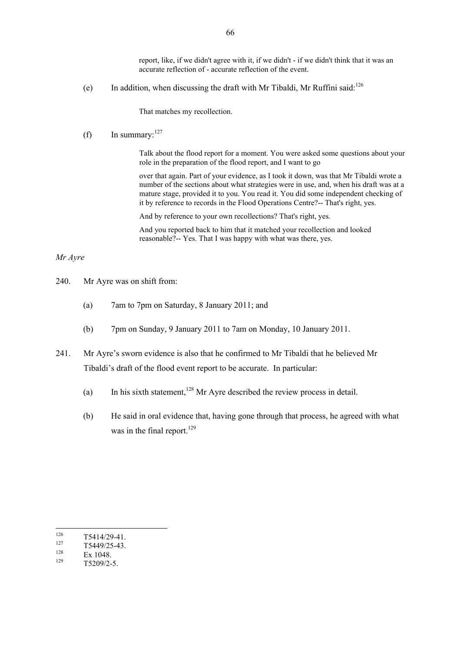report, like, if we didn't agree with it, if we didn't - if we didn't think that it was an accurate reflection of - accurate reflection of the event.

(e) In addition, when discussing the draft with Mr Tibaldi, Mr Ruffini said: $^{126}$ 

That matches my recollection.

(f) In summary:  $127$ 

Talk about the flood report for a moment. You were asked some questions about your role in the preparation of the flood report, and I want to go

over that again. Part of your evidence, as I took it down, was that Mr Tibaldi wrote a number of the sections about what strategies were in use, and, when his draft was at a mature stage, provided it to you. You read it. You did some independent checking of it by reference to records in the Flood Operations Centre?-- That's right, yes.

And by reference to your own recollections? That's right, yes.

And you reported back to him that it matched your recollection and looked reasonable?-- Yes. That I was happy with what was there, yes.

### *Mr Ayre*

- 240. Mr Ayre was on shift from:
	- (a) 7am to 7pm on Saturday, 8 January 2011; and
	- (b) 7pm on Sunday, 9 January 2011 to 7am on Monday, 10 January 2011.
- 241. Mr Ayre's sworn evidence is also that he confirmed to Mr Tibaldi that he believed Mr Tibaldi's draft of the flood event report to be accurate. In particular:
	- (a) In his sixth statement,<sup>128</sup> Mr Ayre described the review process in detail.
	- (b) He said in oral evidence that, having gone through that process, he agreed with what was in the final report.<sup>129</sup>

<sup>126</sup>  $\frac{126}{127}$  T5414/29-41.

 $\frac{127}{128}$  T5449/25-43.

 $\frac{128}{129}$  Ex 1048.

T5209/2-5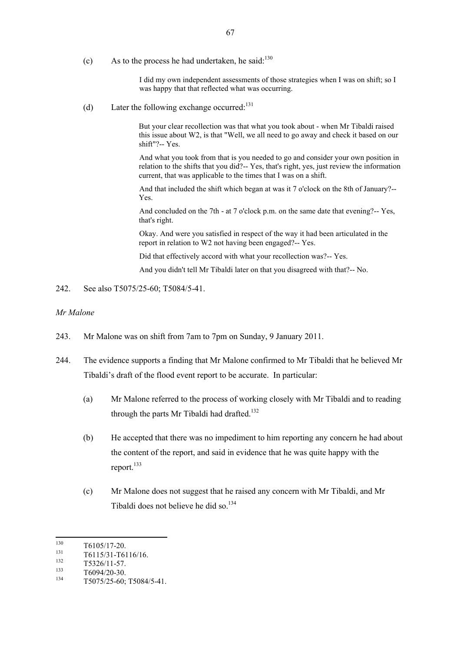(c) As to the process he had undertaken, he said: $130$ 

I did my own independent assessments of those strategies when I was on shift; so I was happy that that reflected what was occurring.

(d) Later the following exchange occurred:<sup>131</sup>

But your clear recollection was that what you took about - when Mr Tibaldi raised this issue about W2, is that "Well, we all need to go away and check it based on our shift"?-- Yes.

And what you took from that is you needed to go and consider your own position in relation to the shifts that you did?-- Yes, that's right, yes, just review the information current, that was applicable to the times that I was on a shift.

And that included the shift which began at was it 7 o'clock on the 8th of January?-- Yes.

And concluded on the 7th - at 7 o'clock p.m. on the same date that evening?-- Yes, that's right.

Okay. And were you satisfied in respect of the way it had been articulated in the report in relation to W2 not having been engaged?-- Yes.

Did that effectively accord with what your recollection was?-- Yes.

And you didn't tell Mr Tibaldi later on that you disagreed with that?-- No.

242. See also T5075/25-60; T5084/5-41.

## *Mr Malone*

- 243. Mr Malone was on shift from 7am to 7pm on Sunday, 9 January 2011.
- 244. The evidence supports a finding that Mr Malone confirmed to Mr Tibaldi that he believed Mr Tibaldi's draft of the flood event report to be accurate. In particular:
	- (a) Mr Malone referred to the process of working closely with Mr Tibaldi and to reading through the parts Mr Tibaldi had drafted.<sup>132</sup>
	- (b) He accepted that there was no impediment to him reporting any concern he had about the content of the report, and said in evidence that he was quite happy with the report.<sup>133</sup>
	- (c) Mr Malone does not suggest that he raised any concern with Mr Tibaldi, and Mr Tibaldi does not believe he did so.<sup>134</sup>

<sup>130</sup>  $^{130}$  T6105/17-20.

 $\frac{131}{132}$  T6115/31-T6116/16.

 $\frac{132}{133}$  T5326/11-57.

 $\frac{133}{134}$  T6094/20-30.

<sup>134</sup> T5075/25-60; T5084/5-41.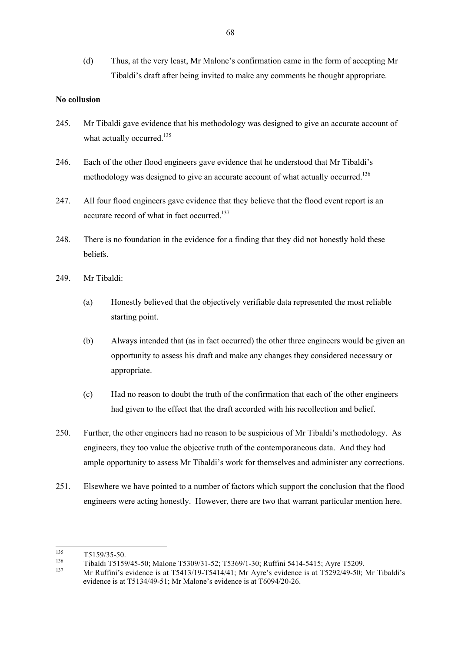(d) Thus, at the very least, Mr Malone's confirmation came in the form of accepting Mr Tibaldi's draft after being invited to make any comments he thought appropriate.

# **No collusion**

- 245. Mr Tibaldi gave evidence that his methodology was designed to give an accurate account of what actually occurred.<sup>135</sup>
- 246. Each of the other flood engineers gave evidence that he understood that Mr Tibaldi's methodology was designed to give an accurate account of what actually occurred.<sup>136</sup>
- 247. All four flood engineers gave evidence that they believe that the flood event report is an accurate record of what in fact occurred.<sup>137</sup>
- 248. There is no foundation in the evidence for a finding that they did not honestly hold these beliefs.
- 249. Mr Tibaldi:
	- (a) Honestly believed that the objectively verifiable data represented the most reliable starting point.
	- (b) Always intended that (as in fact occurred) the other three engineers would be given an opportunity to assess his draft and make any changes they considered necessary or appropriate.
	- (c) Had no reason to doubt the truth of the confirmation that each of the other engineers had given to the effect that the draft accorded with his recollection and belief.
- 250. Further, the other engineers had no reason to be suspicious of Mr Tibaldi's methodology. As engineers, they too value the objective truth of the contemporaneous data. And they had ample opportunity to assess Mr Tibaldi's work for themselves and administer any corrections.
- 251. Elsewhere we have pointed to a number of factors which support the conclusion that the flood engineers were acting honestly. However, there are two that warrant particular mention here.

<sup>135</sup>  $\frac{135}{136}$  T5159/35-50.

 $136$  Tibaldi T5159/45-50; Malone T5309/31-52; T5369/1-30; Ruffini 5414-5415; Ayre T5209.<br> $137$  Mg B Corie to the project T5413/10 T5414/41. Mg Agree is the project T5202/40-50.

<sup>137</sup> Mr Ruffini's evidence is at T5413/19-T5414/41; Mr Ayre's evidence is at T5292/49-50; Mr Tibaldi's evidence is at T5134/49-51; Mr Malone's evidence is at T6094/20-26.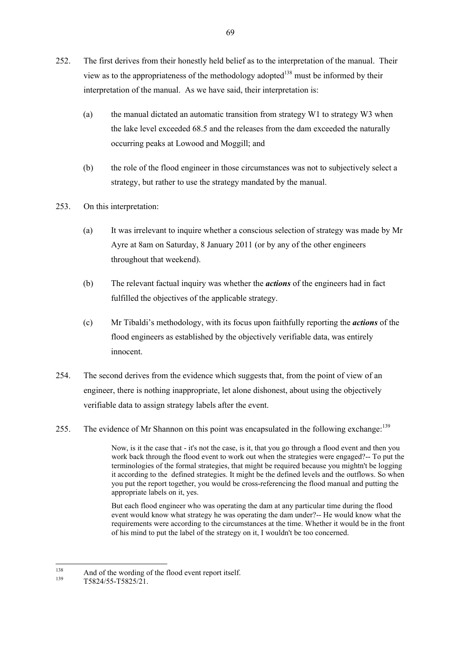- 252. The first derives from their honestly held belief as to the interpretation of the manual. Their view as to the appropriateness of the methodology adopted<sup>138</sup> must be informed by their interpretation of the manual. As we have said, their interpretation is:
	- (a) the manual dictated an automatic transition from strategy W1 to strategy W3 when the lake level exceeded 68.5 and the releases from the dam exceeded the naturally occurring peaks at Lowood and Moggill; and
	- (b) the role of the flood engineer in those circumstances was not to subjectively select a strategy, but rather to use the strategy mandated by the manual.
- 253. On this interpretation:
	- (a) It was irrelevant to inquire whether a conscious selection of strategy was made by Mr Ayre at 8am on Saturday, 8 January 2011 (or by any of the other engineers throughout that weekend).
	- (b) The relevant factual inquiry was whether the *actions* of the engineers had in fact fulfilled the objectives of the applicable strategy.
	- (c) Mr Tibaldi's methodology, with its focus upon faithfully reporting the *actions* of the flood engineers as established by the objectively verifiable data, was entirely innocent.
- 254. The second derives from the evidence which suggests that, from the point of view of an engineer, there is nothing inappropriate, let alone dishonest, about using the objectively verifiable data to assign strategy labels after the event.
- 255. The evidence of Mr Shannon on this point was encapsulated in the following exchange:<sup>139</sup>

Now, is it the case that - it's not the case, is it, that you go through a flood event and then you work back through the flood event to work out when the strategies were engaged?-- To put the terminologies of the formal strategies, that might be required because you mightn't be logging it according to the defined strategies. It might be the defined levels and the outflows. So when you put the report together, you would be cross-referencing the flood manual and putting the appropriate labels on it, yes.

But each flood engineer who was operating the dam at any particular time during the flood event would know what strategy he was operating the dam under?-- He would know what the requirements were according to the circumstances at the time. Whether it would be in the front of his mind to put the label of the strategy on it, I wouldn't be too concerned.

<sup>138</sup> <sup>138</sup> And of the wording of the flood event report itself.

<sup>139</sup> T5824/55-T5825/21.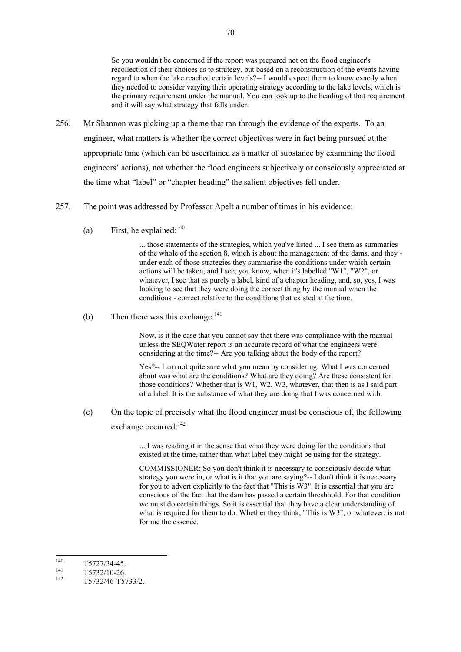So you wouldn't be concerned if the report was prepared not on the flood engineer's recollection of their choices as to strategy, but based on a reconstruction of the events having regard to when the lake reached certain levels?-- I would expect them to know exactly when they needed to consider varying their operating strategy according to the lake levels, which is the primary requirement under the manual. You can look up to the heading of that requirement and it will say what strategy that falls under.

- 256. Mr Shannon was picking up a theme that ran through the evidence of the experts. To an engineer, what matters is whether the correct objectives were in fact being pursued at the appropriate time (which can be ascertained as a matter of substance by examining the flood engineers' actions), not whether the flood engineers subjectively or consciously appreciated at the time what "label" or "chapter heading" the salient objectives fell under.
- 257. The point was addressed by Professor Apelt a number of times in his evidence:
	- (a) First, he explained: $140$

... those statements of the strategies, which you've listed ... I see them as summaries of the whole of the section 8, which is about the management of the dams, and they under each of those strategies they summarise the conditions under which certain actions will be taken, and I see, you know, when it's labelled "W1", "W2", or whatever, I see that as purely a label, kind of a chapter heading, and, so, yes, I was looking to see that they were doing the correct thing by the manual when the conditions - correct relative to the conditions that existed at the time.

(b) Then there was this exchange:  $141$ 

Now, is it the case that you cannot say that there was compliance with the manual unless the SEQWater report is an accurate record of what the engineers were considering at the time?-- Are you talking about the body of the report?

Yes?-- I am not quite sure what you mean by considering. What I was concerned about was what are the conditions? What are they doing? Are these consistent for those conditions? Whether that is W1, W2, W3, whatever, that then is as I said part of a label. It is the substance of what they are doing that I was concerned with.

(c) On the topic of precisely what the flood engineer must be conscious of, the following exchange occurred:<sup>142</sup>

> ... I was reading it in the sense that what they were doing for the conditions that existed at the time, rather than what label they might be using for the strategy.

COMMISSIONER: So you don't think it is necessary to consciously decide what strategy you were in, or what is it that you are saying?-- I don't think it is necessary for you to advert explicitly to the fact that "This is W3". It is essential that you are conscious of the fact that the dam has passed a certain threshhold. For that condition we must do certain things. So it is essential that they have a clear understanding of what is required for them to do. Whether they think, "This is W3", or whatever, is not for me the essence.

140  $140$  T5727/34-45.

 $141$  T5732/10-26.

T5732/46-T5733/2.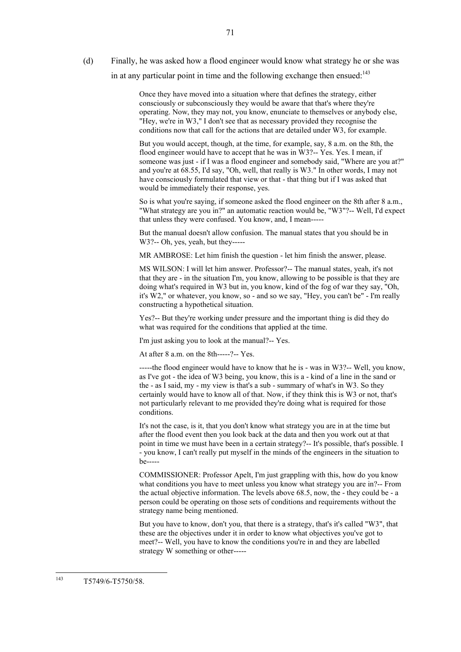(d) Finally, he was asked how a flood engineer would know what strategy he or she was in at any particular point in time and the following exchange then ensued:<sup>143</sup>

> Once they have moved into a situation where that defines the strategy, either consciously or subconsciously they would be aware that that's where they're operating. Now, they may not, you know, enunciate to themselves or anybody else, "Hey, we're in W3," I don't see that as necessary provided they recognise the conditions now that call for the actions that are detailed under W3, for example.

But you would accept, though, at the time, for example, say, 8 a.m. on the 8th, the flood engineer would have to accept that he was in W3?-- Yes. Yes. I mean, if someone was just - if I was a flood engineer and somebody said, "Where are you at?" and you're at 68.55, I'd say, "Oh, well, that really is W3." In other words, I may not have consciously formulated that view or that - that thing but if I was asked that would be immediately their response, yes.

So is what you're saying, if someone asked the flood engineer on the 8th after 8 a.m., "What strategy are you in?" an automatic reaction would be, "W3"?-- Well, I'd expect that unless they were confused. You know, and, I mean-----

But the manual doesn't allow confusion. The manual states that you should be in W3?-- Oh, yes, yeah, but they-----

MR AMBROSE: Let him finish the question - let him finish the answer, please.

MS WILSON: I will let him answer. Professor?-- The manual states, yeah, it's not that they are - in the situation I'm, you know, allowing to be possible is that they are doing what's required in W3 but in, you know, kind of the fog of war they say, "Oh, it's W2," or whatever, you know, so - and so we say, "Hey, you can't be" - I'm really constructing a hypothetical situation.

Yes?-- But they're working under pressure and the important thing is did they do what was required for the conditions that applied at the time.

I'm just asking you to look at the manual?-- Yes.

At after  $8 \text{ a m}$  on the  $8 \text{ th}$ ---- $2$ -- Yes.

-----the flood engineer would have to know that he is - was in W3?-- Well, you know, as I've got - the idea of W3 being, you know, this is a - kind of a line in the sand or the - as I said, my - my view is that's a sub - summary of what's in W3. So they certainly would have to know all of that. Now, if they think this is W3 or not, that's not particularly relevant to me provided they're doing what is required for those conditions.

It's not the case, is it, that you don't know what strategy you are in at the time but after the flood event then you look back at the data and then you work out at that point in time we must have been in a certain strategy?-- It's possible, that's possible. I - you know, I can't really put myself in the minds of the engineers in the situation to be-----

COMMISSIONER: Professor Apelt, I'm just grappling with this, how do you know what conditions you have to meet unless you know what strategy you are in?-- From the actual objective information. The levels above 68.5, now, the - they could be - a person could be operating on those sets of conditions and requirements without the strategy name being mentioned.

But you have to know, don't you, that there is a strategy, that's it's called "W3", that these are the objectives under it in order to know what objectives you've got to meet?-- Well, you have to know the conditions you're in and they are labelled strategy W something or other-----

 $143$ T5749/6-T5750/58.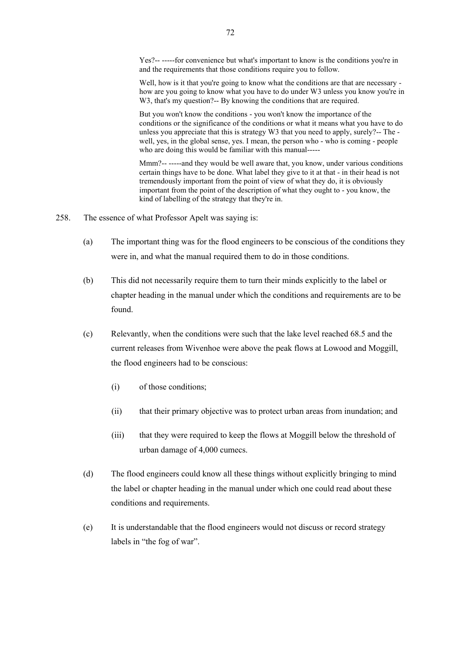Yes?-- -----for convenience but what's important to know is the conditions you're in and the requirements that those conditions require you to follow.

Well, how is it that you're going to know what the conditions are that are necessary how are you going to know what you have to do under W3 unless you know you're in W3, that's my question?-- By knowing the conditions that are required.

But you won't know the conditions - you won't know the importance of the conditions or the significance of the conditions or what it means what you have to do unless you appreciate that this is strategy W3 that you need to apply, surely?-- The well, yes, in the global sense, yes. I mean, the person who - who is coming - people who are doing this would be familiar with this manual-----

Mmm?-- -----and they would be well aware that, you know, under various conditions certain things have to be done. What label they give to it at that - in their head is not tremendously important from the point of view of what they do, it is obviously important from the point of the description of what they ought to - you know, the kind of labelling of the strategy that they're in.

- 258. The essence of what Professor Apelt was saying is:
	- (a) The important thing was for the flood engineers to be conscious of the conditions they were in, and what the manual required them to do in those conditions.
	- (b) This did not necessarily require them to turn their minds explicitly to the label or chapter heading in the manual under which the conditions and requirements are to be found.
	- (c) Relevantly, when the conditions were such that the lake level reached 68.5 and the current releases from Wivenhoe were above the peak flows at Lowood and Moggill, the flood engineers had to be conscious:
		- (i) of those conditions;
		- (ii) that their primary objective was to protect urban areas from inundation; and
		- (iii) that they were required to keep the flows at Moggill below the threshold of urban damage of 4,000 cumecs.
	- (d) The flood engineers could know all these things without explicitly bringing to mind the label or chapter heading in the manual under which one could read about these conditions and requirements.
	- (e) It is understandable that the flood engineers would not discuss or record strategy labels in "the fog of war".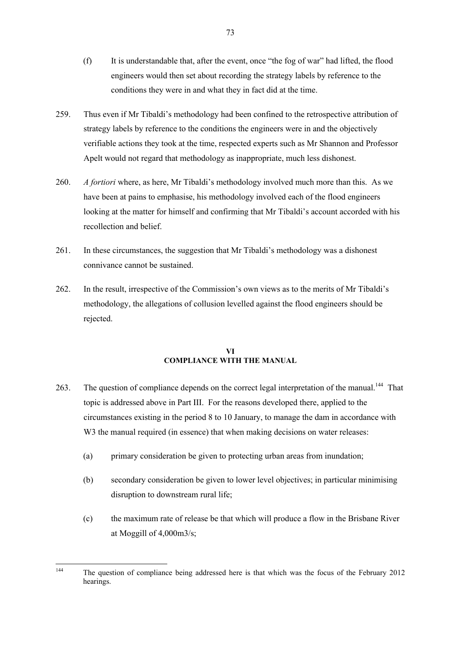- (f) It is understandable that, after the event, once "the fog of war" had lifted, the flood engineers would then set about recording the strategy labels by reference to the conditions they were in and what they in fact did at the time.
- 259. Thus even if Mr Tibaldi's methodology had been confined to the retrospective attribution of strategy labels by reference to the conditions the engineers were in and the objectively verifiable actions they took at the time, respected experts such as Mr Shannon and Professor Apelt would not regard that methodology as inappropriate, much less dishonest.
- 260. *A fortiori* where, as here, Mr Tibaldi's methodology involved much more than this. As we have been at pains to emphasise, his methodology involved each of the flood engineers looking at the matter for himself and confirming that Mr Tibaldi's account accorded with his recollection and belief.
- 261. In these circumstances, the suggestion that Mr Tibaldi's methodology was a dishonest connivance cannot be sustained.
- 262. In the result, irrespective of the Commission's own views as to the merits of Mr Tibaldi's methodology, the allegations of collusion levelled against the flood engineers should be rejected.

### **VI COMPLIANCE WITH THE MANUAL**

- 263. The question of compliance depends on the correct legal interpretation of the manual.<sup>144</sup> That topic is addressed above in Part III. For the reasons developed there, applied to the circumstances existing in the period 8 to 10 January, to manage the dam in accordance with W<sub>3</sub> the manual required (in essence) that when making decisions on water releases:
	- (a) primary consideration be given to protecting urban areas from inundation;
	- (b) secondary consideration be given to lower level objectives; in particular minimising disruption to downstream rural life;
	- (c) the maximum rate of release be that which will produce a flow in the Brisbane River at Moggill of 4,000m3/s;

<sup>144</sup> The question of compliance being addressed here is that which was the focus of the February 2012 hearings.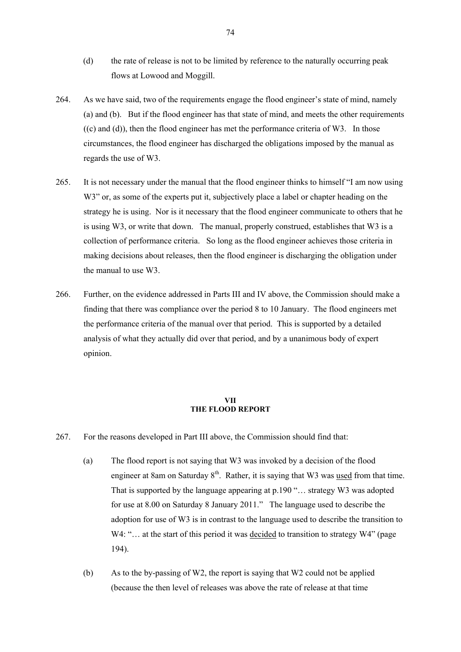- (d) the rate of release is not to be limited by reference to the naturally occurring peak flows at Lowood and Moggill.
- 264. As we have said, two of the requirements engage the flood engineer's state of mind, namely (a) and (b). But if the flood engineer has that state of mind, and meets the other requirements  $((c)$  and  $((d))$ , then the flood engineer has met the performance criteria of W3. In those circumstances, the flood engineer has discharged the obligations imposed by the manual as regards the use of W3.
- 265. It is not necessary under the manual that the flood engineer thinks to himself "I am now using W3" or, as some of the experts put it, subjectively place a label or chapter heading on the strategy he is using. Nor is it necessary that the flood engineer communicate to others that he is using W3, or write that down. The manual, properly construed, establishes that W3 is a collection of performance criteria. So long as the flood engineer achieves those criteria in making decisions about releases, then the flood engineer is discharging the obligation under the manual to use W3.
- 266. Further, on the evidence addressed in Parts III and IV above, the Commission should make a finding that there was compliance over the period 8 to 10 January. The flood engineers met the performance criteria of the manual over that period. This is supported by a detailed analysis of what they actually did over that period, and by a unanimous body of expert opinion.

#### **VII THE FLOOD REPORT**

- 267. For the reasons developed in Part III above, the Commission should find that:
	- (a) The flood report is not saying that W3 was invoked by a decision of the flood engineer at 8am on Saturday  $8<sup>th</sup>$ . Rather, it is saying that W3 was <u>used</u> from that time. That is supported by the language appearing at p.190 "… strategy W3 was adopted for use at 8.00 on Saturday 8 January 2011." The language used to describe the adoption for use of W3 is in contrast to the language used to describe the transition to W4: "... at the start of this period it was decided to transition to strategy W4" (page 194).
	- (b) As to the by-passing of W2, the report is saying that W2 could not be applied (because the then level of releases was above the rate of release at that time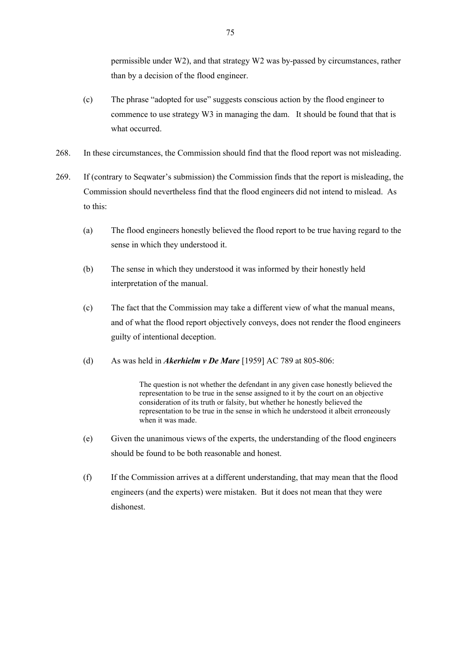permissible under W2), and that strategy W2 was by-passed by circumstances, rather than by a decision of the flood engineer.

- (c) The phrase "adopted for use" suggests conscious action by the flood engineer to commence to use strategy W3 in managing the dam. It should be found that that is what occurred.
- 268. In these circumstances, the Commission should find that the flood report was not misleading.
- 269. If (contrary to Seqwater's submission) the Commission finds that the report is misleading, the Commission should nevertheless find that the flood engineers did not intend to mislead. As to this:
	- (a) The flood engineers honestly believed the flood report to be true having regard to the sense in which they understood it.
	- (b) The sense in which they understood it was informed by their honestly held interpretation of the manual.
	- (c) The fact that the Commission may take a different view of what the manual means, and of what the flood report objectively conveys, does not render the flood engineers guilty of intentional deception.
	- (d) As was held in *Akerhielm v De Mare* [1959] AC 789 at 805-806:

The question is not whether the defendant in any given case honestly believed the representation to be true in the sense assigned to it by the court on an objective consideration of its truth or falsity, but whether he honestly believed the representation to be true in the sense in which he understood it albeit erroneously when it was made.

- (e) Given the unanimous views of the experts, the understanding of the flood engineers should be found to be both reasonable and honest.
- (f) If the Commission arrives at a different understanding, that may mean that the flood engineers (and the experts) were mistaken. But it does not mean that they were dishonest.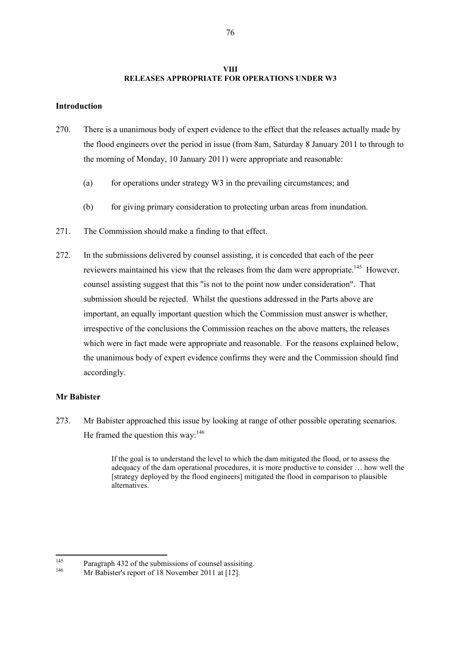### **VIII RELEASES APPROPRIATE FOR OPERATIONS UNDER W3**

## **Introduction**

- 270. There is a unanimous body of expert evidence to the effect that the releases actually made by the flood engineers over the period in issue (from 8am, Saturday 8 January 2011 to through to the morning of Monday, 10 January 2011) were appropriate and reasonable:
	- (a) for operations under strategy  $W3$  in the prevailing circumstances; and
	- (b) for giving primary consideration to protecting urban areas from inundation.
- 271. The Commission should make a finding to that effect.
- 272. In the submissions delivered by counsel assisting, it is conceded that each of the peer reviewers maintained his view that the releases from the dam were appropriate.<sup>145</sup> However, counsel assisting suggest that this "is not to the point now under consideration". That submission should be rejected. Whilst the questions addressed in the Parts above are important, an equally important question which the Commission must answer is whether, irrespective of the conclusions the Commission reaches on the above matters, the releases which were in fact made were appropriate and reasonable. For the reasons explained below, the unanimous body of expert evidence confirms they were and the Commission should find accordingly.

## **Mr Babister**

273. Mr Babister approached this issue by looking at range of other possible operating scenarios. He framed the question this way: $146$ 

> If the goal is to understand the level to which the dam mitigated the flood, or to assess the adequacy of the dam operational procedures, it is more productive to consider … how well the [strategy deployed by the flood engineers] mitigated the flood in comparison to plausible alternatives.

<sup>145</sup> <sup>145</sup> Paragraph 432 of the submissions of counsel assisiting.

Mr Babister's report of 18 November 2011 at [12].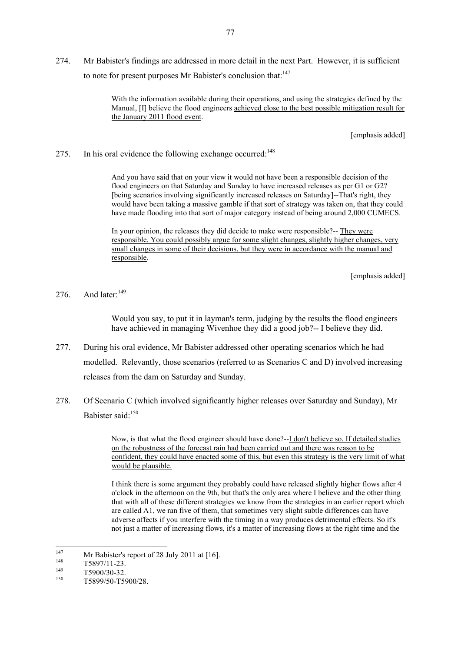274. Mr Babister's findings are addressed in more detail in the next Part. However, it is sufficient to note for present purposes Mr Babister's conclusion that:<sup>147</sup>

> With the information available during their operations, and using the strategies defined by the Manual, [I] believe the flood engineers achieved close to the best possible mitigation result for the January 2011 flood event.

> > [emphasis added]

275. In his oral evidence the following exchange occurred: $148$ 

And you have said that on your view it would not have been a responsible decision of the flood engineers on that Saturday and Sunday to have increased releases as per G1 or G2? [being scenarios involving significantly increased releases on Saturday]--That's right, they would have been taking a massive gamble if that sort of strategy was taken on, that they could have made flooding into that sort of major category instead of being around 2,000 CUMECS.

In your opinion, the releases they did decide to make were responsible?-- They were responsible. You could possibly argue for some slight changes, slightly higher changes, very small changes in some of their decisions, but they were in accordance with the manual and responsible.

[emphasis added]

276 And later: $149$ 

Would you say, to put it in layman's term, judging by the results the flood engineers have achieved in managing Wivenhoe they did a good job?-- I believe they did.

- 277. During his oral evidence, Mr Babister addressed other operating scenarios which he had modelled. Relevantly, those scenarios (referred to as Scenarios C and D) involved increasing releases from the dam on Saturday and Sunday.
- 278. Of Scenario C (which involved significantly higher releases over Saturday and Sunday), Mr Babister said:<sup>150</sup>

Now, is that what the flood engineer should have done?--I don't believe so. If detailed studies on the robustness of the forecast rain had been carried out and there was reason to be confident, they could have enacted some of this, but even this strategy is the very limit of what would be plausible.

I think there is some argument they probably could have released slightly higher flows after 4 o'clock in the afternoon on the 9th, but that's the only area where I believe and the other thing that with all of these different strategies we know from the strategies in an earlier report which are called A1, we ran five of them, that sometimes very slight subtle differences can have adverse affects if you interfere with the timing in a way produces detrimental effects. So it's not just a matter of increasing flows, it's a matter of increasing flows at the right time and the

<sup>147</sup> <sup>147</sup> Mr Babister's report of 28 July 2011 at [16].

 $\frac{148}{149}$  T5897/11-23.

 $149$  T5900/30-32.

<sup>150</sup> T5899/50-T5900/28.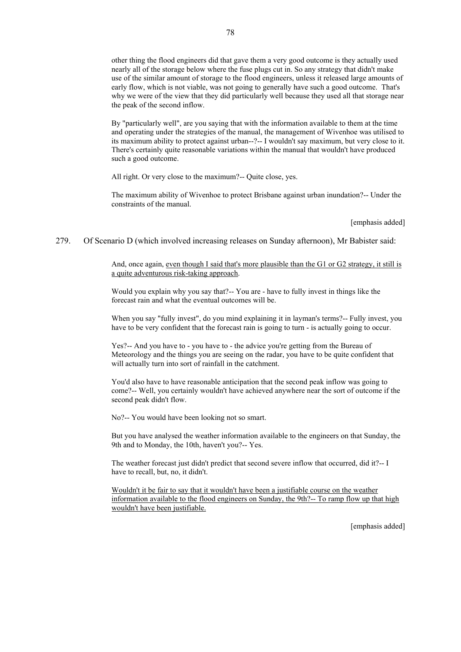other thing the flood engineers did that gave them a very good outcome is they actually used nearly all of the storage below where the fuse plugs cut in. So any strategy that didn't make use of the similar amount of storage to the flood engineers, unless it released large amounts of early flow, which is not viable, was not going to generally have such a good outcome. That's why we were of the view that they did particularly well because they used all that storage near the peak of the second inflow.

By "particularly well", are you saying that with the information available to them at the time and operating under the strategies of the manual, the management of Wivenhoe was utilised to its maximum ability to protect against urban--?-- I wouldn't say maximum, but very close to it. There's certainly quite reasonable variations within the manual that wouldn't have produced such a good outcome.

All right. Or very close to the maximum?-- Quite close, yes.

The maximum ability of Wivenhoe to protect Brisbane against urban inundation?-- Under the constraints of the manual.

[emphasis added]

279. Of Scenario D (which involved increasing releases on Sunday afternoon), Mr Babister said:

And, once again, even though I said that's more plausible than the G1 or G2 strategy, it still is a quite adventurous risk-taking approach.

Would you explain why you say that?-- You are - have to fully invest in things like the forecast rain and what the eventual outcomes will be.

When you say "fully invest", do you mind explaining it in layman's terms?-- Fully invest, you have to be very confident that the forecast rain is going to turn - is actually going to occur.

Yes?-- And you have to - you have to - the advice you're getting from the Bureau of Meteorology and the things you are seeing on the radar, you have to be quite confident that will actually turn into sort of rainfall in the catchment.

You'd also have to have reasonable anticipation that the second peak inflow was going to come?-- Well, you certainly wouldn't have achieved anywhere near the sort of outcome if the second peak didn't flow.

No?-- You would have been looking not so smart.

But you have analysed the weather information available to the engineers on that Sunday, the 9th and to Monday, the 10th, haven't you?-- Yes.

The weather forecast just didn't predict that second severe inflow that occurred, did it?-- I have to recall, but, no, it didn't.

Wouldn't it be fair to say that it wouldn't have been a justifiable course on the weather information available to the flood engineers on Sunday, the 9th?-- To ramp flow up that high wouldn't have been justifiable.

[emphasis added]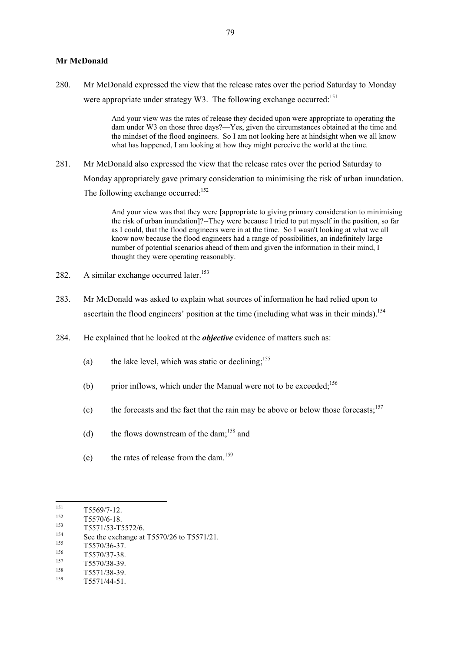#### **Mr McDonald**

280. Mr McDonald expressed the view that the release rates over the period Saturday to Monday were appropriate under strategy W3. The following exchange occurred:<sup>151</sup>

> And your view was the rates of release they decided upon were appropriate to operating the dam under W3 on those three days?—Yes, given the circumstances obtained at the time and the mindset of the flood engineers. So I am not looking here at hindsight when we all know what has happened, I am looking at how they might perceive the world at the time.

281. Mr McDonald also expressed the view that the release rates over the period Saturday to Monday appropriately gave primary consideration to minimising the risk of urban inundation. The following exchange occurred:<sup>152</sup>

> And your view was that they were [appropriate to giving primary consideration to minimising the risk of urban inundation]?--They were because I tried to put myself in the position, so far as I could, that the flood engineers were in at the time. So I wasn't looking at what we all know now because the flood engineers had a range of possibilities, an indefinitely large number of potential scenarios ahead of them and given the information in their mind, I thought they were operating reasonably.

- 282. A similar exchange occurred later.<sup>153</sup>
- 283. Mr McDonald was asked to explain what sources of information he had relied upon to ascertain the flood engineers' position at the time (including what was in their minds).<sup>154</sup>
- 284. He explained that he looked at the *objective* evidence of matters such as:
	- (a) the lake level, which was static or declining;<sup>155</sup>
	- (b) prior inflows, which under the Manual were not to be exceeded;  $156$
	- (c) the forecasts and the fact that the rain may be above or below those forecasts;<sup>157</sup>
	- (d) the flows downstream of the dam;<sup>158</sup> and
	- (e) the rates of release from the dam.<sup>159</sup>

 $\frac{155}{156}$  T5570/36-37.

- $\frac{158}{159}$  T5571/38-39.
- <sup>159</sup> T5571/44-51.

<sup>151</sup>  $\frac{151}{152}$  T5569/7-12.

 $\frac{152}{153}$  T5570/6-18.

 $153$  T5571/53-T5572/6.

<sup>&</sup>lt;sup>154</sup> See the exchange at T5570/26 to T5571/21.

 $156$  T5570/37-38.

 $157$  T5570/38-39.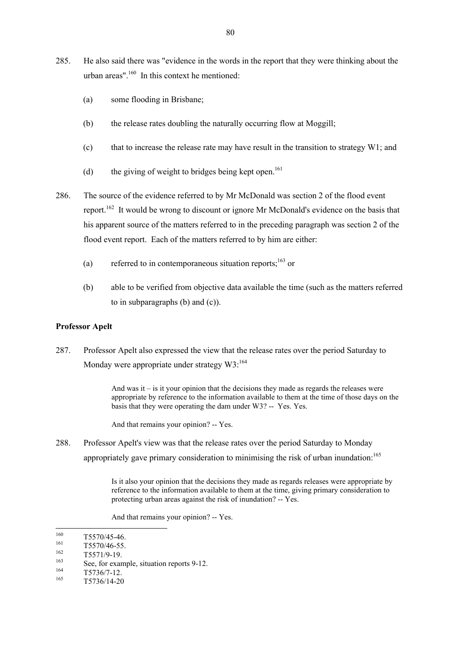- 285. He also said there was "evidence in the words in the report that they were thinking about the urban areas". $160$  In this context he mentioned:
	- (a) some flooding in Brisbane;
	- (b) the release rates doubling the naturally occurring flow at Moggill;
	- (c) that to increase the release rate may have result in the transition to strategy W1; and
	- (d) the giving of weight to bridges being kept open.<sup>161</sup>
- 286. The source of the evidence referred to by Mr McDonald was section 2 of the flood event report.<sup>162</sup> It would be wrong to discount or ignore Mr McDonald's evidence on the basis that his apparent source of the matters referred to in the preceding paragraph was section 2 of the flood event report. Each of the matters referred to by him are either:
	- (a) referred to in contemporaneous situation reports; $^{163}$  or
	- (b) able to be verified from objective data available the time (such as the matters referred to in subparagraphs (b) and (c)).

## **Professor Apelt**

287. Professor Apelt also expressed the view that the release rates over the period Saturday to Monday were appropriate under strategy  $W3$ :<sup>164</sup>

> And was it – is it your opinion that the decisions they made as regards the releases were appropriate by reference to the information available to them at the time of those days on the basis that they were operating the dam under W3? -- Yes. Yes.

And that remains your opinion? -- Yes.

288. Professor Apelt's view was that the release rates over the period Saturday to Monday appropriately gave primary consideration to minimising the risk of urban inundation:<sup>165</sup>

> Is it also your opinion that the decisions they made as regards releases were appropriate by reference to the information available to them at the time, giving primary consideration to protecting urban areas against the risk of inundation? -- Yes.

And that remains your opinion? -- Yes.

 $\frac{162}{163}$  T5571/9-19.

<sup>160</sup>  $\frac{160}{161}$  T5570/45-46.

 $\frac{161}{162}$  T5570/46-55.

<sup>&</sup>lt;sup>163</sup> See, for example, situation reports 9-12.

 $\frac{164}{165}$  T5736/7-12.

<sup>165</sup> T5736/14-20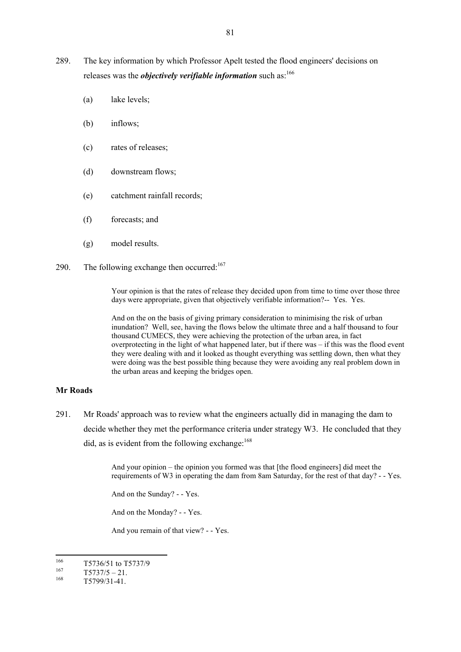- 289. The key information by which Professor Apelt tested the flood engineers' decisions on releases was the *objectively verifiable information* such as:<sup>166</sup>
	- (a) lake levels;
	- (b) inflows;
	- (c) rates of releases;
	- (d) downstream flows;
	- (e) catchment rainfall records;
	- (f) forecasts; and
	- (g) model results.
- 290. The following exchange then occurred: $167$

Your opinion is that the rates of release they decided upon from time to time over those three days were appropriate, given that objectively verifiable information?-- Yes. Yes.

And on the on the basis of giving primary consideration to minimising the risk of urban inundation? Well, see, having the flows below the ultimate three and a half thousand to four thousand CUMECS, they were achieving the protection of the urban area, in fact overprotecting in the light of what happened later, but if there was – if this was the flood event they were dealing with and it looked as thought everything was settling down, then what they were doing was the best possible thing because they were avoiding any real problem down in the urban areas and keeping the bridges open.

## **Mr Roads**

291. Mr Roads' approach was to review what the engineers actually did in managing the dam to decide whether they met the performance criteria under strategy W3. He concluded that they did, as is evident from the following exchange:<sup>168</sup>

> And your opinion – the opinion you formed was that [the flood engineers] did meet the requirements of W3 in operating the dam from 8am Saturday, for the rest of that day? - - Yes.

And on the Sunday? - - Yes.

And on the Monday? - - Yes.

And you remain of that view? - - Yes.

<sup>166</sup>  $\frac{166}{167}$  T5736/51 to T5737/9

 $167$  T5737/5 – 21.

<sup>168</sup> T5799/31-41.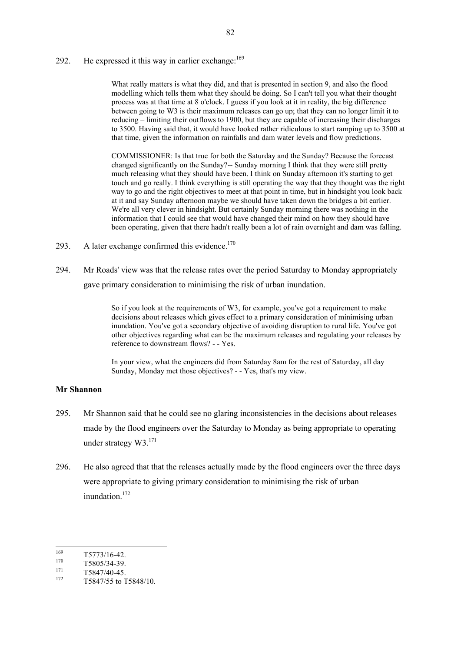## 292. He expressed it this way in earlier exchange:  $169$

What really matters is what they did, and that is presented in section 9, and also the flood modelling which tells them what they should be doing. So I can't tell you what their thought process was at that time at 8 o'clock. I guess if you look at it in reality, the big difference between going to W3 is their maximum releases can go up; that they can no longer limit it to reducing – limiting their outflows to 1900, but they are capable of increasing their discharges to 3500. Having said that, it would have looked rather ridiculous to start ramping up to 3500 at that time, given the information on rainfalls and dam water levels and flow predictions.

COMMISSIONER: Is that true for both the Saturday and the Sunday? Because the forecast changed significantly on the Sunday?-- Sunday morning I think that they were still pretty much releasing what they should have been. I think on Sunday afternoon it's starting to get touch and go really. I think everything is still operating the way that they thought was the right way to go and the right objectives to meet at that point in time, but in hindsight you look back at it and say Sunday afternoon maybe we should have taken down the bridges a bit earlier. We're all very clever in hindsight. But certainly Sunday morning there was nothing in the information that I could see that would have changed their mind on how they should have been operating, given that there hadn't really been a lot of rain overnight and dam was falling.

- 293. A later exchange confirmed this evidence.<sup>170</sup>
- 294. Mr Roads' view was that the release rates over the period Saturday to Monday appropriately gave primary consideration to minimising the risk of urban inundation.

So if you look at the requirements of W3, for example, you've got a requirement to make decisions about releases which gives effect to a primary consideration of minimising urban inundation. You've got a secondary objective of avoiding disruption to rural life. You've got other objectives regarding what can be the maximum releases and regulating your releases by reference to downstream flows? - - Yes.

In your view, what the engineers did from Saturday 8am for the rest of Saturday, all day Sunday, Monday met those objectives? - - Yes, that's my view.

#### **Mr Shannon**

- 295. Mr Shannon said that he could see no glaring inconsistencies in the decisions about releases made by the flood engineers over the Saturday to Monday as being appropriate to operating under strategy  $W3$ .<sup>171</sup>
- 296. He also agreed that that the releases actually made by the flood engineers over the three days were appropriate to giving primary consideration to minimising the risk of urban inundation.<sup>172</sup>

<sup>169</sup>  $\frac{169}{170}$  T5773/16-42.

 $170$  T5805/34-39.

 $^{171}$  T5847/40-45.

<sup>172</sup> T5847/55 to T5848/10.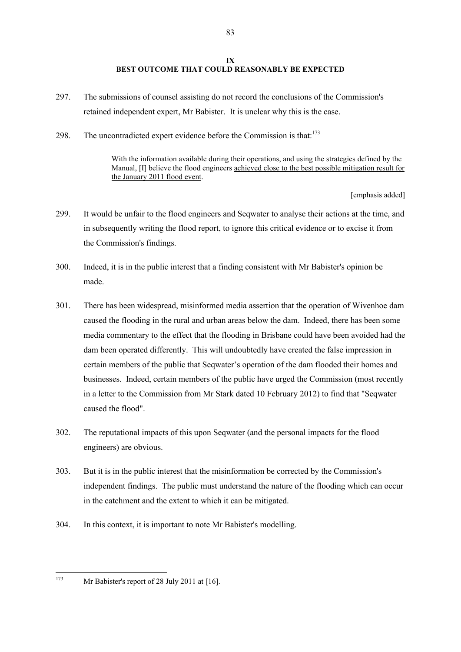## **IX BEST OUTCOME THAT COULD REASONABLY BE EXPECTED**

- 297. The submissions of counsel assisting do not record the conclusions of the Commission's retained independent expert, Mr Babister. It is unclear why this is the case.
- 298. The uncontradicted expert evidence before the Commission is that: $173$

With the information available during their operations, and using the strategies defined by the Manual, [I] believe the flood engineers achieved close to the best possible mitigation result for the January 2011 flood event.

[emphasis added]

- 299. It would be unfair to the flood engineers and Seqwater to analyse their actions at the time, and in subsequently writing the flood report, to ignore this critical evidence or to excise it from the Commission's findings.
- 300. Indeed, it is in the public interest that a finding consistent with Mr Babister's opinion be made.
- 301. There has been widespread, misinformed media assertion that the operation of Wivenhoe dam caused the flooding in the rural and urban areas below the dam. Indeed, there has been some media commentary to the effect that the flooding in Brisbane could have been avoided had the dam been operated differently. This will undoubtedly have created the false impression in certain members of the public that Seqwater's operation of the dam flooded their homes and businesses. Indeed, certain members of the public have urged the Commission (most recently in a letter to the Commission from Mr Stark dated 10 February 2012) to find that "Seqwater caused the flood".
- 302. The reputational impacts of this upon Seqwater (and the personal impacts for the flood engineers) are obvious.
- 303. But it is in the public interest that the misinformation be corrected by the Commission's independent findings. The public must understand the nature of the flooding which can occur in the catchment and the extent to which it can be mitigated.
- 304. In this context, it is important to note Mr Babister's modelling.
- 173

Mr Babister's report of 28 July 2011 at  $[16]$ .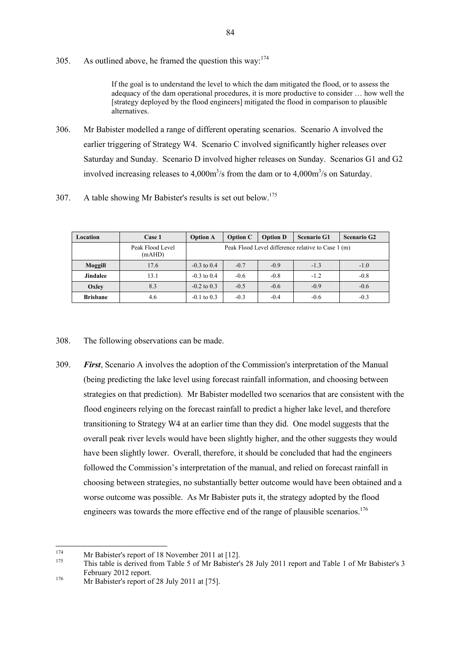305. As outlined above, he framed the question this way:  $174$ 

If the goal is to understand the level to which the dam mitigated the flood, or to assess the adequacy of the dam operational procedures, it is more productive to consider … how well the [strategy deployed by the flood engineers] mitigated the flood in comparison to plausible alternatives.

- 306. Mr Babister modelled a range of different operating scenarios. Scenario A involved the earlier triggering of Strategy W4. Scenario C involved significantly higher releases over Saturday and Sunday. Scenario D involved higher releases on Sunday. Scenarios G1 and G2 involved increasing releases to  $4,000 \text{m}^3/\text{s}$  from the dam or to  $4,000 \text{m}^3/\text{s}$  on Saturday.
- 307. A table showing Mr Babister's results is set out below.<sup>175</sup>

| Location        | Case 1                     | <b>Option A</b>                                    | <b>Option C</b> | <b>Option D</b> | <b>Scenario G1</b> | <b>Scenario G2</b> |
|-----------------|----------------------------|----------------------------------------------------|-----------------|-----------------|--------------------|--------------------|
|                 | Peak Flood Level<br>(mAHD) | Peak Flood Level difference relative to Case 1 (m) |                 |                 |                    |                    |
| Moggill         | 17.6                       | $-0.3$ to 0.4                                      | $-0.7$          | $-0.9$          | $-1.3$             | $-1.0$             |
| <b>Jindalee</b> | 13.1                       | $-0.3$ to 0.4                                      | $-0.6$          | $-0.8$          | $-1.2$             | $-0.8$             |
| Oxley           | 8.3                        | $-0.2$ to 0.3                                      | $-0.5$          | $-0.6$          | $-0.9$             | $-0.6$             |
| <b>Brisbane</b> | 4.6                        | $-0.1$ to 0.3                                      | $-0.3$          | $-0.4$          | $-0.6$             | $-0.3$             |

308. The following observations can be made.

309. *First*, Scenario A involves the adoption of the Commission's interpretation of the Manual (being predicting the lake level using forecast rainfall information, and choosing between strategies on that prediction). Mr Babister modelled two scenarios that are consistent with the flood engineers relying on the forecast rainfall to predict a higher lake level, and therefore transitioning to Strategy W4 at an earlier time than they did. One model suggests that the overall peak river levels would have been slightly higher, and the other suggests they would have been slightly lower. Overall, therefore, it should be concluded that had the engineers followed the Commission's interpretation of the manual, and relied on forecast rainfall in choosing between strategies, no substantially better outcome would have been obtained and a worse outcome was possible. As Mr Babister puts it, the strategy adopted by the flood engineers was towards the more effective end of the range of plausible scenarios.<sup>176</sup>

<sup>174</sup> <sup>174</sup> Mr Babister's report of 18 November 2011 at [12].

<sup>175</sup> This table is derived from Table 5 of Mr Babister's 28 July 2011 report and Table 1 of Mr Babister's 3 February 2012 report.

<sup>&</sup>lt;sup>176</sup> Mr Babister's report of 28 July 2011 at [75].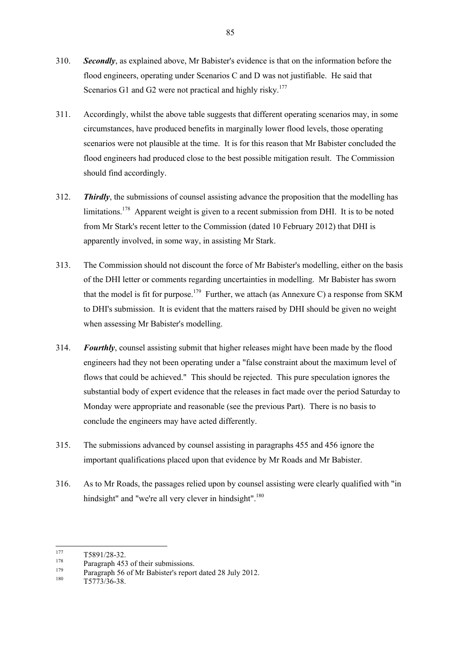- 310. *Secondly*, as explained above, Mr Babister's evidence is that on the information before the flood engineers, operating under Scenarios C and D was not justifiable. He said that Scenarios G1 and G2 were not practical and highly risky.<sup>177</sup>
- 311. Accordingly, whilst the above table suggests that different operating scenarios may, in some circumstances, have produced benefits in marginally lower flood levels, those operating scenarios were not plausible at the time. It is for this reason that Mr Babister concluded the flood engineers had produced close to the best possible mitigation result. The Commission should find accordingly.
- 312. *Thirdly*, the submissions of counsel assisting advance the proposition that the modelling has limitations.<sup>178</sup> Apparent weight is given to a recent submission from DHI. It is to be noted from Mr Stark's recent letter to the Commission (dated 10 February 2012) that DHI is apparently involved, in some way, in assisting Mr Stark.
- 313. The Commission should not discount the force of Mr Babister's modelling, either on the basis of the DHI letter or comments regarding uncertainties in modelling. Mr Babister has sworn that the model is fit for purpose.<sup>179</sup> Further, we attach (as Annexure C) a response from SKM to DHI's submission. It is evident that the matters raised by DHI should be given no weight when assessing Mr Babister's modelling.
- 314. *Fourthly*, counsel assisting submit that higher releases might have been made by the flood engineers had they not been operating under a "false constraint about the maximum level of flows that could be achieved." This should be rejected. This pure speculation ignores the substantial body of expert evidence that the releases in fact made over the period Saturday to Monday were appropriate and reasonable (see the previous Part). There is no basis to conclude the engineers may have acted differently.
- 315. The submissions advanced by counsel assisting in paragraphs 455 and 456 ignore the important qualifications placed upon that evidence by Mr Roads and Mr Babister.
- 316. As to Mr Roads, the passages relied upon by counsel assisting were clearly qualified with "in hindsight" and "we're all very clever in hindsight".<sup>180</sup>

<sup>177</sup>  $177$  T5891/28-32.

<sup>&</sup>lt;sup>178</sup> Paragraph 453 of their submissions.

<sup>&</sup>lt;sup>179</sup> Paragraph 56 of Mr Babister's report dated 28 July 2012.

 $T5773/36-38$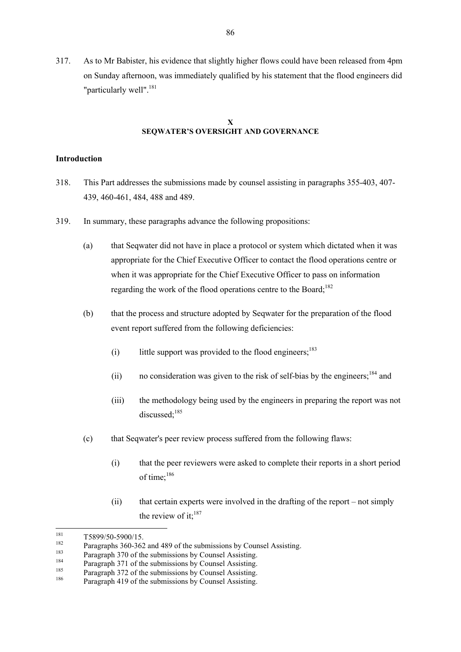317. As to Mr Babister, his evidence that slightly higher flows could have been released from 4pm on Sunday afternoon, was immediately qualified by his statement that the flood engineers did "particularly well".<sup>181</sup>

## **X SEQWATER'S OVERSIGHT AND GOVERNANCE**

### **Introduction**

- 318. This Part addresses the submissions made by counsel assisting in paragraphs 355-403, 407- 439, 460-461, 484, 488 and 489.
- 319. In summary, these paragraphs advance the following propositions:
	- (a) that Seqwater did not have in place a protocol or system which dictated when it was appropriate for the Chief Executive Officer to contact the flood operations centre or when it was appropriate for the Chief Executive Officer to pass on information regarding the work of the flood operations centre to the Board;<sup>182</sup>
	- (b) that the process and structure adopted by Seqwater for the preparation of the flood event report suffered from the following deficiencies:
		- (i) little support was provided to the flood engineers;<sup>183</sup>
		- (ii) no consideration was given to the risk of self-bias by the engineers;<sup>184</sup> and
		- (iii) the methodology being used by the engineers in preparing the report was not discussed<sup>-185</sup>
	- (c) that Seqwater's peer review process suffered from the following flaws:
		- (i) that the peer reviewers were asked to complete their reports in a short period of time;<sup>186</sup>
		- (ii) that certain experts were involved in the drafting of the report not simply the review of it:<sup>187</sup>

<sup>181</sup>  $\frac{181}{182}$  T5899/50-5900/15.

<sup>&</sup>lt;sup>182</sup> Paragraphs 360-362 and 489 of the submissions by Counsel Assisting.

<sup>&</sup>lt;sup>183</sup> Paragraph 370 of the submissions by Counsel Assisting.

<sup>&</sup>lt;sup>184</sup> Paragraph 371 of the submissions by Counsel Assisting.

<sup>&</sup>lt;sup>185</sup> Paragraph 372 of the submissions by Counsel Assisting.

Paragraph 419 of the submissions by Counsel Assisting.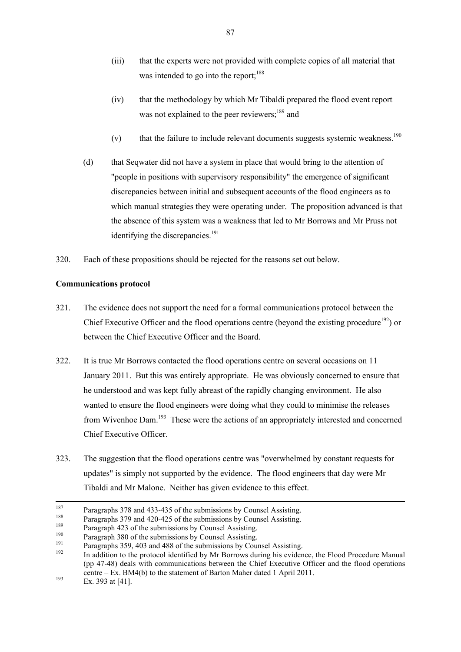- (iii) that the experts were not provided with complete copies of all material that was intended to go into the report; $188$
- (iv) that the methodology by which Mr Tibaldi prepared the flood event report was not explained to the peer reviewers;<sup>189</sup> and
- (v) that the failure to include relevant documents suggests systemic weakness.<sup>190</sup>
- (d) that Seqwater did not have a system in place that would bring to the attention of "people in positions with supervisory responsibility" the emergence of significant discrepancies between initial and subsequent accounts of the flood engineers as to which manual strategies they were operating under. The proposition advanced is that the absence of this system was a weakness that led to Mr Borrows and Mr Pruss not identifying the discrepancies.<sup>191</sup>
- 320. Each of these propositions should be rejected for the reasons set out below.

## **Communications protocol**

- 321. The evidence does not support the need for a formal communications protocol between the Chief Executive Officer and the flood operations centre (beyond the existing procedure<sup>192</sup>) or between the Chief Executive Officer and the Board.
- 322. It is true Mr Borrows contacted the flood operations centre on several occasions on 11 January 2011. But this was entirely appropriate. He was obviously concerned to ensure that he understood and was kept fully abreast of the rapidly changing environment. He also wanted to ensure the flood engineers were doing what they could to minimise the releases from Wivenhoe Dam.<sup>193</sup> These were the actions of an appropriately interested and concerned Chief Executive Officer.
- 323. The suggestion that the flood operations centre was "overwhelmed by constant requests for updates" is simply not supported by the evidence. The flood engineers that day were Mr Tibaldi and Mr Malone. Neither has given evidence to this effect.

<sup>187</sup> <sup>187</sup> Paragraphs 378 and 433-435 of the submissions by Counsel Assisting.

<sup>&</sup>lt;sup>188</sup> Paragraphs 379 and 420-425 of the submissions by Counsel Assisting.

<sup>&</sup>lt;sup>189</sup> Paragraph 423 of the submissions by Counsel Assisting.

<sup>&</sup>lt;sup>190</sup> Paragraph 380 of the submissions by Counsel Assisting.<br> $\frac{191}{2}$ 

<sup>&</sup>lt;sup>191</sup> Paragraphs 359, 403 and 488 of the submissions by Counsel Assisting.

In addition to the protocol identified by Mr Borrows during his evidence, the Flood Procedure Manual (pp 47-48) deals with communications between the Chief Executive Officer and the flood operations centre – Ex. BM4(b) to the statement of Barton Maher dated 1 April 2011.

 $193$  Ex. 393 at [41].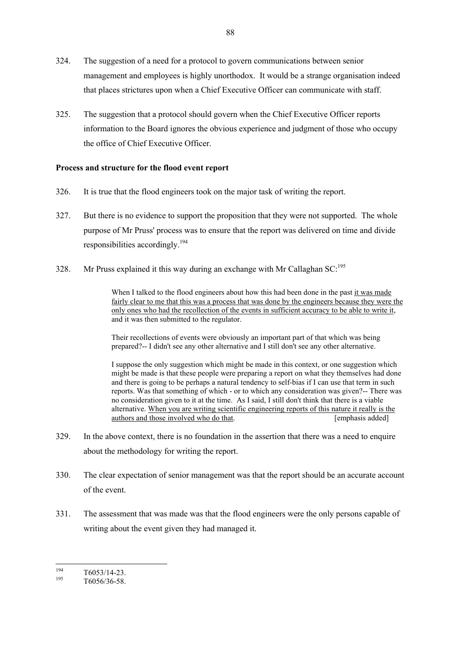- 324. The suggestion of a need for a protocol to govern communications between senior management and employees is highly unorthodox. It would be a strange organisation indeed that places strictures upon when a Chief Executive Officer can communicate with staff.
- 325. The suggestion that a protocol should govern when the Chief Executive Officer reports information to the Board ignores the obvious experience and judgment of those who occupy the office of Chief Executive Officer.

## **Process and structure for the flood event report**

- 326. It is true that the flood engineers took on the major task of writing the report.
- 327. But there is no evidence to support the proposition that they were not supported. The whole purpose of Mr Pruss' process was to ensure that the report was delivered on time and divide responsibilities accordingly.<sup>194</sup>
- 328. Mr Pruss explained it this way during an exchange with Mr Callaghan  $SC<sub>195</sub>$

When I talked to the flood engineers about how this had been done in the past it was made fairly clear to me that this was a process that was done by the engineers because they were the only ones who had the recollection of the events in sufficient accuracy to be able to write it, and it was then submitted to the regulator.

Their recollections of events were obviously an important part of that which was being prepared?-- I didn't see any other alternative and I still don't see any other alternative.

I suppose the only suggestion which might be made in this context, or one suggestion which might be made is that these people were preparing a report on what they themselves had done and there is going to be perhaps a natural tendency to self-bias if I can use that term in such reports. Was that something of which - or to which any consideration was given?-- There was no consideration given to it at the time. As I said, I still don't think that there is a viable alternative. When you are writing scientific engineering reports of this nature it really is the authors and those involved who do that. [emphasis added]

- 329. In the above context, there is no foundation in the assertion that there was a need to enquire about the methodology for writing the report.
- 330. The clear expectation of senior management was that the report should be an accurate account of the event.
- 331. The assessment that was made was that the flood engineers were the only persons capable of writing about the event given they had managed it.

<sup>194</sup>  $\frac{194}{195}$  T6053/14-23.

T6056/36-58.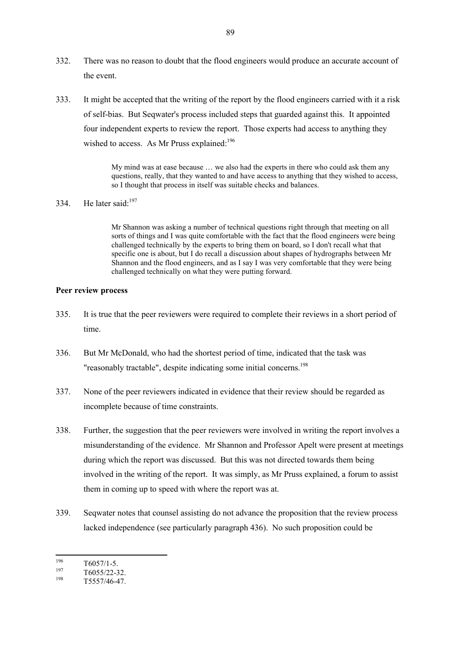- 332. There was no reason to doubt that the flood engineers would produce an accurate account of the event.
- 333. It might be accepted that the writing of the report by the flood engineers carried with it a risk of self-bias. But Seqwater's process included steps that guarded against this. It appointed four independent experts to review the report. Those experts had access to anything they wished to access. As Mr Pruss explained: $196$

My mind was at ease because … we also had the experts in there who could ask them any questions, really, that they wanted to and have access to anything that they wished to access, so I thought that process in itself was suitable checks and balances.

334 He later said: $197$ 

Mr Shannon was asking a number of technical questions right through that meeting on all sorts of things and I was quite comfortable with the fact that the flood engineers were being challenged technically by the experts to bring them on board, so I don't recall what that specific one is about, but I do recall a discussion about shapes of hydrographs between Mr Shannon and the flood engineers, and as I say I was very comfortable that they were being challenged technically on what they were putting forward.

#### **Peer review process**

- 335. It is true that the peer reviewers were required to complete their reviews in a short period of time.
- 336. But Mr McDonald, who had the shortest period of time, indicated that the task was "reasonably tractable", despite indicating some initial concerns.<sup>198</sup>
- 337. None of the peer reviewers indicated in evidence that their review should be regarded as incomplete because of time constraints.
- 338. Further, the suggestion that the peer reviewers were involved in writing the report involves a misunderstanding of the evidence. Mr Shannon and Professor Apelt were present at meetings during which the report was discussed. But this was not directed towards them being involved in the writing of the report. It was simply, as Mr Pruss explained, a forum to assist them in coming up to speed with where the report was at.
- 339. Seqwater notes that counsel assisting do not advance the proposition that the review process lacked independence (see particularly paragraph 436). No such proposition could be
- 196  $\frac{196}{197}$  T6057/1-5.

 $\frac{197}{198}$  T6055/22-32.

T5557/46-47.